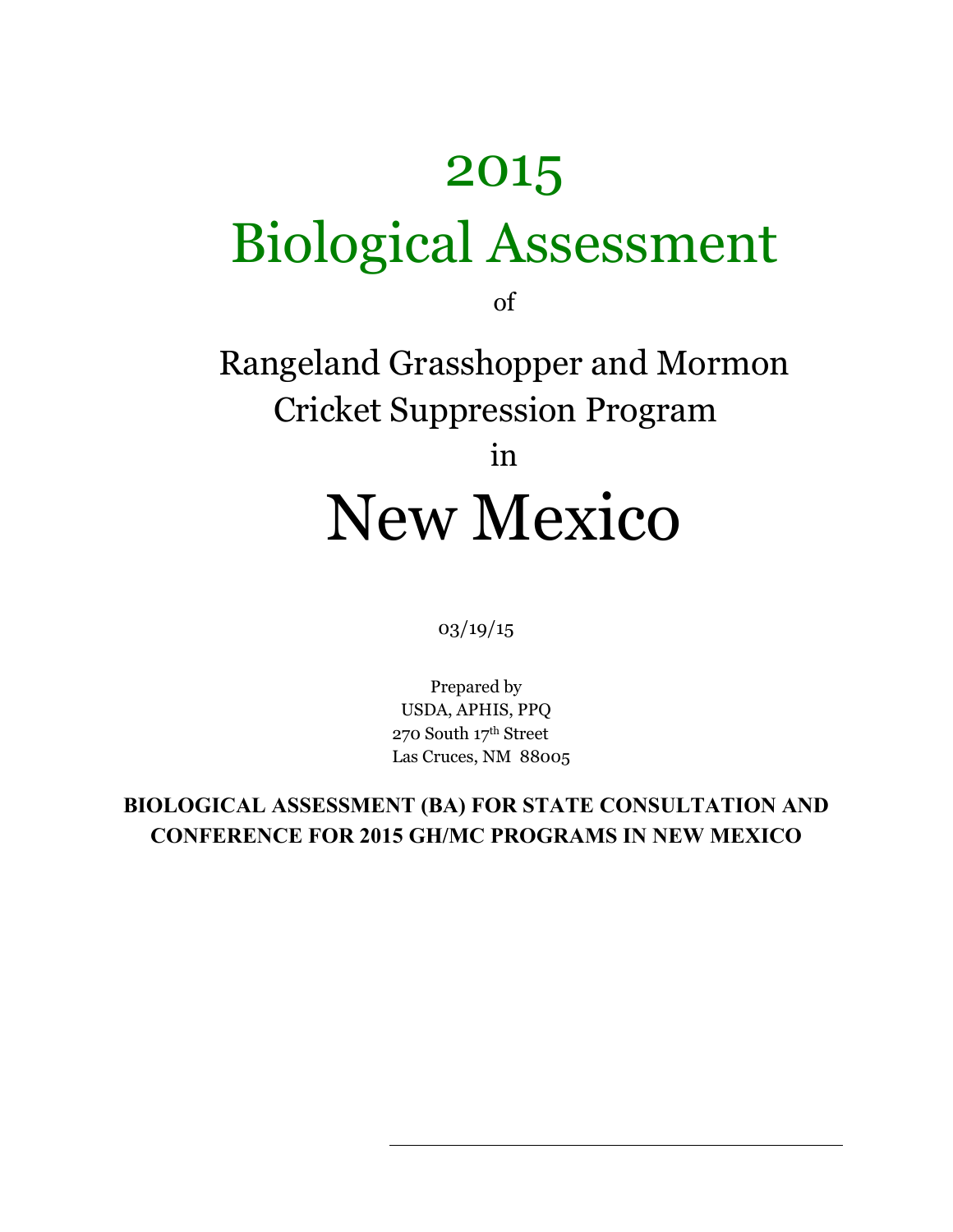# 2015 Biological Assessment

of

# Rangeland Grasshopper and Mormon Cricket Suppression Program in New Mexico

Prepared by USDA, APHIS, PPQ 270 South 17th Street Las Cruces, NM 88005

**BIOLOGICAL ASSESSMENT (BA) FOR STATE CONSULTATION AND CONFERENCE FOR 2015 GH/MC PROGRAMS IN NEW MEXICO**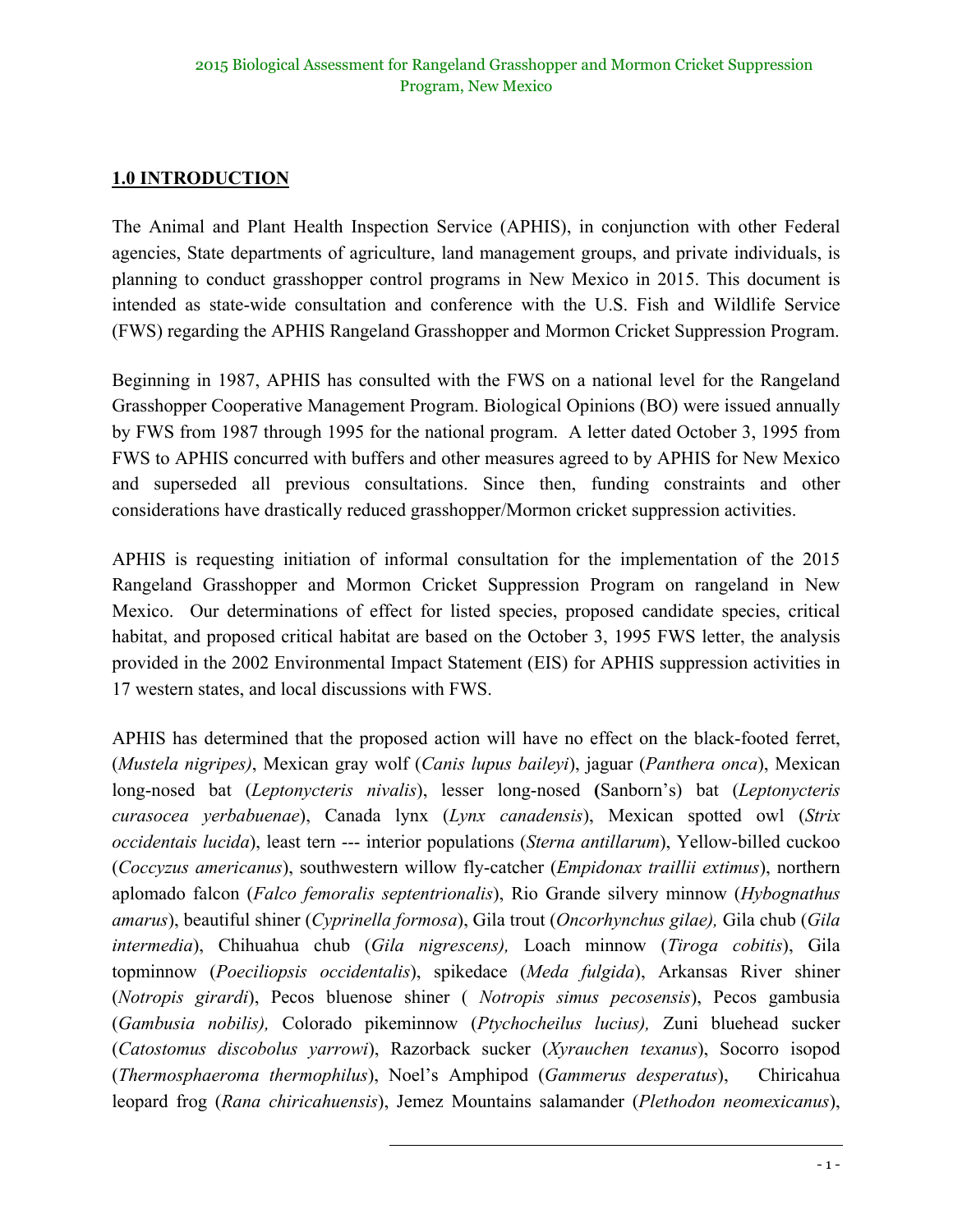# **1.0 INTRODUCTION**

The Animal and Plant Health Inspection Service (APHIS), in conjunction with other Federal agencies, State departments of agriculture, land management groups, and private individuals, is planning to conduct grasshopper control programs in New Mexico in 2015. This document is intended as state-wide consultation and conference with the U.S. Fish and Wildlife Service (FWS) regarding the APHIS Rangeland Grasshopper and Mormon Cricket Suppression Program.

Beginning in 1987, APHIS has consulted with the FWS on a national level for the Rangeland Grasshopper Cooperative Management Program. Biological Opinions (BO) were issued annually by FWS from 1987 through 1995 for the national program. A letter dated October 3, 1995 from FWS to APHIS concurred with buffers and other measures agreed to by APHIS for New Mexico and superseded all previous consultations. Since then, funding constraints and other considerations have drastically reduced grasshopper/Mormon cricket suppression activities.

APHIS is requesting initiation of informal consultation for the implementation of the 2015 Rangeland Grasshopper and Mormon Cricket Suppression Program on rangeland in New Mexico. Our determinations of effect for listed species, proposed candidate species, critical habitat, and proposed critical habitat are based on the October 3, 1995 FWS letter, the analysis provided in the 2002 Environmental Impact Statement (EIS) for APHIS suppression activities in 17 western states, and local discussions with FWS.

APHIS has determined that the proposed action will have no effect on the black-footed ferret, (*Mustela nigripes)*, Mexican gray wolf (*Canis lupus baileyi*), jaguar (*Panthera onca*), Mexican long-nosed bat (*Leptonycteris nivalis*), lesser long-nosed **(**Sanborn's) bat (*Leptonycteris curasocea yerbabuenae*), Canada lynx (*Lynx canadensis*), Mexican spotted owl (*Strix occidentais lucida*), least tern --- interior populations (*Sterna antillarum*), Yellow-billed cuckoo (*Coccyzus americanus*), southwestern willow fly-catcher (*Empidonax traillii extimus*), northern aplomado falcon (*Falco femoralis septentrionalis*), Rio Grande silvery minnow (*Hybognathus amarus*), beautiful shiner (*Cyprinella formosa*), Gila trout (*Oncorhynchus gilae),* Gila chub (*Gila intermedia*), Chihuahua chub (*Gila nigrescens),* Loach minnow (*Tiroga cobitis*), Gila topminnow (*Poeciliopsis occidentalis*), spikedace (*Meda fulgida*), Arkansas River shiner (*Notropis girardi*), Pecos bluenose shiner ( *Notropis simus pecosensis*), Pecos gambusia (*Gambusia nobilis),* Colorado pikeminnow (*Ptychocheilus lucius),* Zuni bluehead sucker (*Catostomus discobolus yarrowi*), Razorback sucker (*Xyrauchen texanus*), Socorro isopod (*Thermosphaeroma thermophilus*), Noel's Amphipod (*Gammerus desperatus*), Chiricahua leopard frog (*Rana chiricahuensis*), Jemez Mountains salamander (*Plethodon neomexicanus*),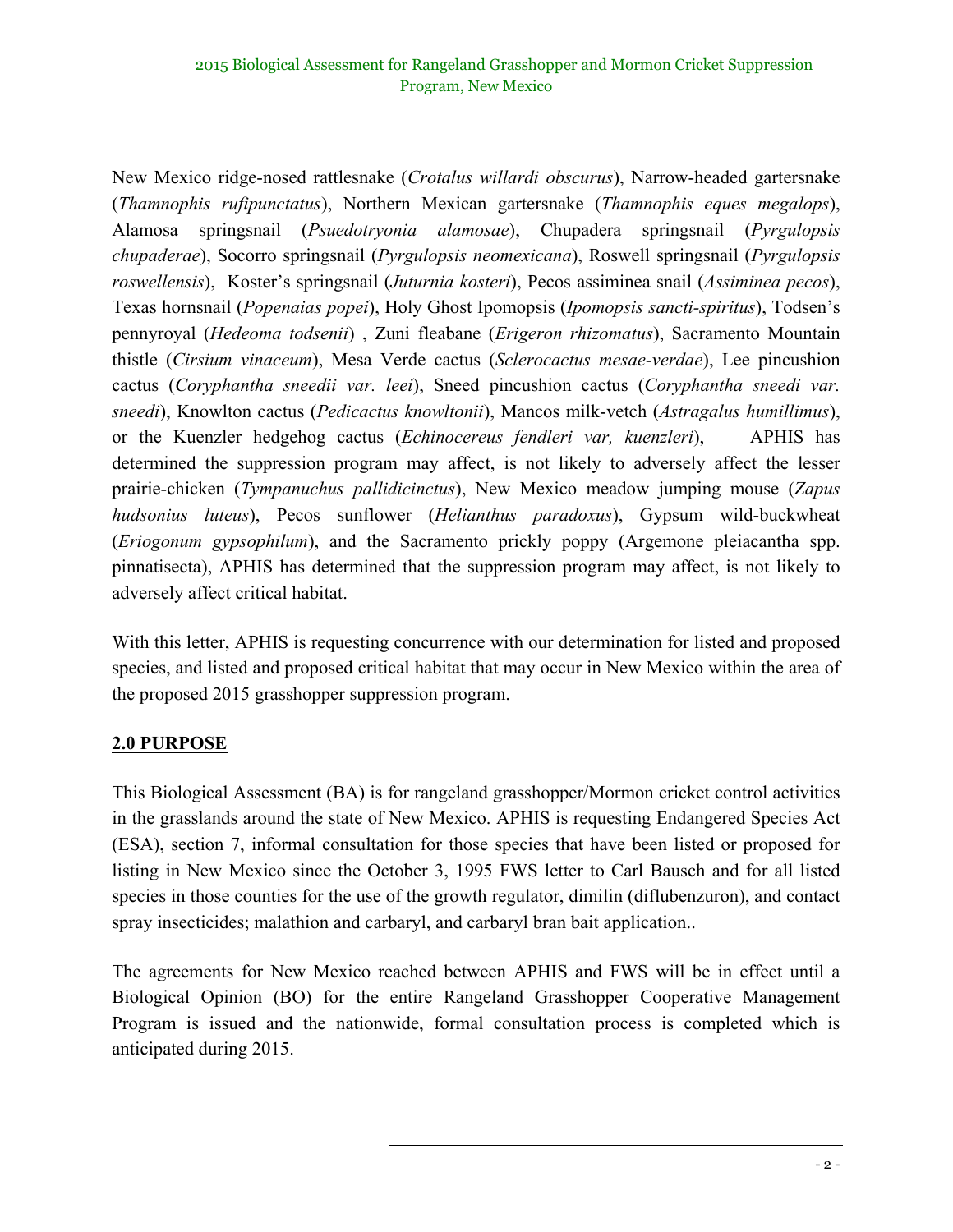New Mexico ridge-nosed rattlesnake (*Crotalus willardi obscurus*), Narrow-headed gartersnake (*Thamnophis rufipunctatus*), Northern Mexican gartersnake (*Thamnophis eques megalops*), Alamosa springsnail (*Psuedotryonia alamosae*), Chupadera springsnail (*Pyrgulopsis chupaderae*), Socorro springsnail (*Pyrgulopsis neomexicana*), Roswell springsnail (*Pyrgulopsis roswellensis*), Koster's springsnail (*Juturnia kosteri*), Pecos assiminea snail (*Assiminea pecos*), Texas hornsnail (*Popenaias popei*), Holy Ghost Ipomopsis (*Ipomopsis sancti-spiritus*), Todsen's pennyroyal (*Hedeoma todsenii*) , Zuni fleabane (*Erigeron rhizomatus*), Sacramento Mountain thistle (*Cirsium vinaceum*), Mesa Verde cactus (*Sclerocactus mesae-verdae*), Lee pincushion cactus (*Coryphantha sneedii var. leei*), Sneed pincushion cactus (*Coryphantha sneedi var. sneedi*), Knowlton cactus (*Pedicactus knowltonii*), Mancos milk-vetch (*Astragalus humillimus*), or the Kuenzler hedgehog cactus (*Echinocereus fendleri var, kuenzleri*), APHIS has determined the suppression program may affect, is not likely to adversely affect the lesser prairie-chicken (*Tympanuchus pallidicinctus*), New Mexico meadow jumping mouse (*Zapus hudsonius luteus*), Pecos sunflower (*Helianthus paradoxus*), Gypsum wild-buckwheat (*Eriogonum gypsophilum*), and the Sacramento prickly poppy (Argemone pleiacantha spp. pinnatisecta), APHIS has determined that the suppression program may affect, is not likely to adversely affect critical habitat.

With this letter, APHIS is requesting concurrence with our determination for listed and proposed species, and listed and proposed critical habitat that may occur in New Mexico within the area of the proposed 2015 grasshopper suppression program.

# **2.0 PURPOSE**

This Biological Assessment (BA) is for rangeland grasshopper/Mormon cricket control activities in the grasslands around the state of New Mexico. APHIS is requesting Endangered Species Act (ESA), section 7, informal consultation for those species that have been listed or proposed for listing in New Mexico since the October 3, 1995 FWS letter to Carl Bausch and for all listed species in those counties for the use of the growth regulator, dimilin (diflubenzuron), and contact spray insecticides; malathion and carbaryl, and carbaryl bran bait application..

The agreements for New Mexico reached between APHIS and FWS will be in effect until a Biological Opinion (BO) for the entire Rangeland Grasshopper Cooperative Management Program is issued and the nationwide, formal consultation process is completed which is anticipated during 2015.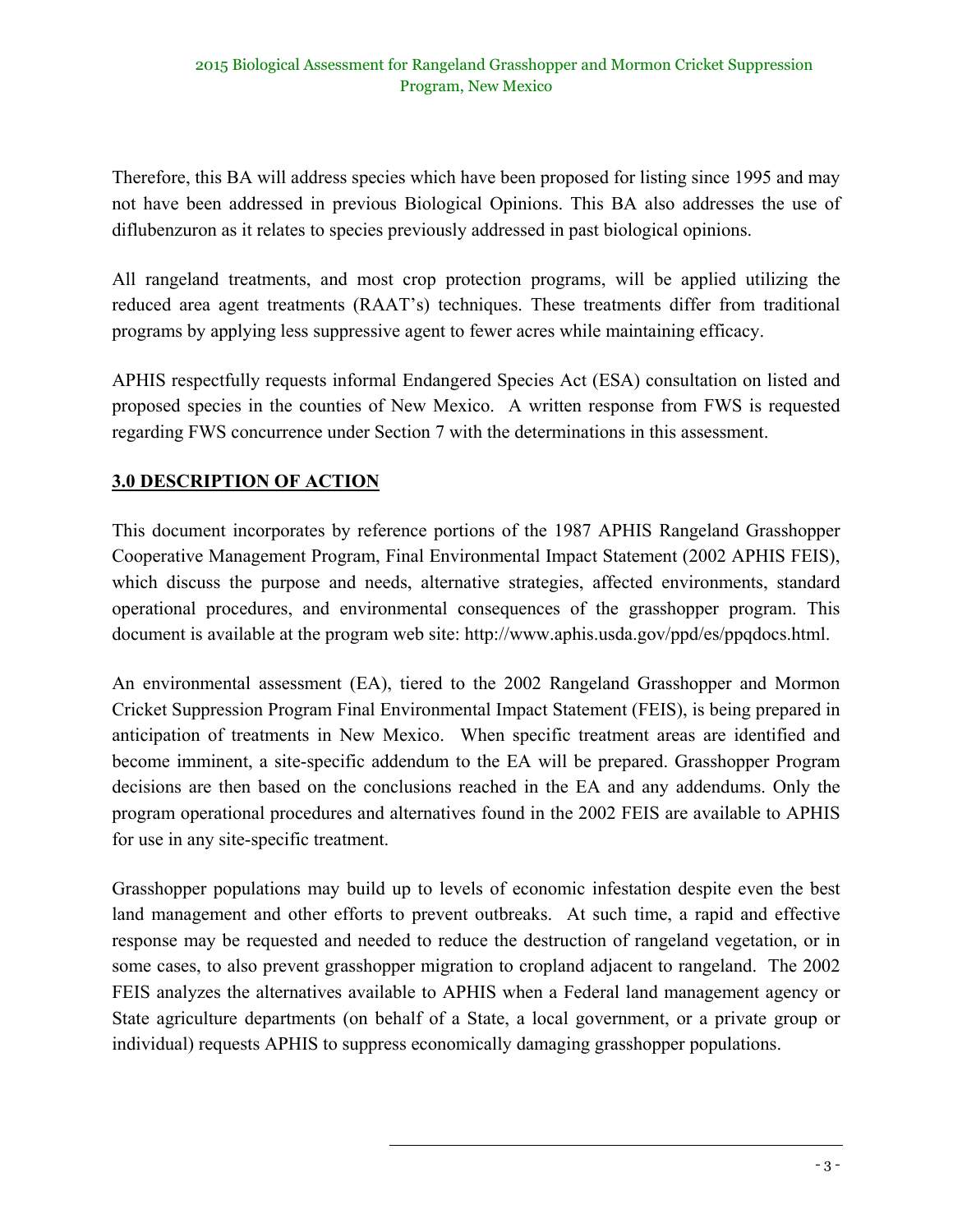Therefore, this BA will address species which have been proposed for listing since 1995 and may not have been addressed in previous Biological Opinions. This BA also addresses the use of diflubenzuron as it relates to species previously addressed in past biological opinions.

All rangeland treatments, and most crop protection programs, will be applied utilizing the reduced area agent treatments (RAAT's) techniques. These treatments differ from traditional programs by applying less suppressive agent to fewer acres while maintaining efficacy.

APHIS respectfully requests informal Endangered Species Act (ESA) consultation on listed and proposed species in the counties of New Mexico. A written response from FWS is requested regarding FWS concurrence under Section 7 with the determinations in this assessment.

# **3.0 DESCRIPTION OF ACTION**

This document incorporates by reference portions of the 1987 APHIS Rangeland Grasshopper Cooperative Management Program, Final Environmental Impact Statement (2002 APHIS FEIS), which discuss the purpose and needs, alternative strategies, affected environments, standard operational procedures, and environmental consequences of the grasshopper program. This document is available at the program web site: http://www.aphis.usda.gov/ppd/es/ppqdocs.html.

An environmental assessment (EA), tiered to the 2002 Rangeland Grasshopper and Mormon Cricket Suppression Program Final Environmental Impact Statement (FEIS), is being prepared in anticipation of treatments in New Mexico. When specific treatment areas are identified and become imminent, a site-specific addendum to the EA will be prepared. Grasshopper Program decisions are then based on the conclusions reached in the EA and any addendums. Only the program operational procedures and alternatives found in the 2002 FEIS are available to APHIS for use in any site-specific treatment.

Grasshopper populations may build up to levels of economic infestation despite even the best land management and other efforts to prevent outbreaks. At such time, a rapid and effective response may be requested and needed to reduce the destruction of rangeland vegetation, or in some cases, to also prevent grasshopper migration to cropland adjacent to rangeland. The 2002 FEIS analyzes the alternatives available to APHIS when a Federal land management agency or State agriculture departments (on behalf of a State, a local government, or a private group or individual) requests APHIS to suppress economically damaging grasshopper populations.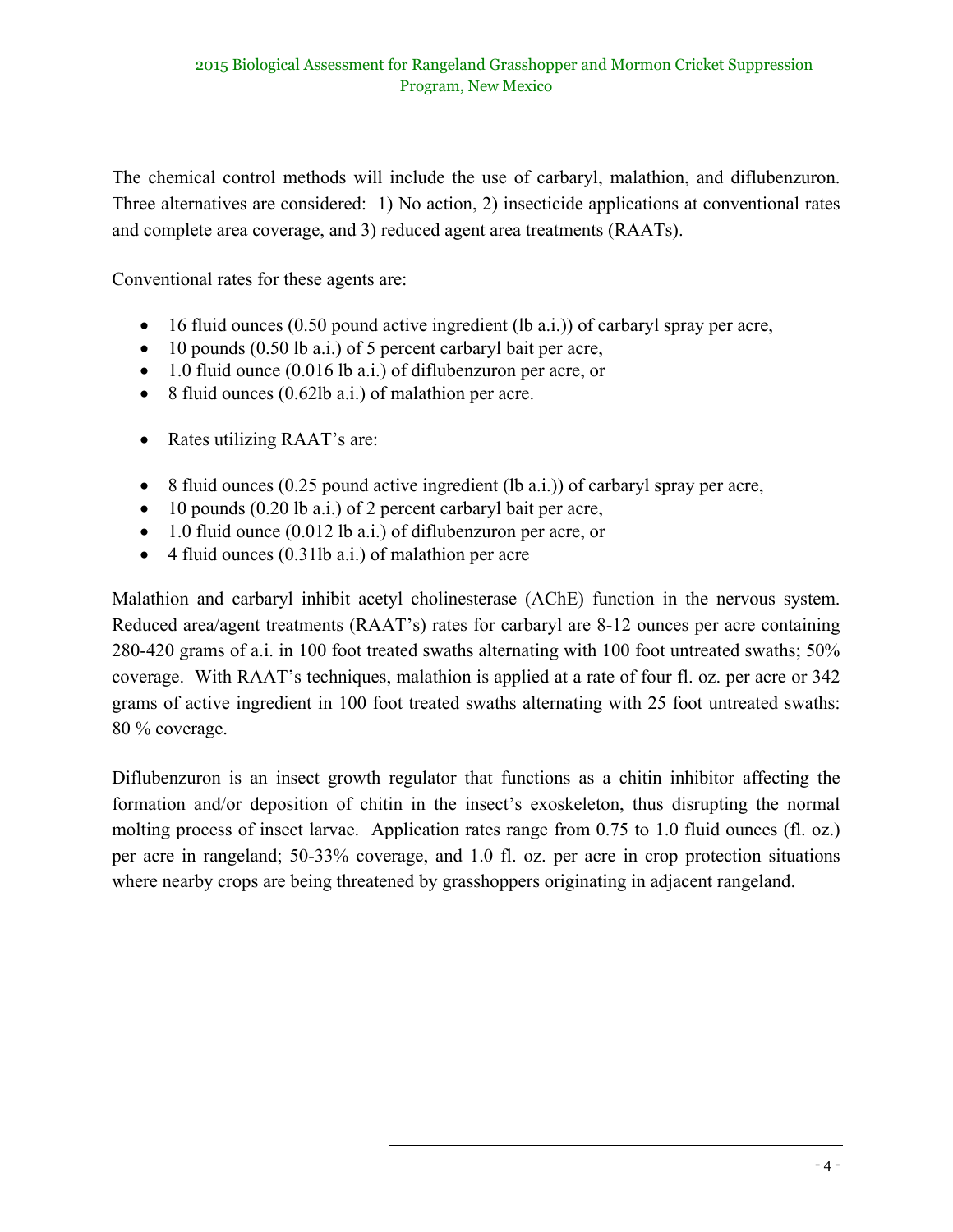The chemical control methods will include the use of carbaryl, malathion, and diflubenzuron. Three alternatives are considered: 1) No action, 2) insecticide applications at conventional rates and complete area coverage, and 3) reduced agent area treatments (RAATs).

Conventional rates for these agents are:

- $\bullet$  16 fluid ounces (0.50 pound active ingredient (lb a.i.)) of carbaryl spray per acre,
- 10 pounds (0.50 lb a.i.) of 5 percent carbaryl bait per acre,
- 1.0 fluid ounce (0.016 lb a.i.) of diflubenzuron per acre, or
- 8 fluid ounces (0.62lb a.i.) of malathion per acre.
- Rates utilizing RAAT's are:
- 8 fluid ounces (0.25 pound active ingredient (lb a.i.)) of carbaryl spray per acre,
- 10 pounds (0.20 lb a.i.) of 2 percent carbaryl bait per acre,
- 1.0 fluid ounce (0.012 lb a.i.) of diflubenzuron per acre, or
- 4 fluid ounces (0.31lb a.i.) of malathion per acre

Malathion and carbaryl inhibit acetyl cholinesterase (AChE) function in the nervous system. Reduced area/agent treatments (RAAT's) rates for carbaryl are 8-12 ounces per acre containing 280-420 grams of a.i. in 100 foot treated swaths alternating with 100 foot untreated swaths; 50% coverage. With RAAT's techniques, malathion is applied at a rate of four fl. oz. per acre or 342 grams of active ingredient in 100 foot treated swaths alternating with 25 foot untreated swaths: 80 % coverage.

Diflubenzuron is an insect growth regulator that functions as a chitin inhibitor affecting the formation and/or deposition of chitin in the insect's exoskeleton, thus disrupting the normal molting process of insect larvae. Application rates range from 0.75 to 1.0 fluid ounces (fl. oz.) per acre in rangeland; 50-33% coverage, and 1.0 fl. oz. per acre in crop protection situations where nearby crops are being threatened by grasshoppers originating in adjacent rangeland.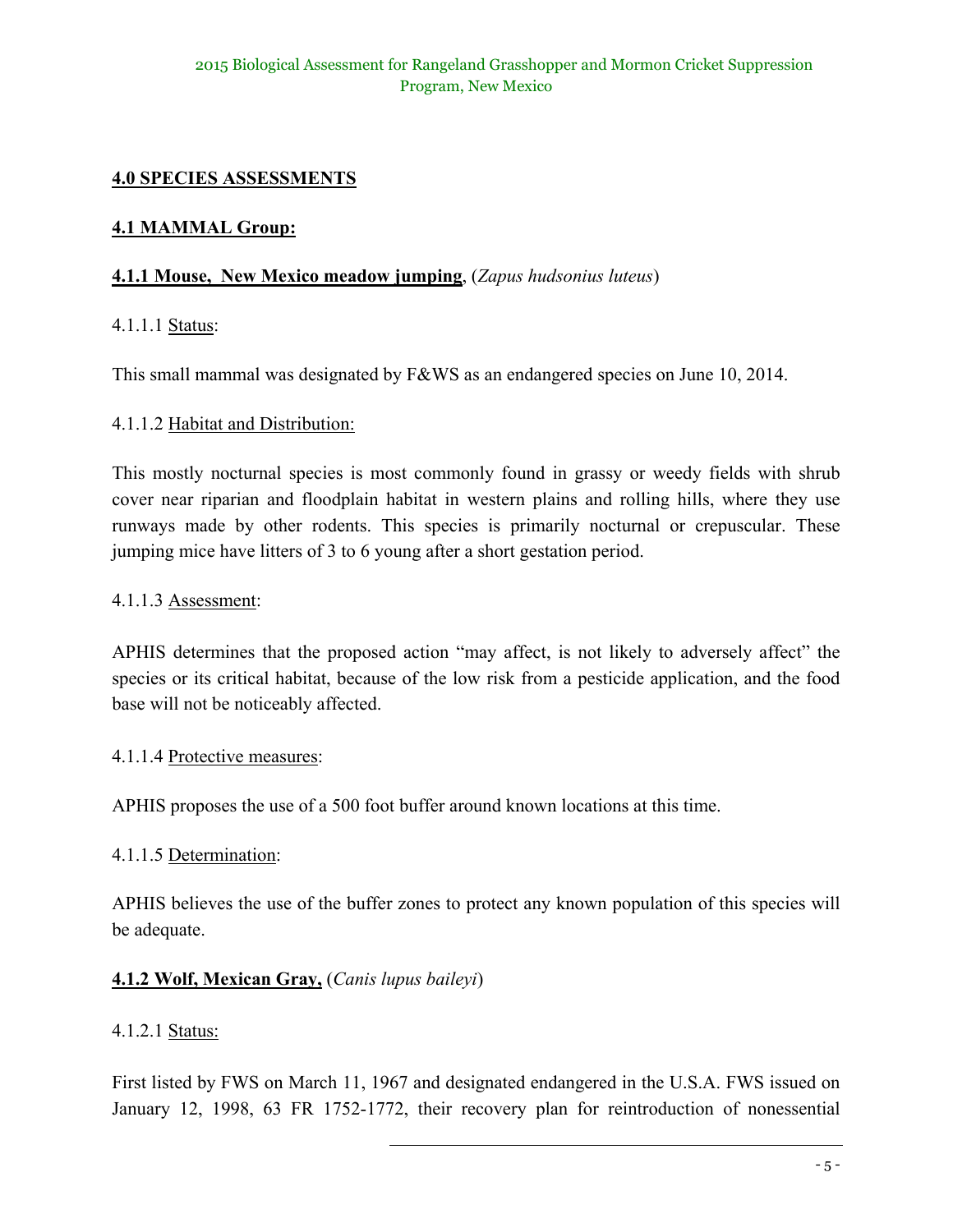# **4.0 SPECIES ASSESSMENTS**

# **4.1 MAMMAL Group:**

### **4.1.1 Mouse, New Mexico meadow jumping**, (*Zapus hudsonius luteus*)

### 4.1.1.1 Status:

This small mammal was designated by F&WS as an endangered species on June 10, 2014.

### 4.1.1.2 Habitat and Distribution:

This mostly nocturnal species is most commonly found in grassy or weedy fields with shrub cover near riparian and floodplain habitat in western plains and rolling hills, where they use runways made by other rodents. This species is primarily nocturnal or crepuscular. These jumping mice have litters of 3 to 6 young after a short gestation period.

### 4.1.1.3 Assessment:

APHIS determines that the proposed action "may affect, is not likely to adversely affect" the species or its critical habitat, because of the low risk from a pesticide application, and the food base will not be noticeably affected.

#### 4.1.1.4 Protective measures:

APHIS proposes the use of a 500 foot buffer around known locations at this time.

# 4.1.1.5 Determination:

APHIS believes the use of the buffer zones to protect any known population of this species will be adequate.

# **4.1.2 Wolf, Mexican Gray,** (*Canis lupus baileyi*)

# 4.1.2.1 Status:

First listed by FWS on March 11, 1967 and designated endangered in the U.S.A. FWS issued on January 12, 1998, 63 FR 1752-1772, their recovery plan for reintroduction of nonessential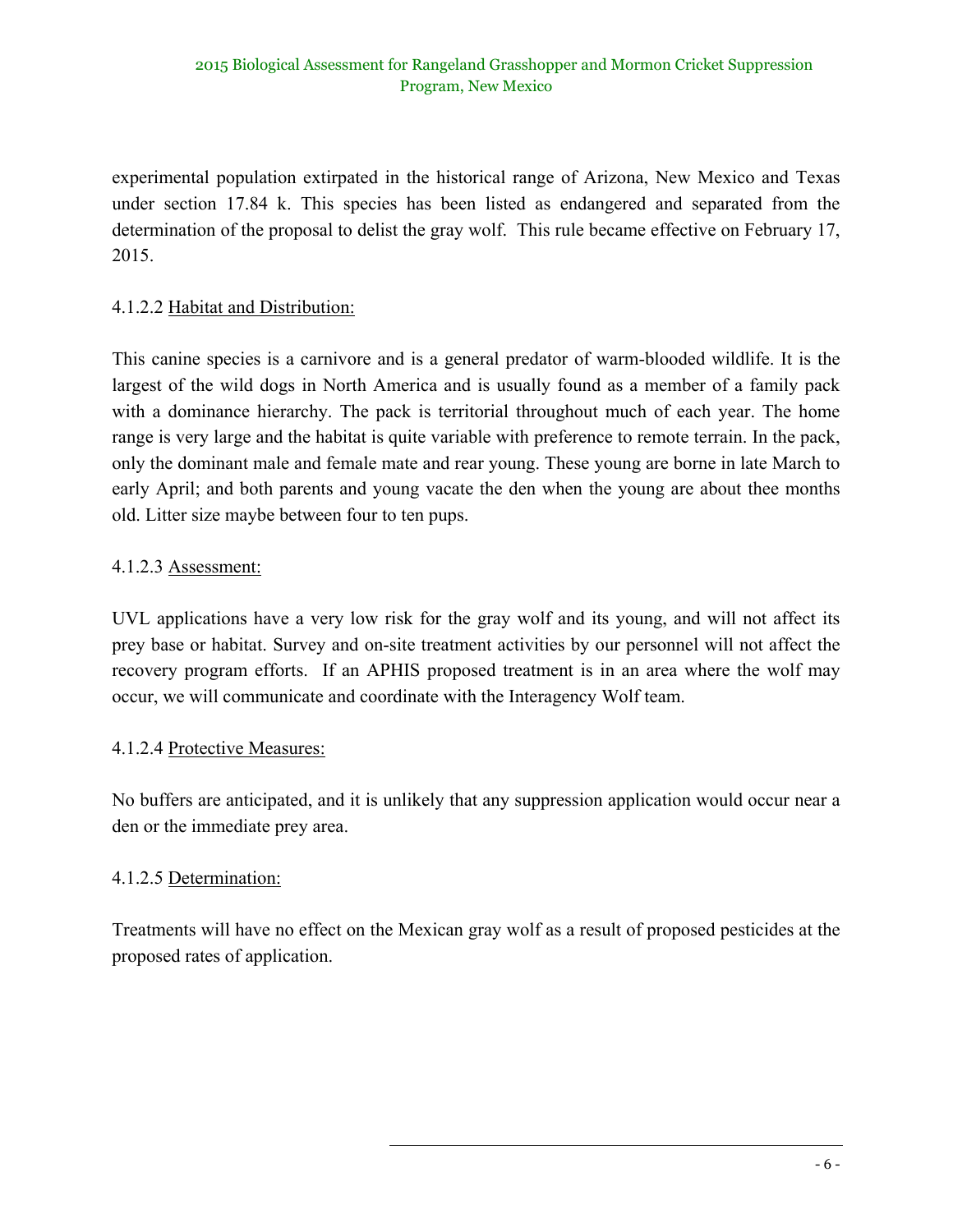experimental population extirpated in the historical range of Arizona, New Mexico and Texas under section 17.84 k. This species has been listed as endangered and separated from the determination of the proposal to delist the gray wolf. This rule became effective on February 17, 2015.

# 4.1.2.2 Habitat and Distribution:

This canine species is a carnivore and is a general predator of warm-blooded wildlife. It is the largest of the wild dogs in North America and is usually found as a member of a family pack with a dominance hierarchy. The pack is territorial throughout much of each year. The home range is very large and the habitat is quite variable with preference to remote terrain. In the pack, only the dominant male and female mate and rear young. These young are borne in late March to early April; and both parents and young vacate the den when the young are about thee months old. Litter size maybe between four to ten pups.

# 4.1.2.3 Assessment:

UVL applications have a very low risk for the gray wolf and its young, and will not affect its prey base or habitat. Survey and on-site treatment activities by our personnel will not affect the recovery program efforts. If an APHIS proposed treatment is in an area where the wolf may occur, we will communicate and coordinate with the Interagency Wolf team.

# 4.1.2.4 Protective Measures:

No buffers are anticipated, and it is unlikely that any suppression application would occur near a den or the immediate prey area.

# 4.1.2.5 Determination:

Treatments will have no effect on the Mexican gray wolf as a result of proposed pesticides at the proposed rates of application.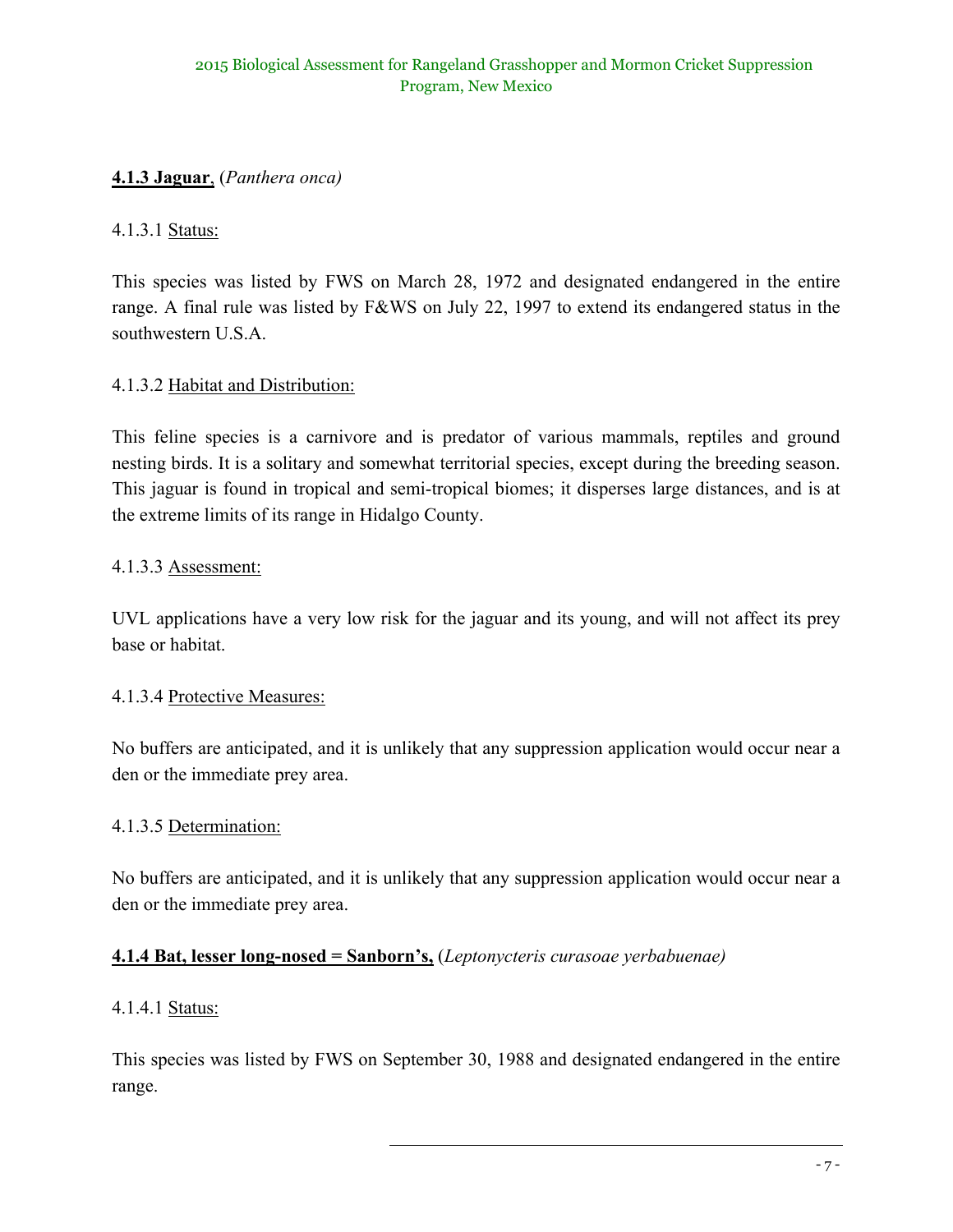# **4.1.3 Jaguar**, (*Panthera onca)*

# 4.1.3.1 Status:

This species was listed by FWS on March 28, 1972 and designated endangered in the entire range. A final rule was listed by F&WS on July 22, 1997 to extend its endangered status in the southwestern U.S.A.

### 4.1.3.2 Habitat and Distribution:

This feline species is a carnivore and is predator of various mammals, reptiles and ground nesting birds. It is a solitary and somewhat territorial species, except during the breeding season. This jaguar is found in tropical and semi-tropical biomes; it disperses large distances, and is at the extreme limits of its range in Hidalgo County.

#### 4.1.3.3 Assessment:

UVL applications have a very low risk for the jaguar and its young, and will not affect its prey base or habitat.

#### 4.1.3.4 Protective Measures:

No buffers are anticipated, and it is unlikely that any suppression application would occur near a den or the immediate prey area.

#### 4.1.3.5 Determination:

No buffers are anticipated, and it is unlikely that any suppression application would occur near a den or the immediate prey area.

### **4.1.4 Bat, lesser long-nosed = Sanborn's,** (*Leptonycteris curasoae yerbabuenae)*

#### 4.1.4.1 Status:

This species was listed by FWS on September 30, 1988 and designated endangered in the entire range.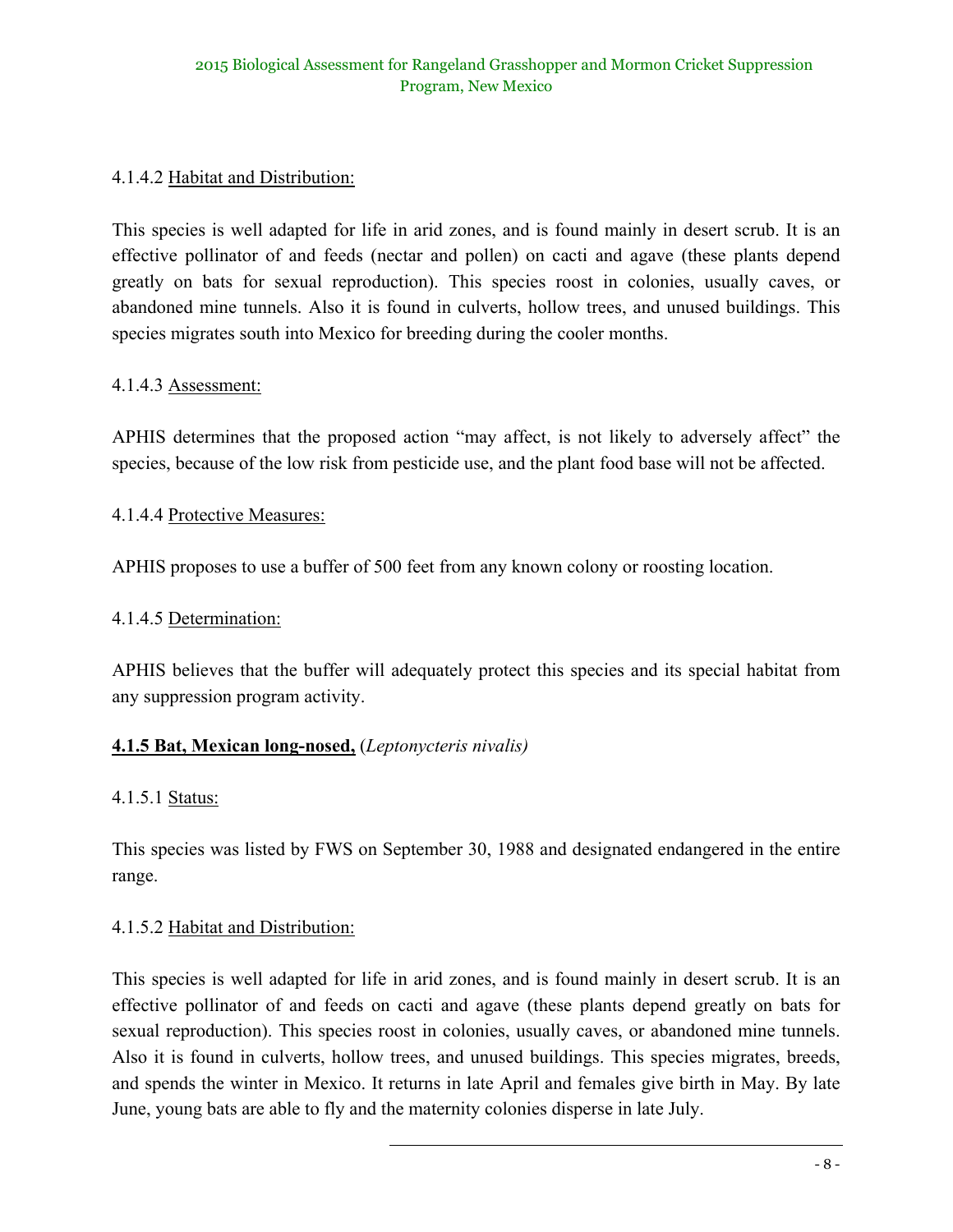# 4.1.4.2 Habitat and Distribution:

This species is well adapted for life in arid zones, and is found mainly in desert scrub. It is an effective pollinator of and feeds (nectar and pollen) on cacti and agave (these plants depend greatly on bats for sexual reproduction). This species roost in colonies, usually caves, or abandoned mine tunnels. Also it is found in culverts, hollow trees, and unused buildings. This species migrates south into Mexico for breeding during the cooler months.

# 4.1.4.3 Assessment:

APHIS determines that the proposed action "may affect, is not likely to adversely affect" the species, because of the low risk from pesticide use, and the plant food base will not be affected.

### 4.1.4.4 Protective Measures:

APHIS proposes to use a buffer of 500 feet from any known colony or roosting location.

# 4.1.4.5 Determination:

APHIS believes that the buffer will adequately protect this species and its special habitat from any suppression program activity.

# **4.1.5 Bat, Mexican long-nosed,** (*Leptonycteris nivalis)*

#### 4.1.5.1 Status:

This species was listed by FWS on September 30, 1988 and designated endangered in the entire range.

#### 4.1.5.2 Habitat and Distribution:

This species is well adapted for life in arid zones, and is found mainly in desert scrub. It is an effective pollinator of and feeds on cacti and agave (these plants depend greatly on bats for sexual reproduction). This species roost in colonies, usually caves, or abandoned mine tunnels. Also it is found in culverts, hollow trees, and unused buildings. This species migrates, breeds, and spends the winter in Mexico. It returns in late April and females give birth in May. By late June, young bats are able to fly and the maternity colonies disperse in late July.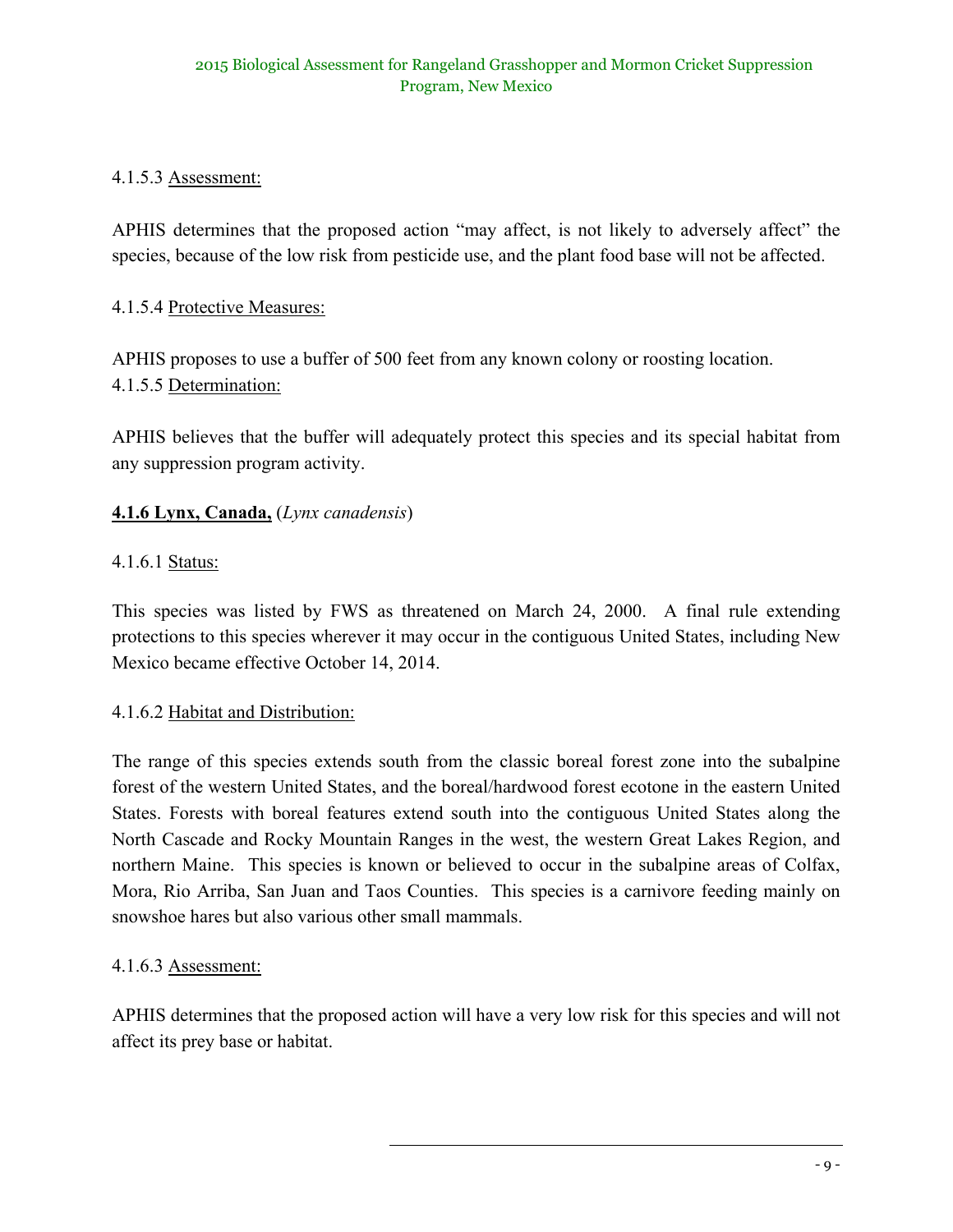# 4.1.5.3 Assessment:

APHIS determines that the proposed action "may affect, is not likely to adversely affect" the species, because of the low risk from pesticide use, and the plant food base will not be affected.

# 4.1.5.4 Protective Measures:

APHIS proposes to use a buffer of 500 feet from any known colony or roosting location. 4.1.5.5 Determination:

APHIS believes that the buffer will adequately protect this species and its special habitat from any suppression program activity.

# **4.1.6 Lynx, Canada,** (*Lynx canadensis*)

# 4.1.6.1 Status:

This species was listed by FWS as threatened on March 24, 2000. A final rule extending protections to this species wherever it may occur in the contiguous United States, including New Mexico became effective October 14, 2014.

# 4.1.6.2 Habitat and Distribution:

The range of this species extends south from the classic boreal forest zone into the subalpine forest of the western United States, and the boreal/hardwood forest ecotone in the eastern United States. Forests with boreal features extend south into the contiguous United States along the North Cascade and Rocky Mountain Ranges in the west, the western Great Lakes Region, and northern Maine. This species is known or believed to occur in the subalpine areas of Colfax, Mora, Rio Arriba, San Juan and Taos Counties. This species is a carnivore feeding mainly on snowshoe hares but also various other small mammals.

# 4.1.6.3 Assessment:

APHIS determines that the proposed action will have a very low risk for this species and will not affect its prey base or habitat.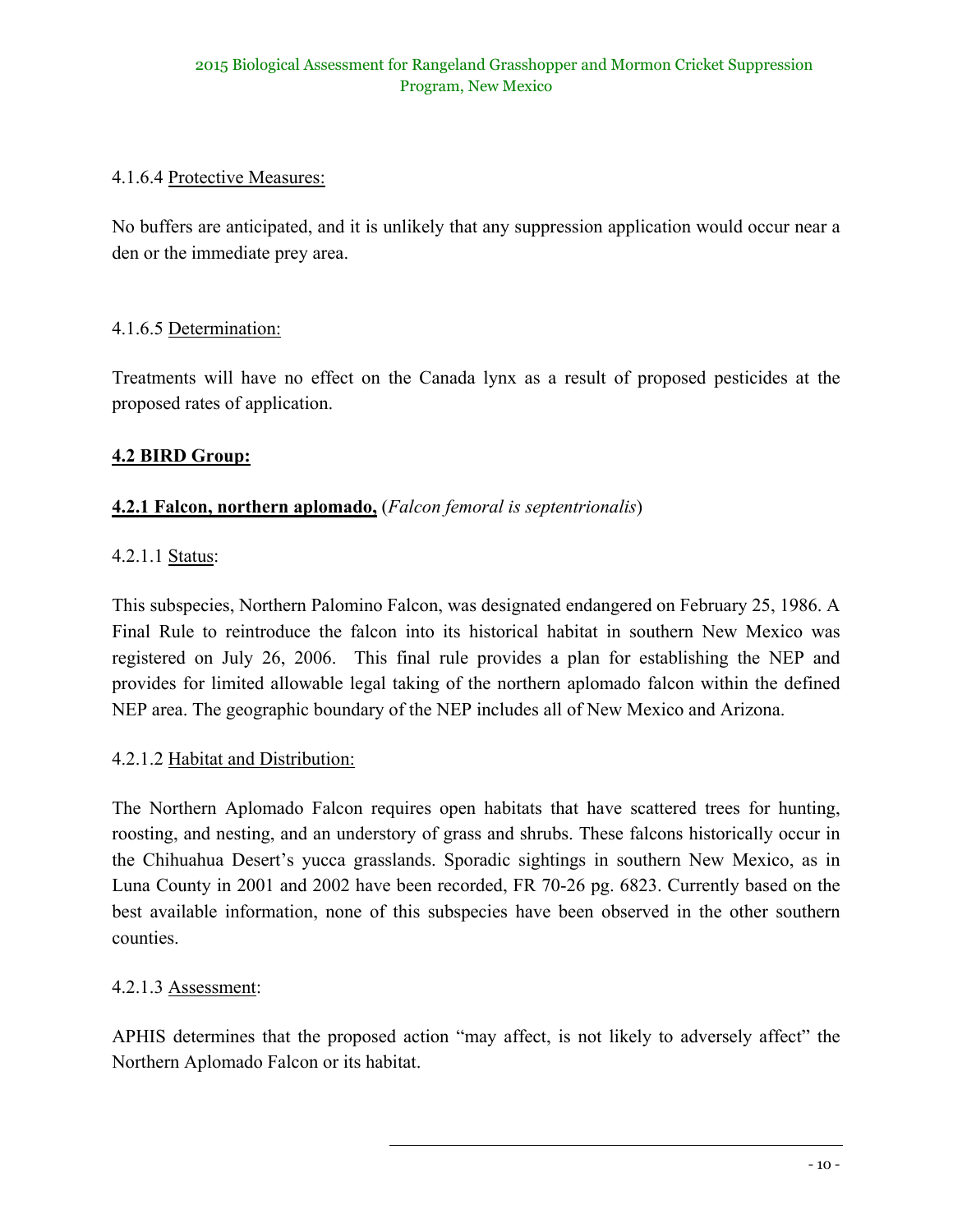# 4.1.6.4 Protective Measures:

No buffers are anticipated, and it is unlikely that any suppression application would occur near a den or the immediate prey area.

### 4.1.6.5 Determination:

Treatments will have no effect on the Canada lynx as a result of proposed pesticides at the proposed rates of application.

# **4.2 BIRD Group:**

#### **4.2.1 Falcon, northern aplomado,** (*Falcon femoral is septentrionalis*)

### 4.2.1.1 Status:

This subspecies, Northern Palomino Falcon, was designated endangered on February 25, 1986. A Final Rule to reintroduce the falcon into its historical habitat in southern New Mexico was registered on July 26, 2006. This final rule provides a plan for establishing the NEP and provides for limited allowable legal taking of the northern aplomado falcon within the defined NEP area. The geographic boundary of the NEP includes all of New Mexico and Arizona.

#### 4.2.1.2 Habitat and Distribution:

The Northern Aplomado Falcon requires open habitats that have scattered trees for hunting, roosting, and nesting, and an understory of grass and shrubs. These falcons historically occur in the Chihuahua Desert's yucca grasslands. Sporadic sightings in southern New Mexico, as in Luna County in 2001 and 2002 have been recorded, FR 70-26 pg. 6823. Currently based on the best available information, none of this subspecies have been observed in the other southern counties.

#### 4.2.1.3 Assessment:

APHIS determines that the proposed action "may affect, is not likely to adversely affect" the Northern Aplomado Falcon or its habitat.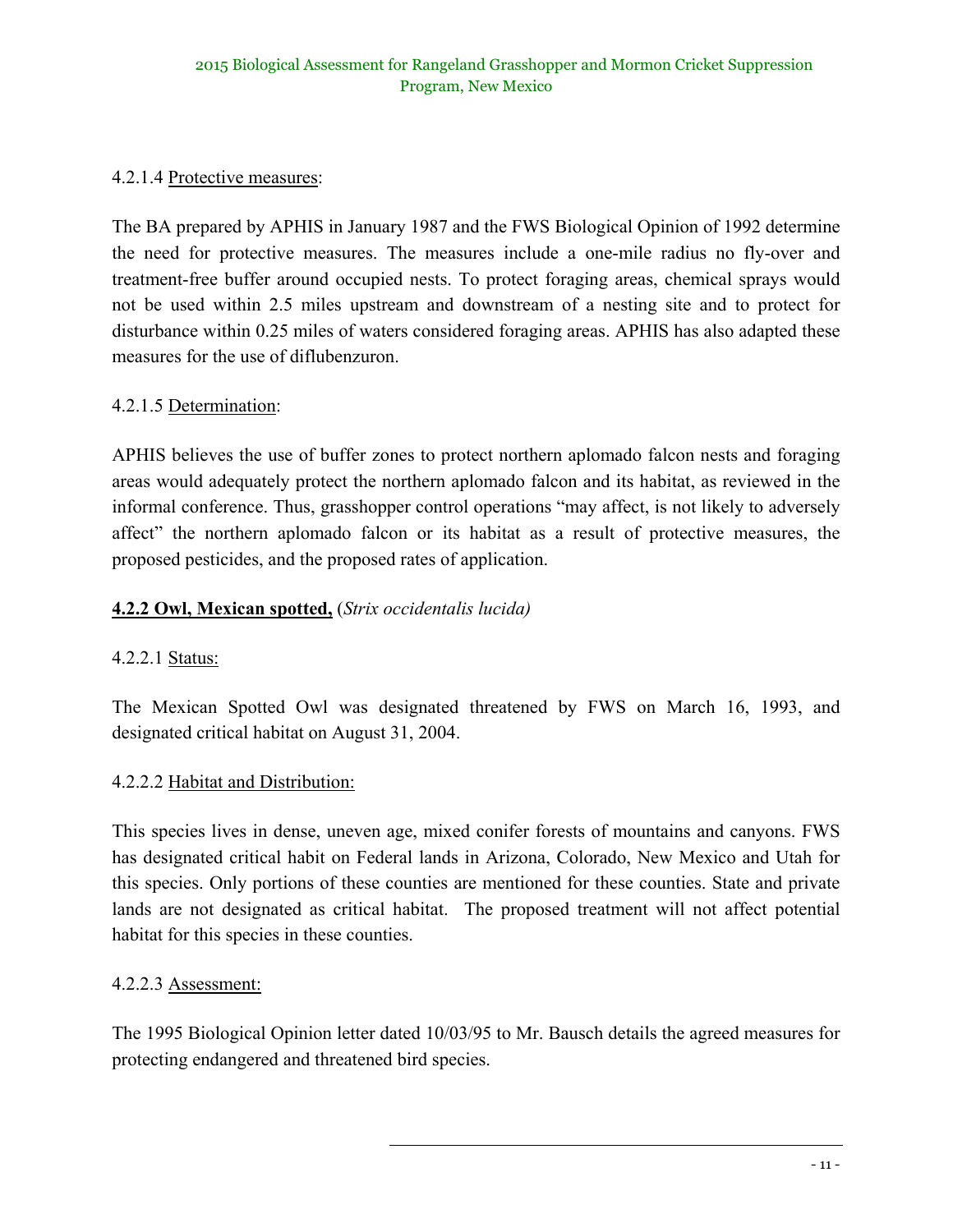# 4.2.1.4 Protective measures:

The BA prepared by APHIS in January 1987 and the FWS Biological Opinion of 1992 determine the need for protective measures. The measures include a one-mile radius no fly-over and treatment-free buffer around occupied nests. To protect foraging areas, chemical sprays would not be used within 2.5 miles upstream and downstream of a nesting site and to protect for disturbance within 0.25 miles of waters considered foraging areas. APHIS has also adapted these measures for the use of diflubenzuron.

### 4.2.1.5 Determination:

APHIS believes the use of buffer zones to protect northern aplomado falcon nests and foraging areas would adequately protect the northern aplomado falcon and its habitat, as reviewed in the informal conference. Thus, grasshopper control operations "may affect, is not likely to adversely affect" the northern aplomado falcon or its habitat as a result of protective measures, the proposed pesticides, and the proposed rates of application.

# **4.2.2 Owl, Mexican spotted,** (*Strix occidentalis lucida)*

#### 4.2.2.1 Status:

The Mexican Spotted Owl was designated threatened by FWS on March 16, 1993, and designated critical habitat on August 31, 2004.

#### 4.2.2.2 Habitat and Distribution:

This species lives in dense, uneven age, mixed conifer forests of mountains and canyons. FWS has designated critical habit on Federal lands in Arizona, Colorado, New Mexico and Utah for this species. Only portions of these counties are mentioned for these counties. State and private lands are not designated as critical habitat. The proposed treatment will not affect potential habitat for this species in these counties.

#### 4.2.2.3 Assessment:

The 1995 Biological Opinion letter dated 10/03/95 to Mr. Bausch details the agreed measures for protecting endangered and threatened bird species.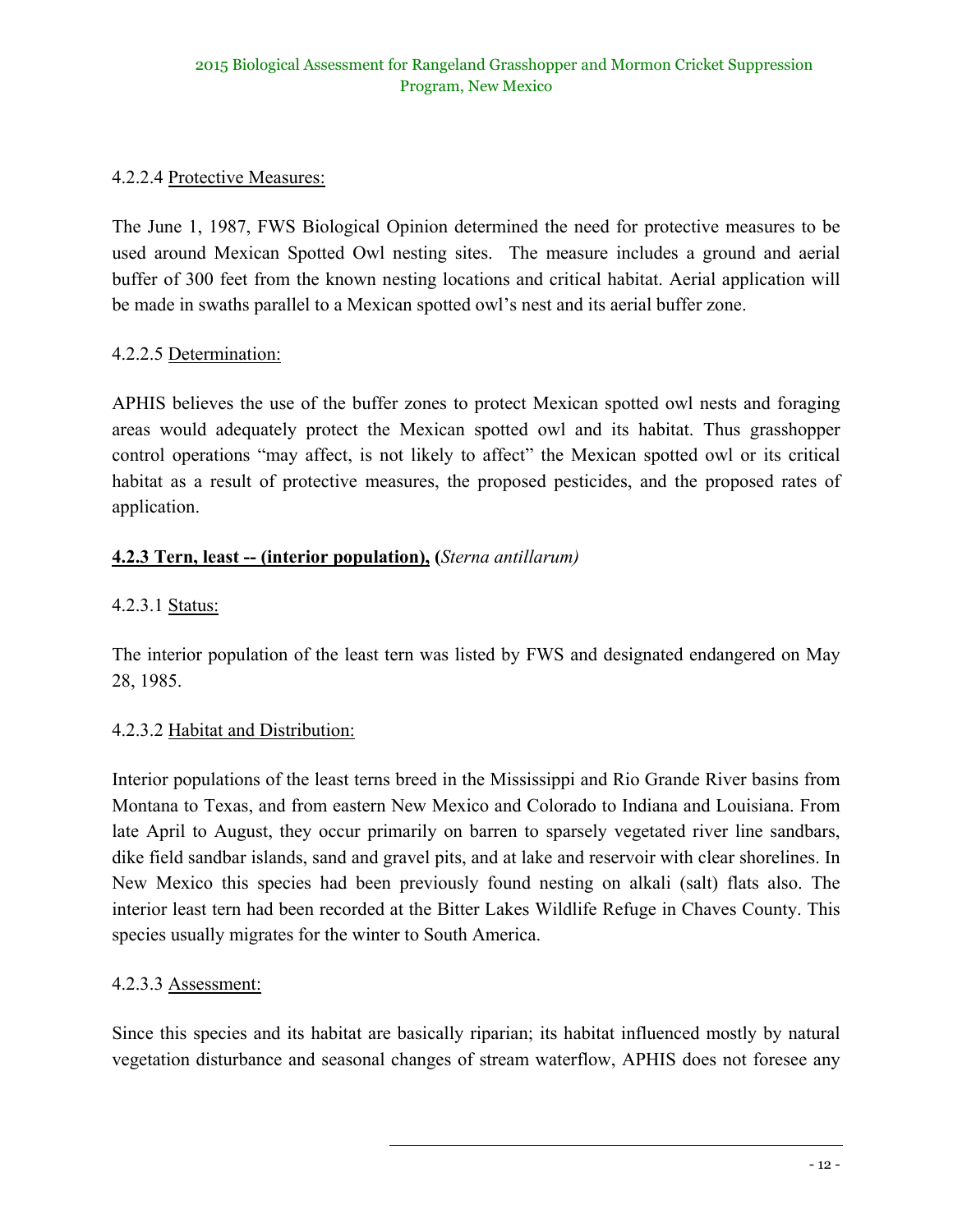# 4.2.2.4 Protective Measures:

The June 1, 1987, FWS Biological Opinion determined the need for protective measures to be used around Mexican Spotted Owl nesting sites. The measure includes a ground and aerial buffer of 300 feet from the known nesting locations and critical habitat. Aerial application will be made in swaths parallel to a Mexican spotted owl's nest and its aerial buffer zone.

### 4.2.2.5 Determination:

APHIS believes the use of the buffer zones to protect Mexican spotted owl nests and foraging areas would adequately protect the Mexican spotted owl and its habitat. Thus grasshopper control operations "may affect, is not likely to affect" the Mexican spotted owl or its critical habitat as a result of protective measures, the proposed pesticides, and the proposed rates of application.

# **4.2.3 Tern, least -- (interior population), (***Sterna antillarum)*

#### 4.2.3.1 Status:

The interior population of the least tern was listed by FWS and designated endangered on May 28, 1985.

#### 4.2.3.2 Habitat and Distribution:

Interior populations of the least terns breed in the Mississippi and Rio Grande River basins from Montana to Texas, and from eastern New Mexico and Colorado to Indiana and Louisiana. From late April to August, they occur primarily on barren to sparsely vegetated river line sandbars, dike field sandbar islands, sand and gravel pits, and at lake and reservoir with clear shorelines. In New Mexico this species had been previously found nesting on alkali (salt) flats also. The interior least tern had been recorded at the Bitter Lakes Wildlife Refuge in Chaves County. This species usually migrates for the winter to South America.

#### 4.2.3.3 Assessment:

Since this species and its habitat are basically riparian; its habitat influenced mostly by natural vegetation disturbance and seasonal changes of stream waterflow, APHIS does not foresee any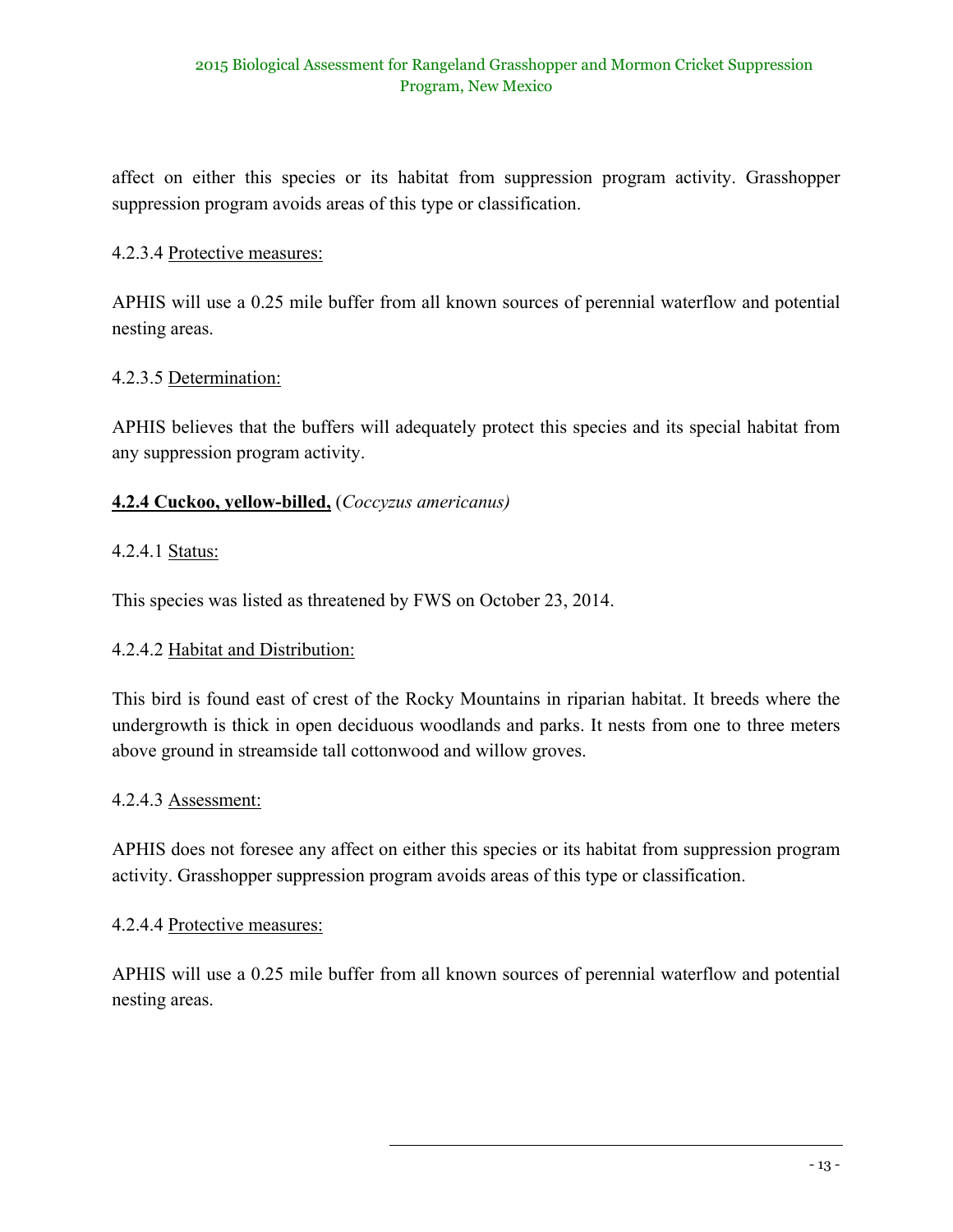affect on either this species or its habitat from suppression program activity. Grasshopper suppression program avoids areas of this type or classification.

# 4.2.3.4 Protective measures:

APHIS will use a 0.25 mile buffer from all known sources of perennial waterflow and potential nesting areas.

#### 4.2.3.5 Determination:

APHIS believes that the buffers will adequately protect this species and its special habitat from any suppression program activity.

### **4.2.4 Cuckoo, yellow-billed,** (*Coccyzus americanus)*

### 4.2.4.1 Status:

This species was listed as threatened by FWS on October 23, 2014.

#### 4.2.4.2 Habitat and Distribution:

This bird is found east of crest of the Rocky Mountains in riparian habitat. It breeds where the undergrowth is thick in open deciduous woodlands and parks. It nests from one to three meters above ground in streamside tall cottonwood and willow groves.

#### 4.2.4.3 Assessment:

APHIS does not foresee any affect on either this species or its habitat from suppression program activity. Grasshopper suppression program avoids areas of this type or classification.

#### 4.2.4.4 Protective measures:

APHIS will use a 0.25 mile buffer from all known sources of perennial waterflow and potential nesting areas.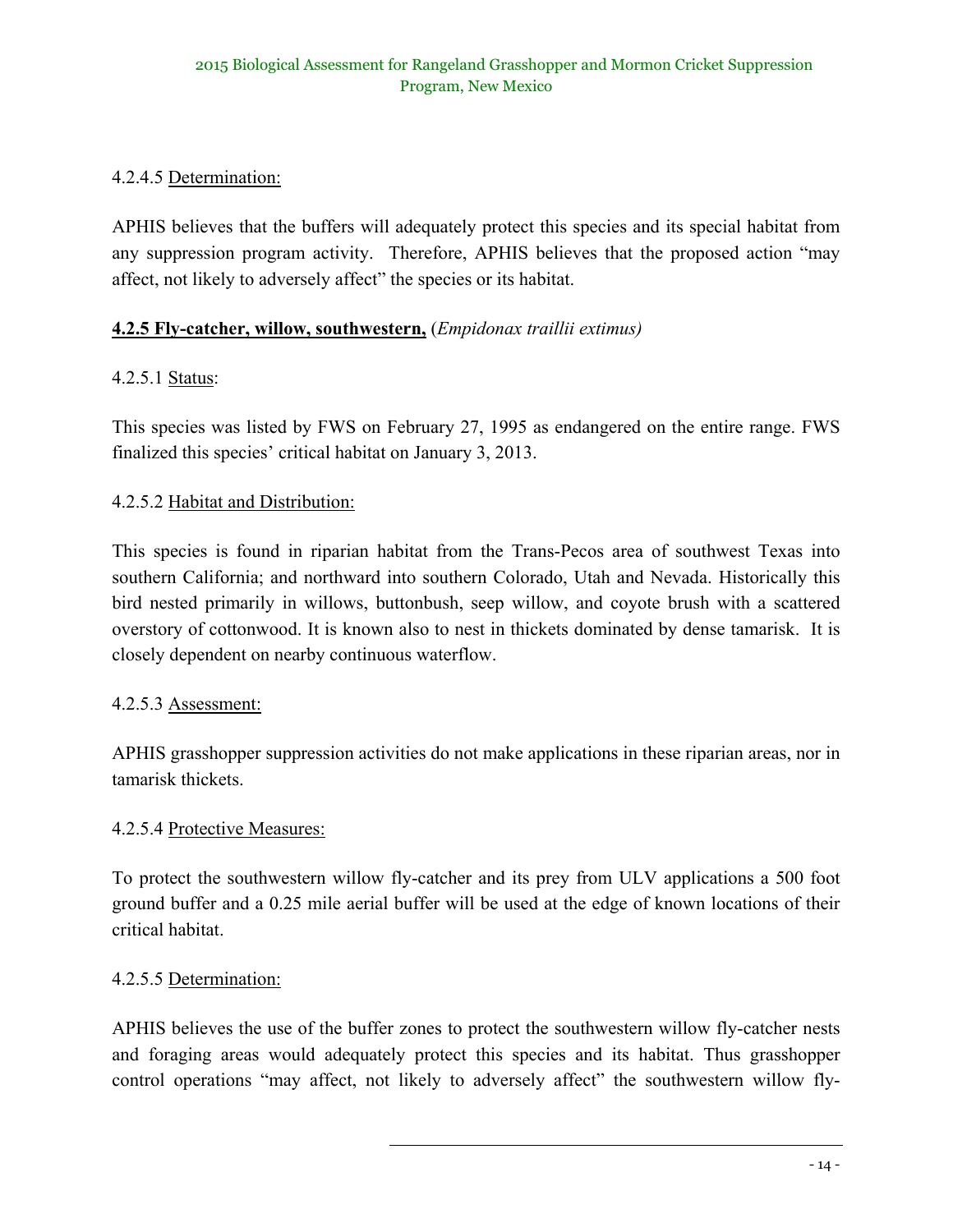# 4.2.4.5 Determination:

APHIS believes that the buffers will adequately protect this species and its special habitat from any suppression program activity. Therefore, APHIS believes that the proposed action "may affect, not likely to adversely affect" the species or its habitat.

# **4.2.5 Fly-catcher, willow, southwestern,** (*Empidonax traillii extimus)*

# 4.2.5.1 Status:

This species was listed by FWS on February 27, 1995 as endangered on the entire range. FWS finalized this species' critical habitat on January 3, 2013.

# 4.2.5.2 Habitat and Distribution:

This species is found in riparian habitat from the Trans-Pecos area of southwest Texas into southern California; and northward into southern Colorado, Utah and Nevada. Historically this bird nested primarily in willows, buttonbush, seep willow, and coyote brush with a scattered overstory of cottonwood. It is known also to nest in thickets dominated by dense tamarisk. It is closely dependent on nearby continuous waterflow.

# 4.2.5.3 Assessment:

APHIS grasshopper suppression activities do not make applications in these riparian areas, nor in tamarisk thickets.

# 4.2.5.4 Protective Measures:

To protect the southwestern willow fly-catcher and its prey from ULV applications a 500 foot ground buffer and a 0.25 mile aerial buffer will be used at the edge of known locations of their critical habitat.

# 4.2.5.5 Determination:

APHIS believes the use of the buffer zones to protect the southwestern willow fly-catcher nests and foraging areas would adequately protect this species and its habitat. Thus grasshopper control operations "may affect, not likely to adversely affect" the southwestern willow fly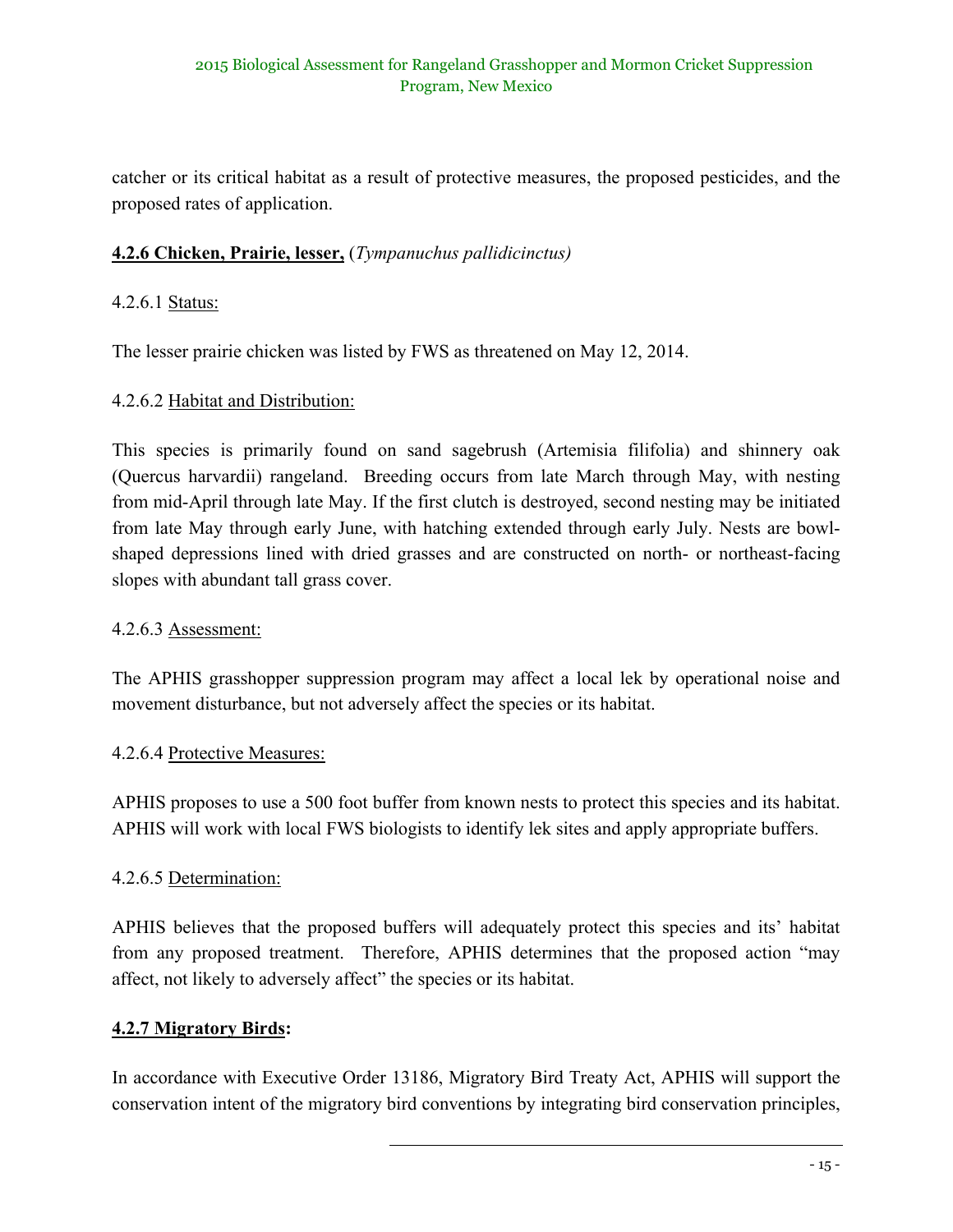catcher or its critical habitat as a result of protective measures, the proposed pesticides, and the proposed rates of application.

# **4.2.6 Chicken, Prairie, lesser,** (*Tympanuchus pallidicinctus)*

#### 4.2.6.1 Status:

The lesser prairie chicken was listed by FWS as threatened on May 12, 2014.

### 4.2.6.2 Habitat and Distribution:

This species is primarily found on sand sagebrush (Artemisia filifolia) and shinnery oak (Quercus harvardii) rangeland. Breeding occurs from late March through May, with nesting from mid-April through late May. If the first clutch is destroyed, second nesting may be initiated from late May through early June, with hatching extended through early July. Nests are bowlshaped depressions lined with dried grasses and are constructed on north- or northeast-facing slopes with abundant tall grass cover.

#### 4.2.6.3 Assessment:

The APHIS grasshopper suppression program may affect a local lek by operational noise and movement disturbance, but not adversely affect the species or its habitat.

#### 4.2.6.4 Protective Measures:

APHIS proposes to use a 500 foot buffer from known nests to protect this species and its habitat. APHIS will work with local FWS biologists to identify lek sites and apply appropriate buffers.

#### 4.2.6.5 Determination:

APHIS believes that the proposed buffers will adequately protect this species and its' habitat from any proposed treatment. Therefore, APHIS determines that the proposed action "may affect, not likely to adversely affect" the species or its habitat.

#### **4.2.7 Migratory Birds:**

In accordance with Executive Order 13186, Migratory Bird Treaty Act, APHIS will support the conservation intent of the migratory bird conventions by integrating bird conservation principles,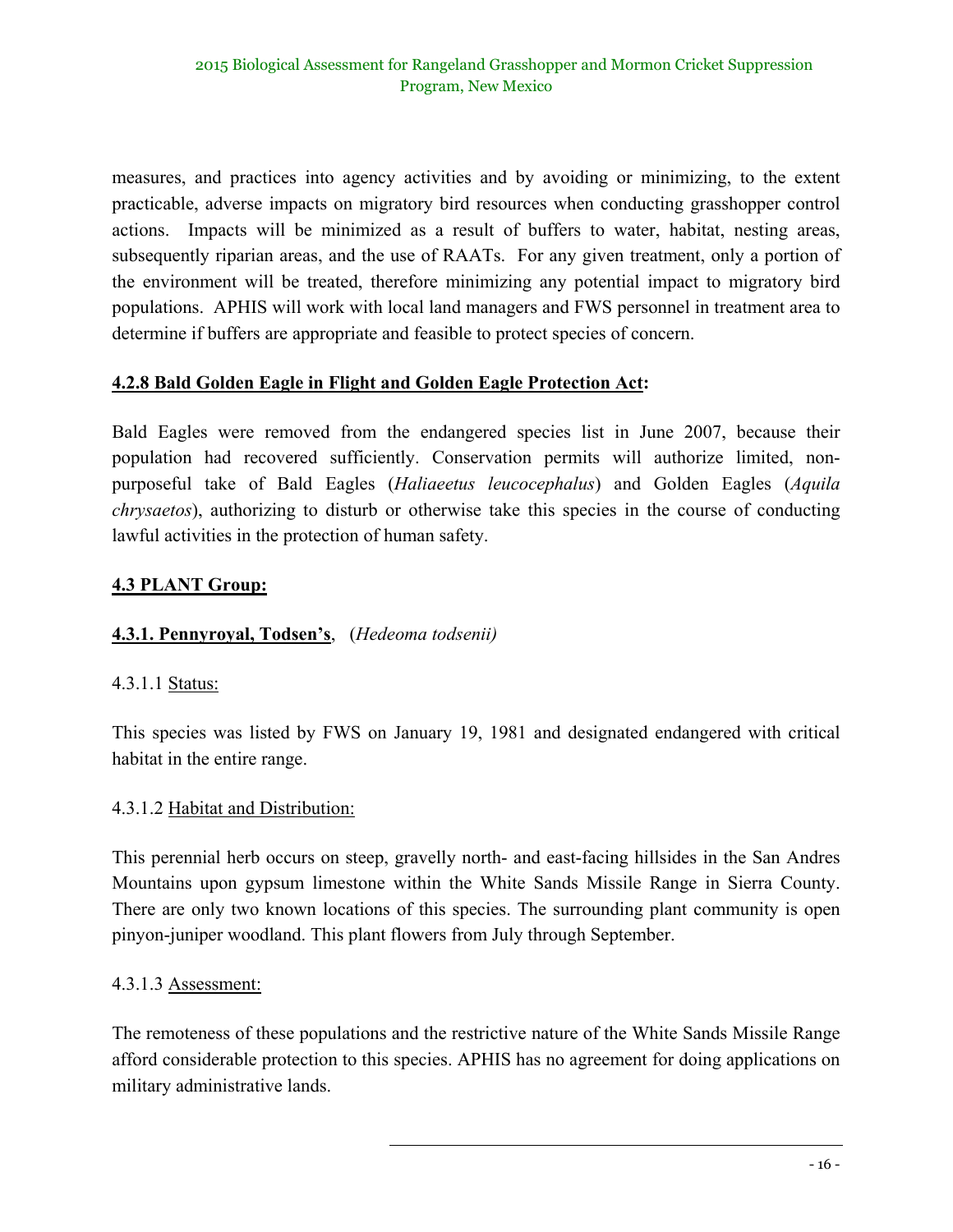measures, and practices into agency activities and by avoiding or minimizing, to the extent practicable, adverse impacts on migratory bird resources when conducting grasshopper control actions. Impacts will be minimized as a result of buffers to water, habitat, nesting areas, subsequently riparian areas, and the use of RAATs. For any given treatment, only a portion of the environment will be treated, therefore minimizing any potential impact to migratory bird populations. APHIS will work with local land managers and FWS personnel in treatment area to determine if buffers are appropriate and feasible to protect species of concern.

# **4.2.8 Bald Golden Eagle in Flight and Golden Eagle Protection Act:**

Bald Eagles were removed from the endangered species list in June 2007, because their population had recovered sufficiently. Conservation permits will authorize limited, nonpurposeful take of Bald Eagles (*Haliaeetus leucocephalus*) and Golden Eagles (*Aquila chrysaetos*), authorizing to disturb or otherwise take this species in the course of conducting lawful activities in the protection of human safety.

# **4.3 PLANT Group:**

# **4.3.1. Pennyroyal, Todsen's**, (*Hedeoma todsenii)*

# 4.3.1.1 Status:

This species was listed by FWS on January 19, 1981 and designated endangered with critical habitat in the entire range.

#### 4.3.1.2 Habitat and Distribution:

This perennial herb occurs on steep, gravelly north- and east-facing hillsides in the San Andres Mountains upon gypsum limestone within the White Sands Missile Range in Sierra County. There are only two known locations of this species. The surrounding plant community is open pinyon-juniper woodland. This plant flowers from July through September.

#### 4.3.1.3 Assessment:

The remoteness of these populations and the restrictive nature of the White Sands Missile Range afford considerable protection to this species. APHIS has no agreement for doing applications on military administrative lands.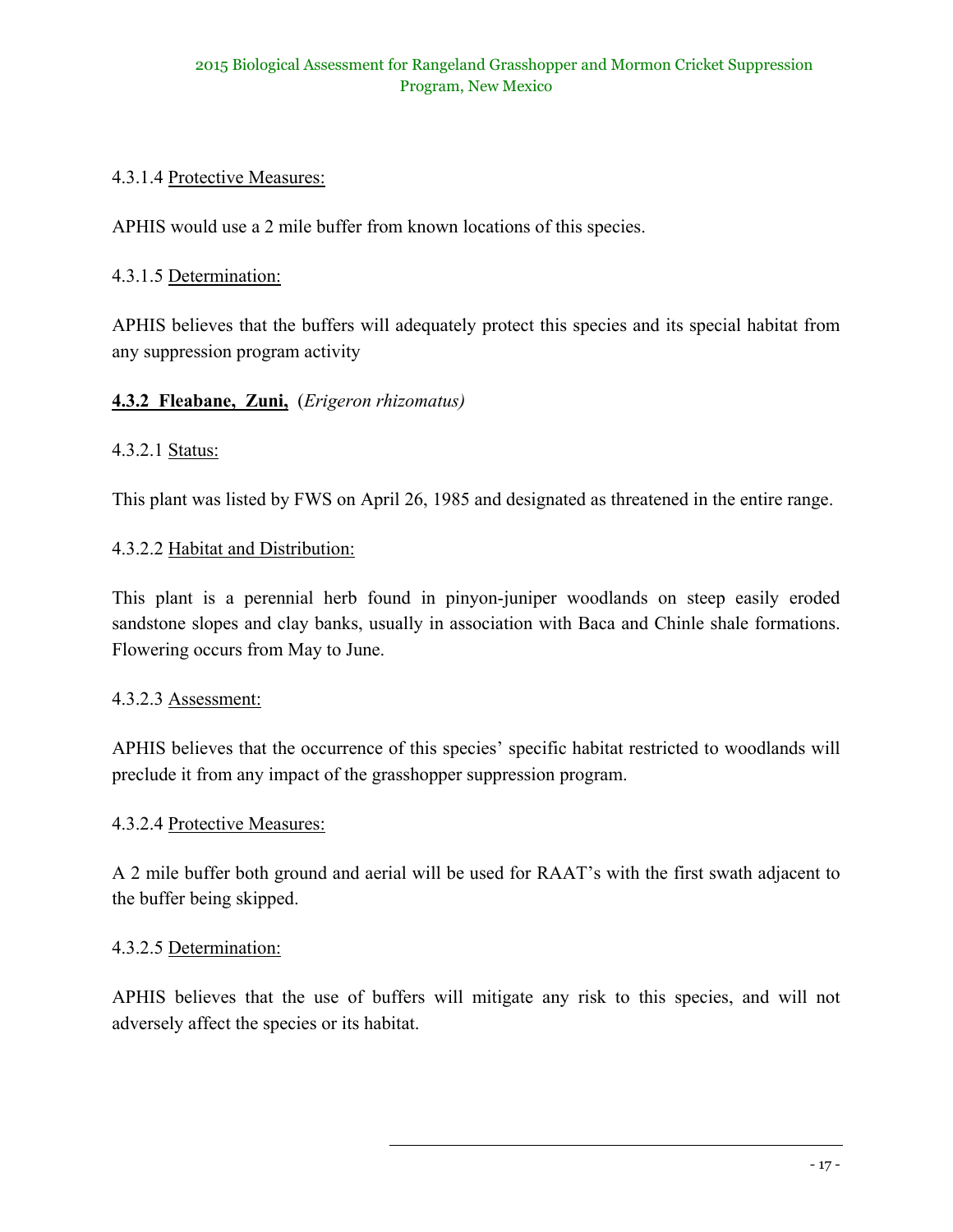# 4.3.1.4 Protective Measures:

APHIS would use a 2 mile buffer from known locations of this species.

# 4.3.1.5 Determination:

APHIS believes that the buffers will adequately protect this species and its special habitat from any suppression program activity

# **4.3.2 Fleabane, Zuni,** (*Erigeron rhizomatus)*

# 4.3.2.1 Status:

This plant was listed by FWS on April 26, 1985 and designated as threatened in the entire range.

# 4.3.2.2 Habitat and Distribution:

This plant is a perennial herb found in pinyon-juniper woodlands on steep easily eroded sandstone slopes and clay banks, usually in association with Baca and Chinle shale formations. Flowering occurs from May to June.

# 4.3.2.3 Assessment:

APHIS believes that the occurrence of this species' specific habitat restricted to woodlands will preclude it from any impact of the grasshopper suppression program.

# 4.3.2.4 Protective Measures:

A 2 mile buffer both ground and aerial will be used for RAAT's with the first swath adjacent to the buffer being skipped.

# 4.3.2.5 Determination:

APHIS believes that the use of buffers will mitigate any risk to this species, and will not adversely affect the species or its habitat.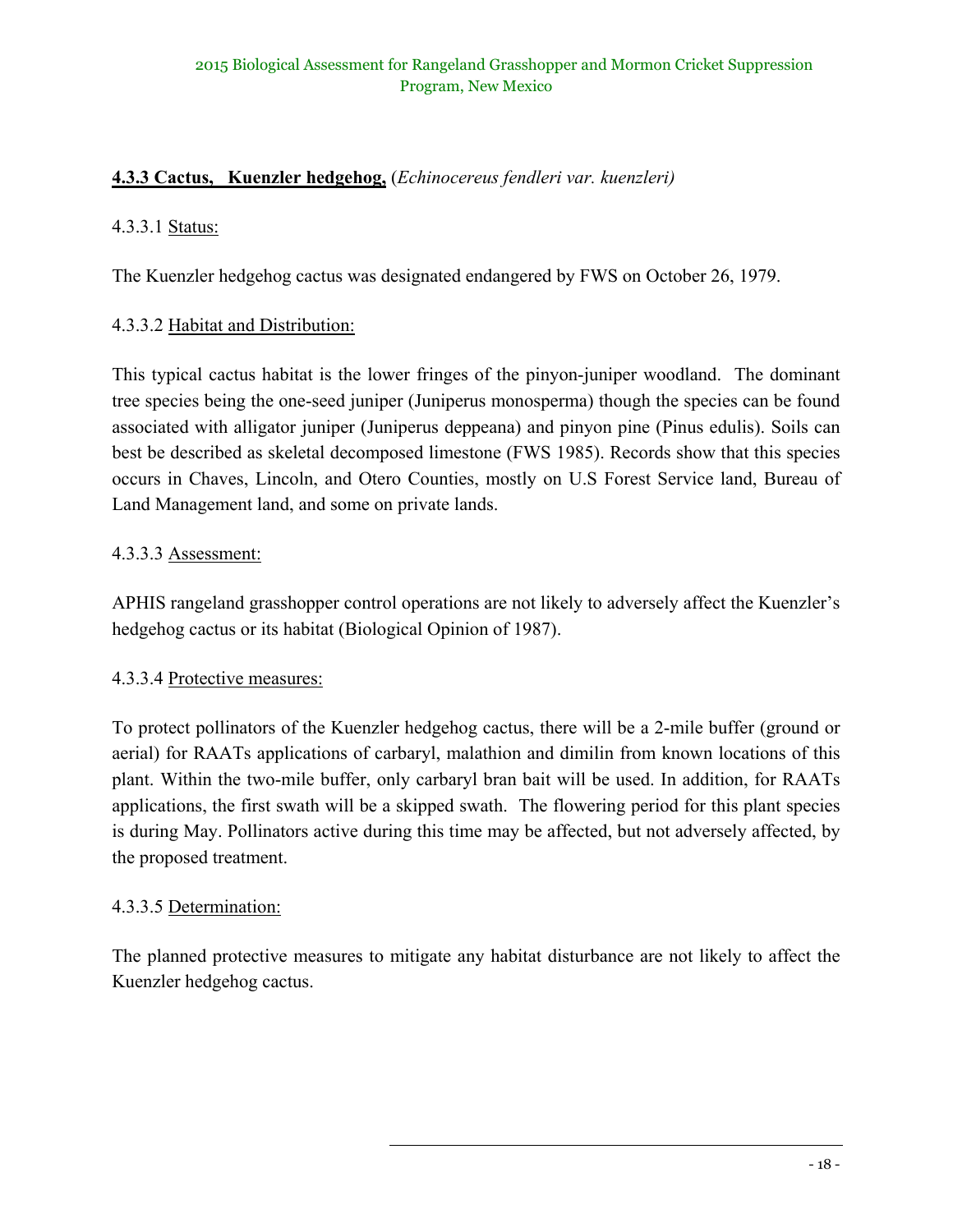# **4.3.3 Cactus, Kuenzler hedgehog,** (*Echinocereus fendleri var. kuenzleri)*

# 4.3.3.1 Status:

The Kuenzler hedgehog cactus was designated endangered by FWS on October 26, 1979.

### 4.3.3.2 Habitat and Distribution:

This typical cactus habitat is the lower fringes of the pinyon-juniper woodland. The dominant tree species being the one-seed juniper (Juniperus monosperma) though the species can be found associated with alligator juniper (Juniperus deppeana) and pinyon pine (Pinus edulis). Soils can best be described as skeletal decomposed limestone (FWS 1985). Records show that this species occurs in Chaves, Lincoln, and Otero Counties, mostly on U.S Forest Service land, Bureau of Land Management land, and some on private lands.

### 4.3.3.3 Assessment:

APHIS rangeland grasshopper control operations are not likely to adversely affect the Kuenzler's hedgehog cactus or its habitat (Biological Opinion of 1987).

#### 4.3.3.4 Protective measures:

To protect pollinators of the Kuenzler hedgehog cactus, there will be a 2-mile buffer (ground or aerial) for RAATs applications of carbaryl, malathion and dimilin from known locations of this plant. Within the two-mile buffer, only carbaryl bran bait will be used. In addition, for RAATs applications, the first swath will be a skipped swath. The flowering period for this plant species is during May. Pollinators active during this time may be affected, but not adversely affected, by the proposed treatment.

#### 4.3.3.5 Determination:

The planned protective measures to mitigate any habitat disturbance are not likely to affect the Kuenzler hedgehog cactus.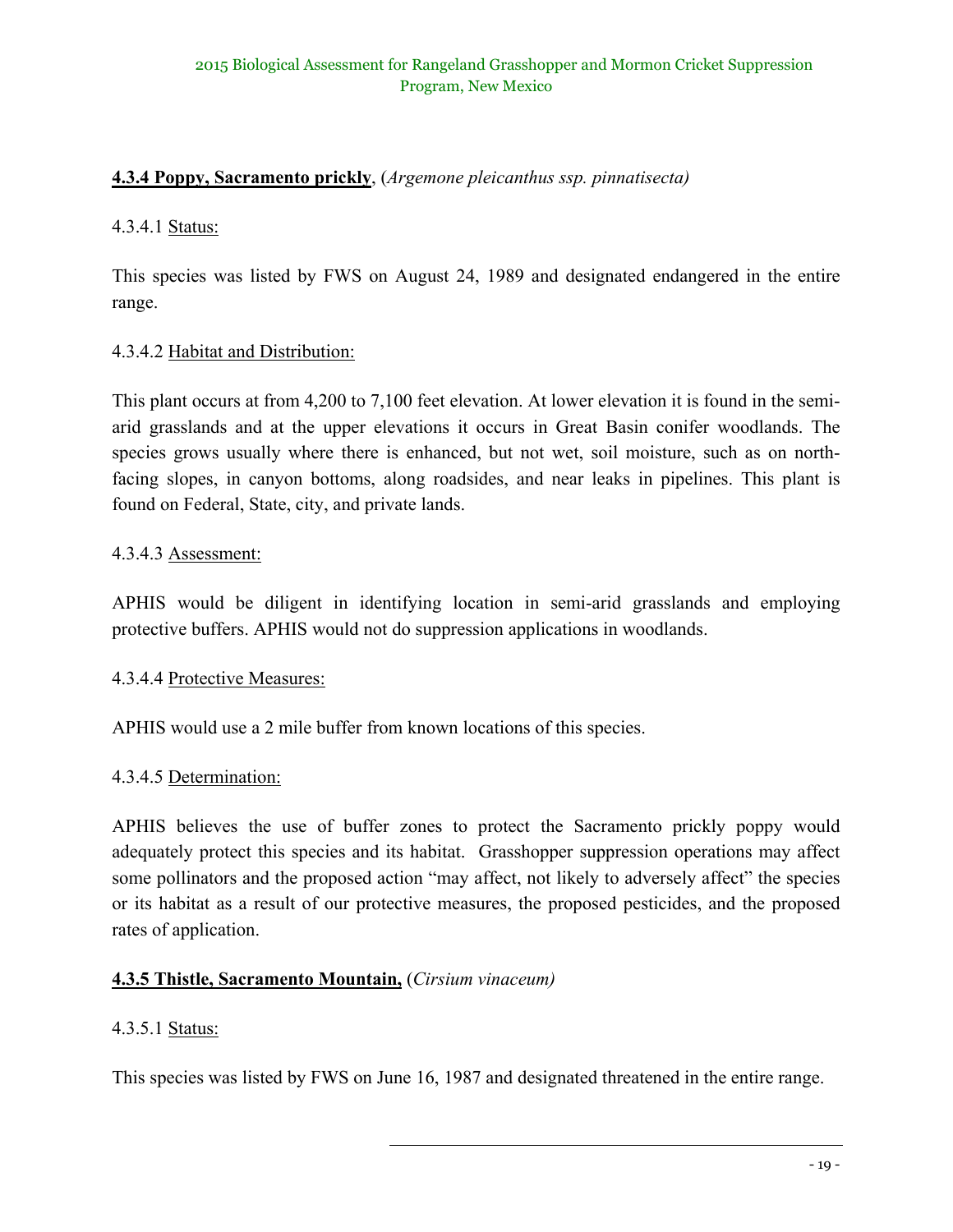# **4.3.4 Poppy, Sacramento prickly**, (*Argemone pleicanthus ssp. pinnatisecta)*

### 4.3.4.1 Status:

This species was listed by FWS on August 24, 1989 and designated endangered in the entire range.

### 4.3.4.2 Habitat and Distribution:

This plant occurs at from 4,200 to 7,100 feet elevation. At lower elevation it is found in the semiarid grasslands and at the upper elevations it occurs in Great Basin conifer woodlands. The species grows usually where there is enhanced, but not wet, soil moisture, such as on northfacing slopes, in canyon bottoms, along roadsides, and near leaks in pipelines. This plant is found on Federal, State, city, and private lands.

#### 4.3.4.3 Assessment:

APHIS would be diligent in identifying location in semi-arid grasslands and employing protective buffers. APHIS would not do suppression applications in woodlands.

#### 4.3.4.4 Protective Measures:

APHIS would use a 2 mile buffer from known locations of this species.

#### 4.3.4.5 Determination:

APHIS believes the use of buffer zones to protect the Sacramento prickly poppy would adequately protect this species and its habitat. Grasshopper suppression operations may affect some pollinators and the proposed action "may affect, not likely to adversely affect" the species or its habitat as a result of our protective measures, the proposed pesticides, and the proposed rates of application.

# **4.3.5 Thistle, Sacramento Mountain,** (*Cirsium vinaceum)*

#### 4.3.5.1 Status:

This species was listed by FWS on June 16, 1987 and designated threatened in the entire range.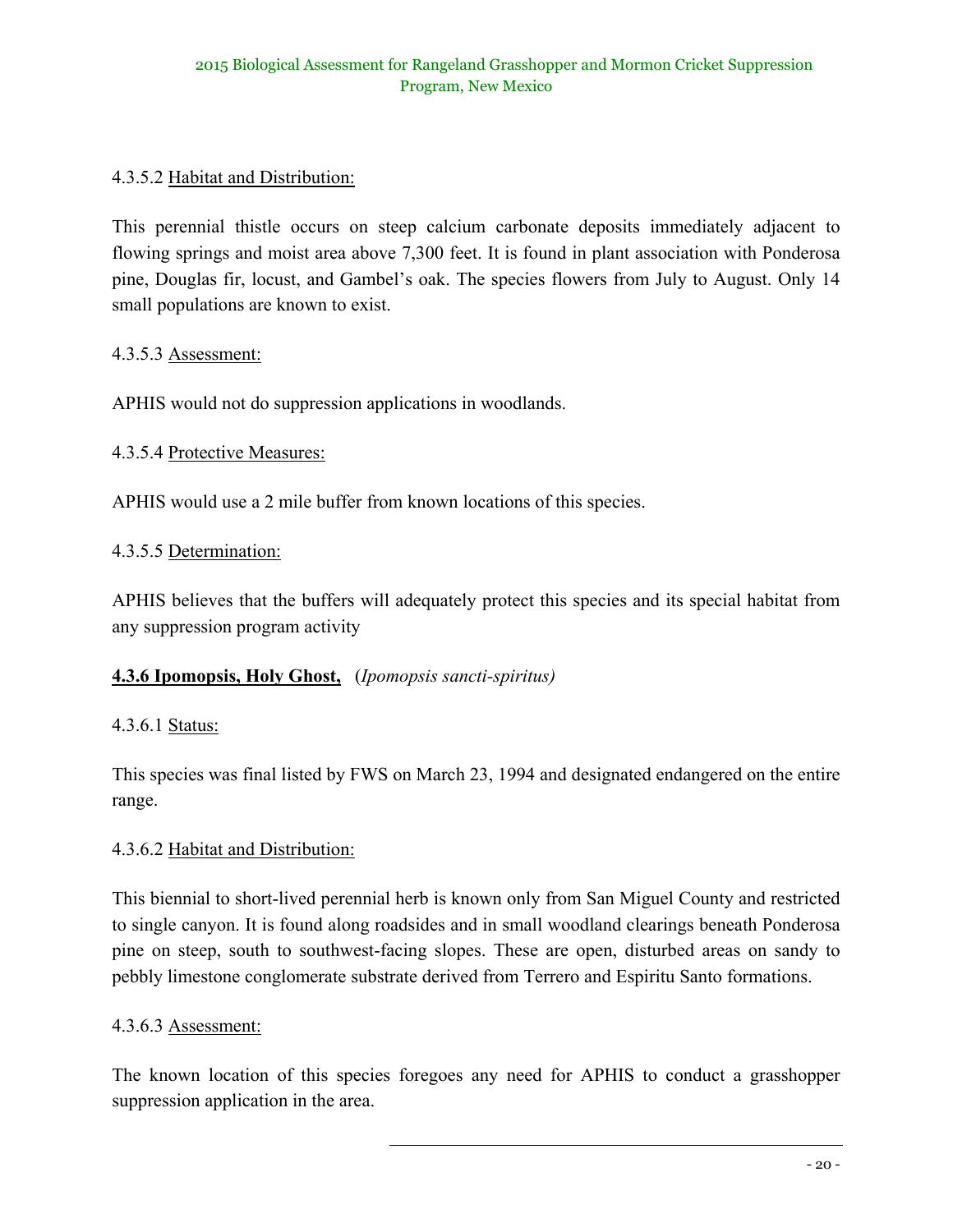# 4.3.5.2 Habitat and Distribution:

This perennial thistle occurs on steep calcium carbonate deposits immediately adjacent to flowing springs and moist area above 7,300 feet. It is found in plant association with Ponderosa pine, Douglas fir, locust, and Gambel's oak. The species flowers from July to August. Only 14 small populations are known to exist.

#### 4.3.5.3 Assessment:

APHIS would not do suppression applications in woodlands.

### 4.3.5.4 Protective Measures:

APHIS would use a 2 mile buffer from known locations of this species.

### 4.3.5.5 Determination:

APHIS believes that the buffers will adequately protect this species and its special habitat from any suppression program activity

# **4.3.6 Ipomopsis, Holy Ghost,** (*Ipomopsis sancti-spiritus)*

#### 4.3.6.1 Status:

This species was final listed by FWS on March 23, 1994 and designated endangered on the entire range.

#### 4.3.6.2 Habitat and Distribution:

This biennial to short-lived perennial herb is known only from San Miguel County and restricted to single canyon. It is found along roadsides and in small woodland clearings beneath Ponderosa pine on steep, south to southwest-facing slopes. These are open, disturbed areas on sandy to pebbly limestone conglomerate substrate derived from Terrero and Espiritu Santo formations.

#### 4.3.6.3 Assessment:

The known location of this species foregoes any need for APHIS to conduct a grasshopper suppression application in the area.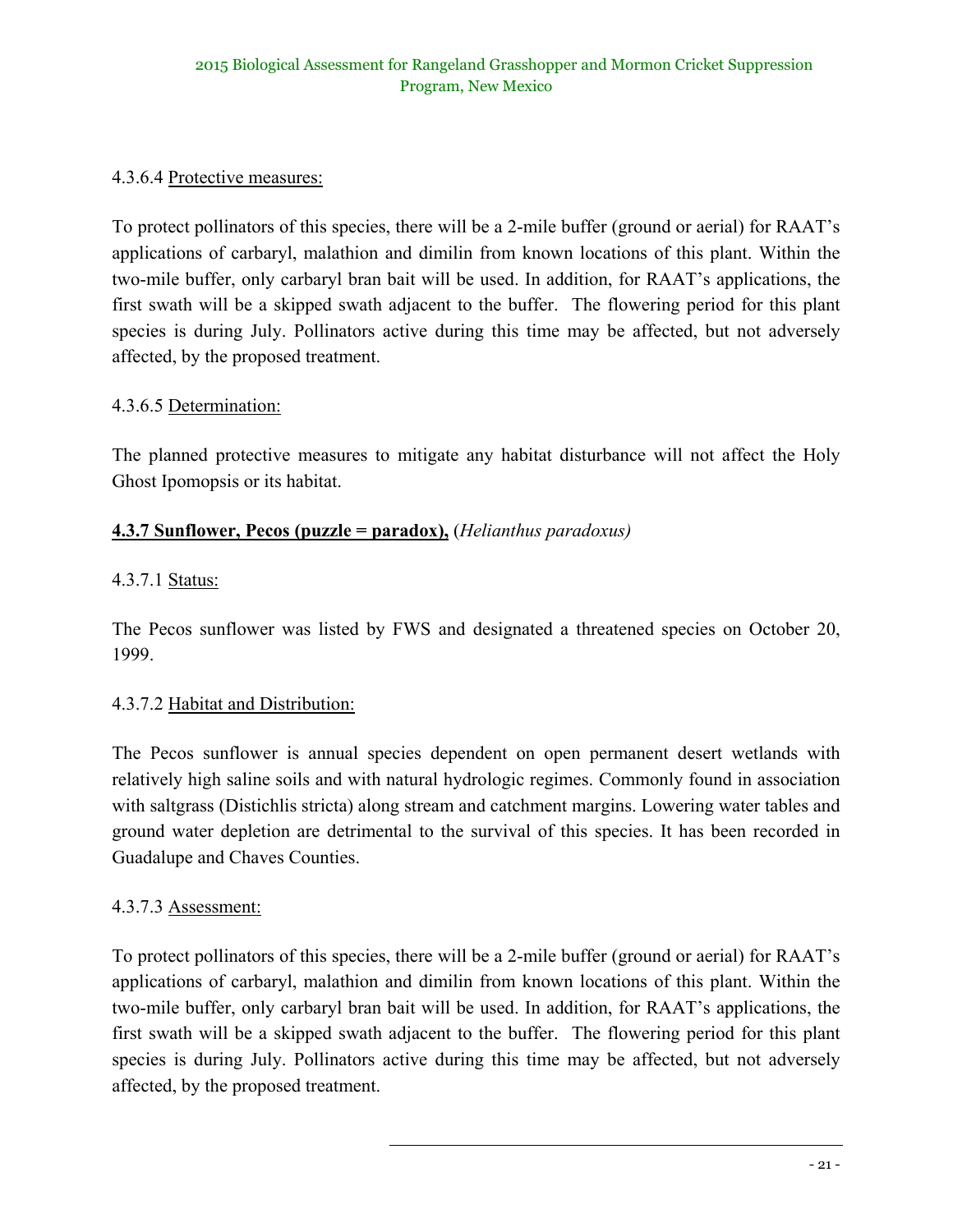# 4.3.6.4 Protective measures:

To protect pollinators of this species, there will be a 2-mile buffer (ground or aerial) for RAAT's applications of carbaryl, malathion and dimilin from known locations of this plant. Within the two-mile buffer, only carbaryl bran bait will be used. In addition, for RAAT's applications, the first swath will be a skipped swath adjacent to the buffer. The flowering period for this plant species is during July. Pollinators active during this time may be affected, but not adversely affected, by the proposed treatment.

### 4.3.6.5 Determination:

The planned protective measures to mitigate any habitat disturbance will not affect the Holy Ghost Ipomopsis or its habitat.

# **4.3.7 Sunflower, Pecos (puzzle = paradox),** (*Helianthus paradoxus)*

# 4.3.7.1 Status:

The Pecos sunflower was listed by FWS and designated a threatened species on October 20, 1999.

# 4.3.7.2 Habitat and Distribution:

The Pecos sunflower is annual species dependent on open permanent desert wetlands with relatively high saline soils and with natural hydrologic regimes. Commonly found in association with saltgrass (Distichlis stricta) along stream and catchment margins. Lowering water tables and ground water depletion are detrimental to the survival of this species. It has been recorded in Guadalupe and Chaves Counties.

# 4.3.7.3 Assessment:

To protect pollinators of this species, there will be a 2-mile buffer (ground or aerial) for RAAT's applications of carbaryl, malathion and dimilin from known locations of this plant. Within the two-mile buffer, only carbaryl bran bait will be used. In addition, for RAAT's applications, the first swath will be a skipped swath adjacent to the buffer. The flowering period for this plant species is during July. Pollinators active during this time may be affected, but not adversely affected, by the proposed treatment.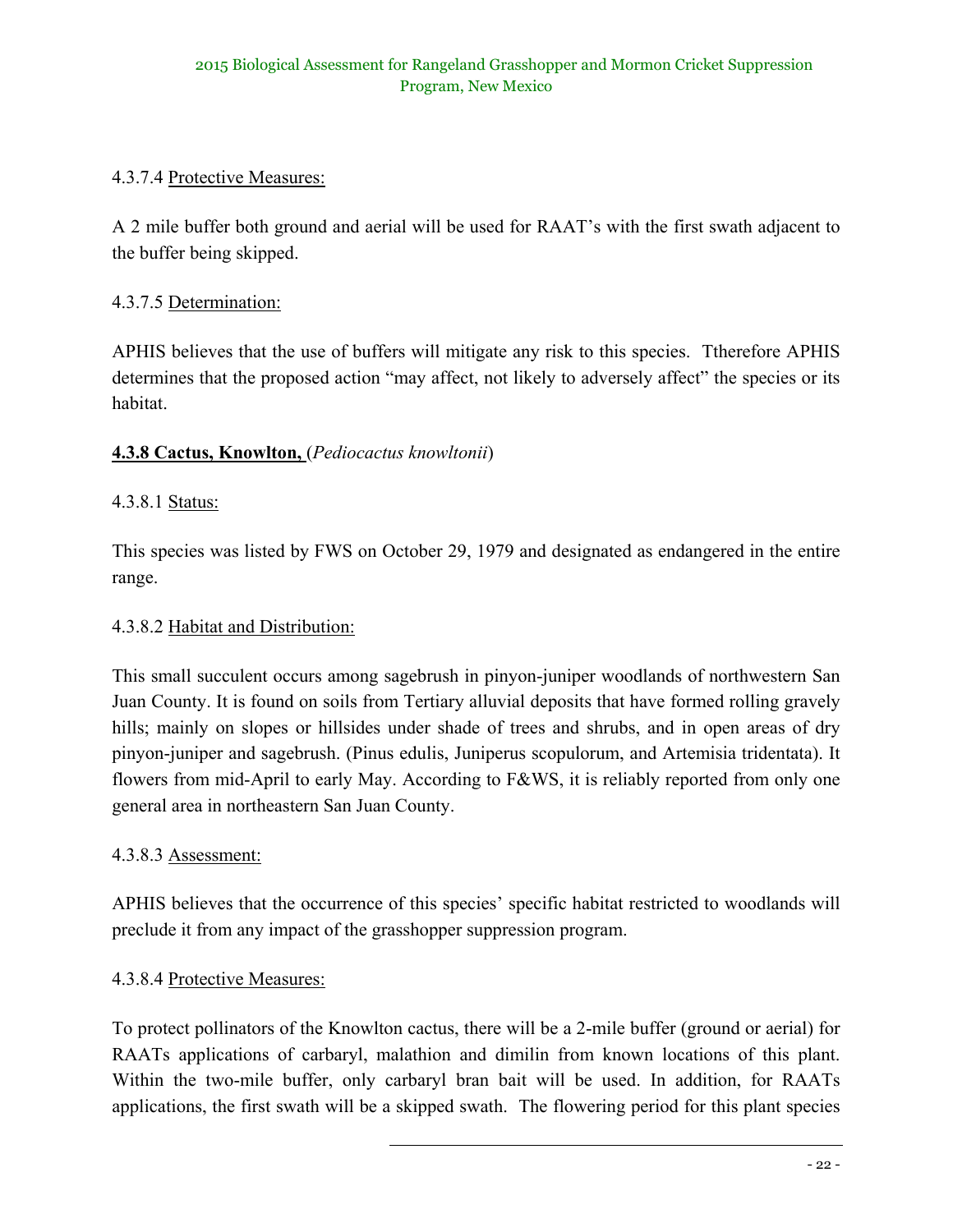# 4.3.7.4 Protective Measures:

A 2 mile buffer both ground and aerial will be used for RAAT's with the first swath adjacent to the buffer being skipped.

#### 4.3.7.5 Determination:

APHIS believes that the use of buffers will mitigate any risk to this species. Ttherefore APHIS determines that the proposed action "may affect, not likely to adversely affect" the species or its habitat.

### **4.3.8 Cactus, Knowlton,** (*Pediocactus knowltonii*)

#### 4.3.8.1 Status:

This species was listed by FWS on October 29, 1979 and designated as endangered in the entire range.

#### 4.3.8.2 Habitat and Distribution:

This small succulent occurs among sagebrush in pinyon-juniper woodlands of northwestern San Juan County. It is found on soils from Tertiary alluvial deposits that have formed rolling gravely hills; mainly on slopes or hillsides under shade of trees and shrubs, and in open areas of dry pinyon-juniper and sagebrush. (Pinus edulis, Juniperus scopulorum, and Artemisia tridentata). It flowers from mid-April to early May. According to F&WS, it is reliably reported from only one general area in northeastern San Juan County.

#### 4.3.8.3 Assessment:

APHIS believes that the occurrence of this species' specific habitat restricted to woodlands will preclude it from any impact of the grasshopper suppression program.

#### 4.3.8.4 Protective Measures:

To protect pollinators of the Knowlton cactus, there will be a 2-mile buffer (ground or aerial) for RAATs applications of carbaryl, malathion and dimilin from known locations of this plant. Within the two-mile buffer, only carbaryl bran bait will be used. In addition, for RAATs applications, the first swath will be a skipped swath. The flowering period for this plant species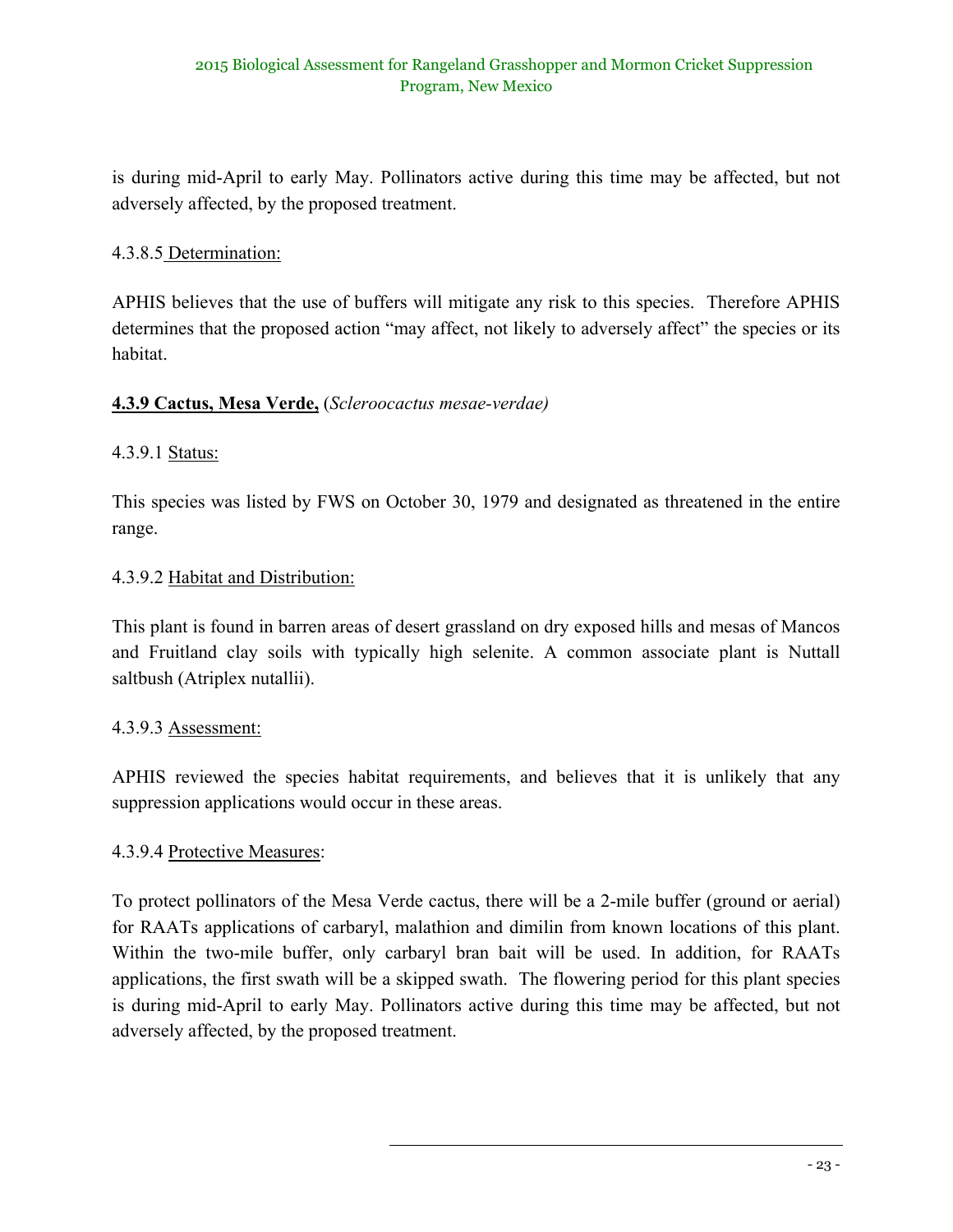is during mid-April to early May. Pollinators active during this time may be affected, but not adversely affected, by the proposed treatment.

# 4.3.8.5 Determination:

APHIS believes that the use of buffers will mitigate any risk to this species. Therefore APHIS determines that the proposed action "may affect, not likely to adversely affect" the species or its habitat.

### **4.3.9 Cactus, Mesa Verde,** (*Scleroocactus mesae-verdae)*

#### 4.3.9.1 Status:

This species was listed by FWS on October 30, 1979 and designated as threatened in the entire range.

#### 4.3.9.2 Habitat and Distribution:

This plant is found in barren areas of desert grassland on dry exposed hills and mesas of Mancos and Fruitland clay soils with typically high selenite. A common associate plant is Nuttall saltbush (Atriplex nutallii).

#### 4.3.9.3 Assessment:

APHIS reviewed the species habitat requirements, and believes that it is unlikely that any suppression applications would occur in these areas.

#### 4.3.9.4 Protective Measures:

To protect pollinators of the Mesa Verde cactus, there will be a 2-mile buffer (ground or aerial) for RAATs applications of carbaryl, malathion and dimilin from known locations of this plant. Within the two-mile buffer, only carbaryl bran bait will be used. In addition, for RAATs applications, the first swath will be a skipped swath. The flowering period for this plant species is during mid-April to early May. Pollinators active during this time may be affected, but not adversely affected, by the proposed treatment.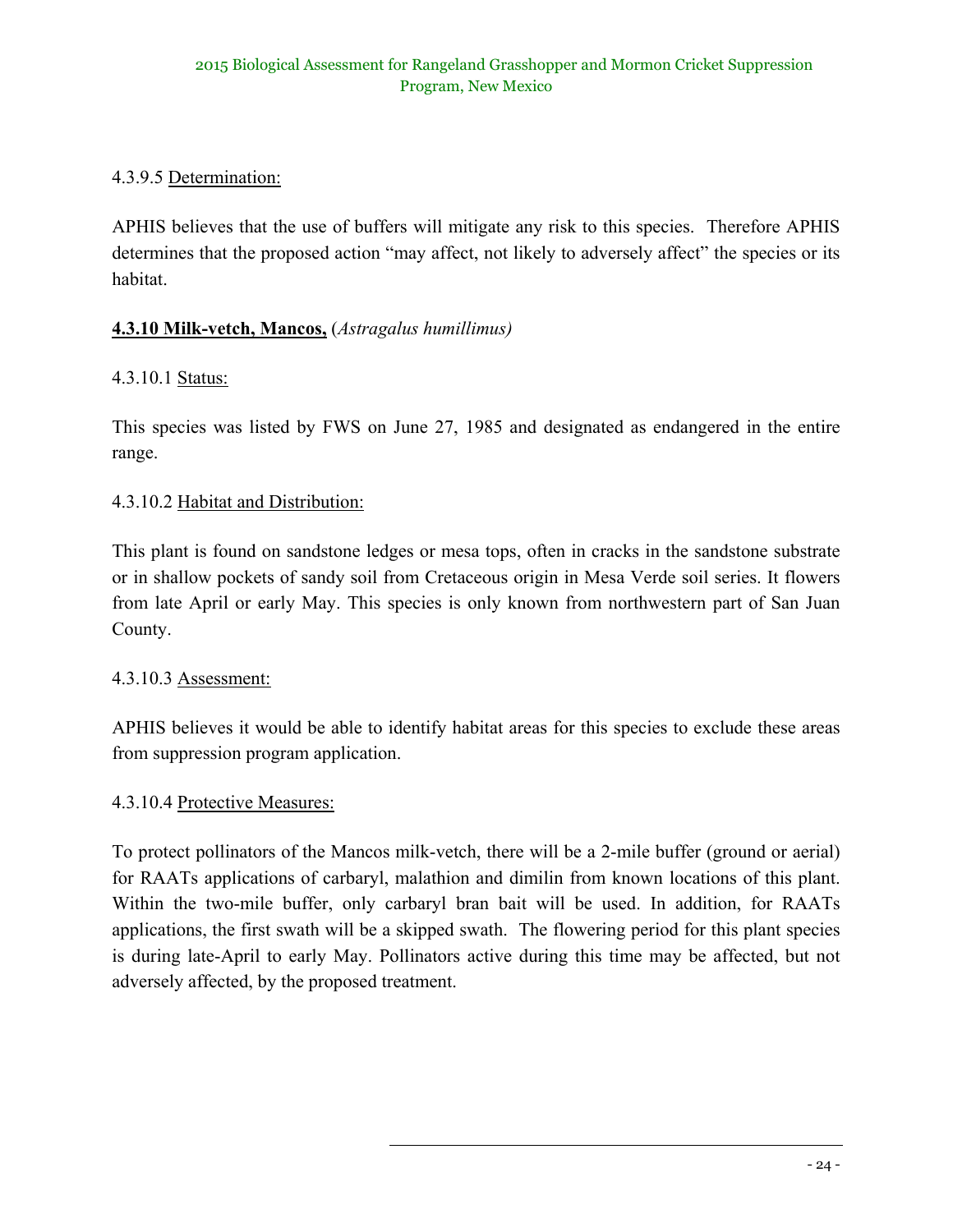# 4.3.9.5 Determination:

APHIS believes that the use of buffers will mitigate any risk to this species. Therefore APHIS determines that the proposed action "may affect, not likely to adversely affect" the species or its habitat.

# **4.3.10 Milk-vetch, Mancos,** (*Astragalus humillimus)*

# 4.3.10.1 Status:

This species was listed by FWS on June 27, 1985 and designated as endangered in the entire range.

### 4.3.10.2 Habitat and Distribution:

This plant is found on sandstone ledges or mesa tops, often in cracks in the sandstone substrate or in shallow pockets of sandy soil from Cretaceous origin in Mesa Verde soil series. It flowers from late April or early May. This species is only known from northwestern part of San Juan County.

#### 4.3.10.3 Assessment:

APHIS believes it would be able to identify habitat areas for this species to exclude these areas from suppression program application.

#### 4.3.10.4 Protective Measures:

To protect pollinators of the Mancos milk-vetch, there will be a 2-mile buffer (ground or aerial) for RAATs applications of carbaryl, malathion and dimilin from known locations of this plant. Within the two-mile buffer, only carbaryl bran bait will be used. In addition, for RAATs applications, the first swath will be a skipped swath. The flowering period for this plant species is during late-April to early May. Pollinators active during this time may be affected, but not adversely affected, by the proposed treatment.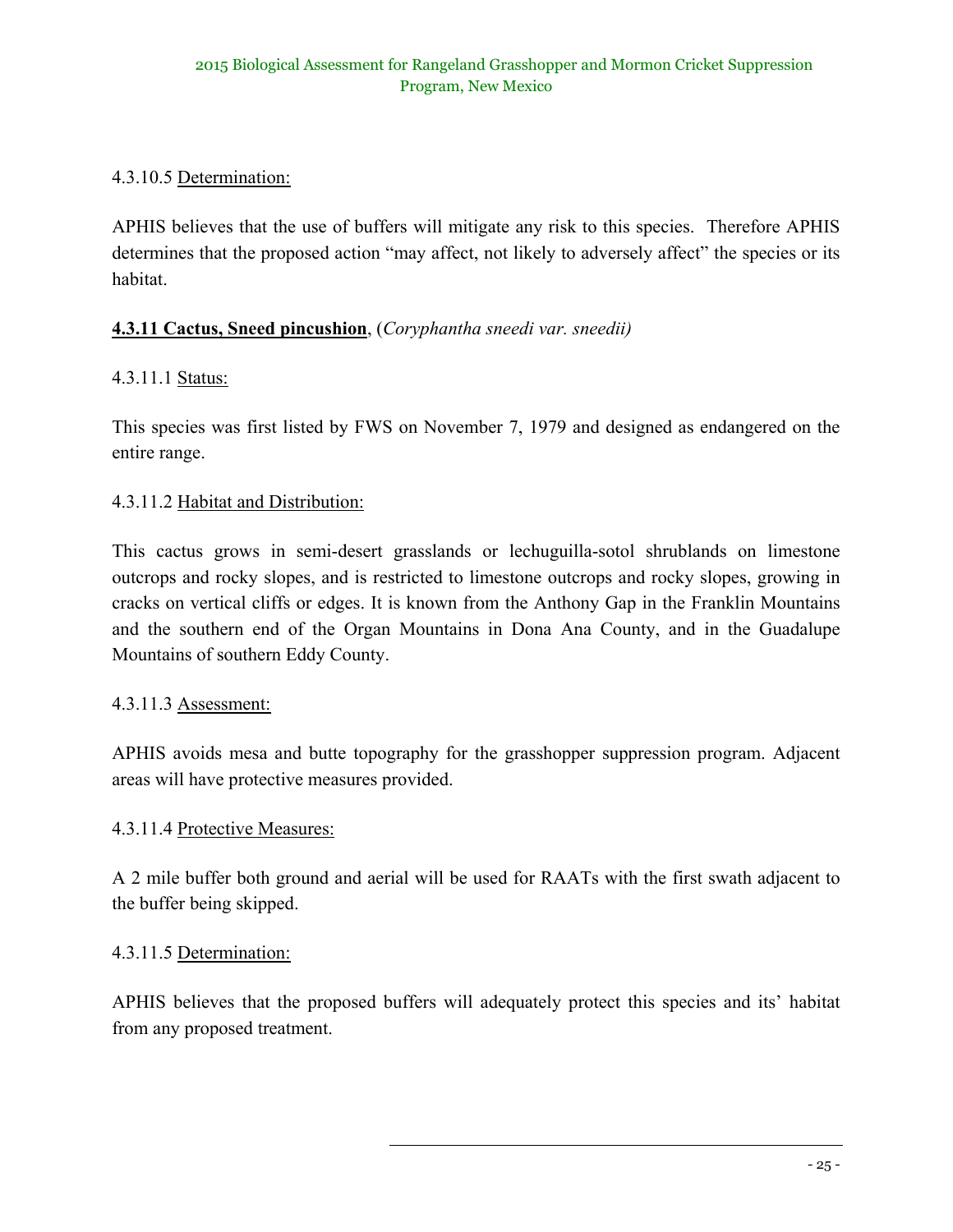# 4.3.10.5 Determination:

APHIS believes that the use of buffers will mitigate any risk to this species. Therefore APHIS determines that the proposed action "may affect, not likely to adversely affect" the species or its habitat.

# **4.3.11 Cactus, Sneed pincushion**, (*Coryphantha sneedi var. sneedii)*

# 4.3.11.1 Status:

This species was first listed by FWS on November 7, 1979 and designed as endangered on the entire range.

# 4.3.11.2 Habitat and Distribution:

This cactus grows in semi-desert grasslands or lechuguilla-sotol shrublands on limestone outcrops and rocky slopes, and is restricted to limestone outcrops and rocky slopes, growing in cracks on vertical cliffs or edges. It is known from the Anthony Gap in the Franklin Mountains and the southern end of the Organ Mountains in Dona Ana County, and in the Guadalupe Mountains of southern Eddy County.

# 4.3.11.3 Assessment:

APHIS avoids mesa and butte topography for the grasshopper suppression program. Adjacent areas will have protective measures provided.

# 4.3.11.4 Protective Measures:

A 2 mile buffer both ground and aerial will be used for RAATs with the first swath adjacent to the buffer being skipped.

# 4.3.11.5 Determination:

APHIS believes that the proposed buffers will adequately protect this species and its' habitat from any proposed treatment.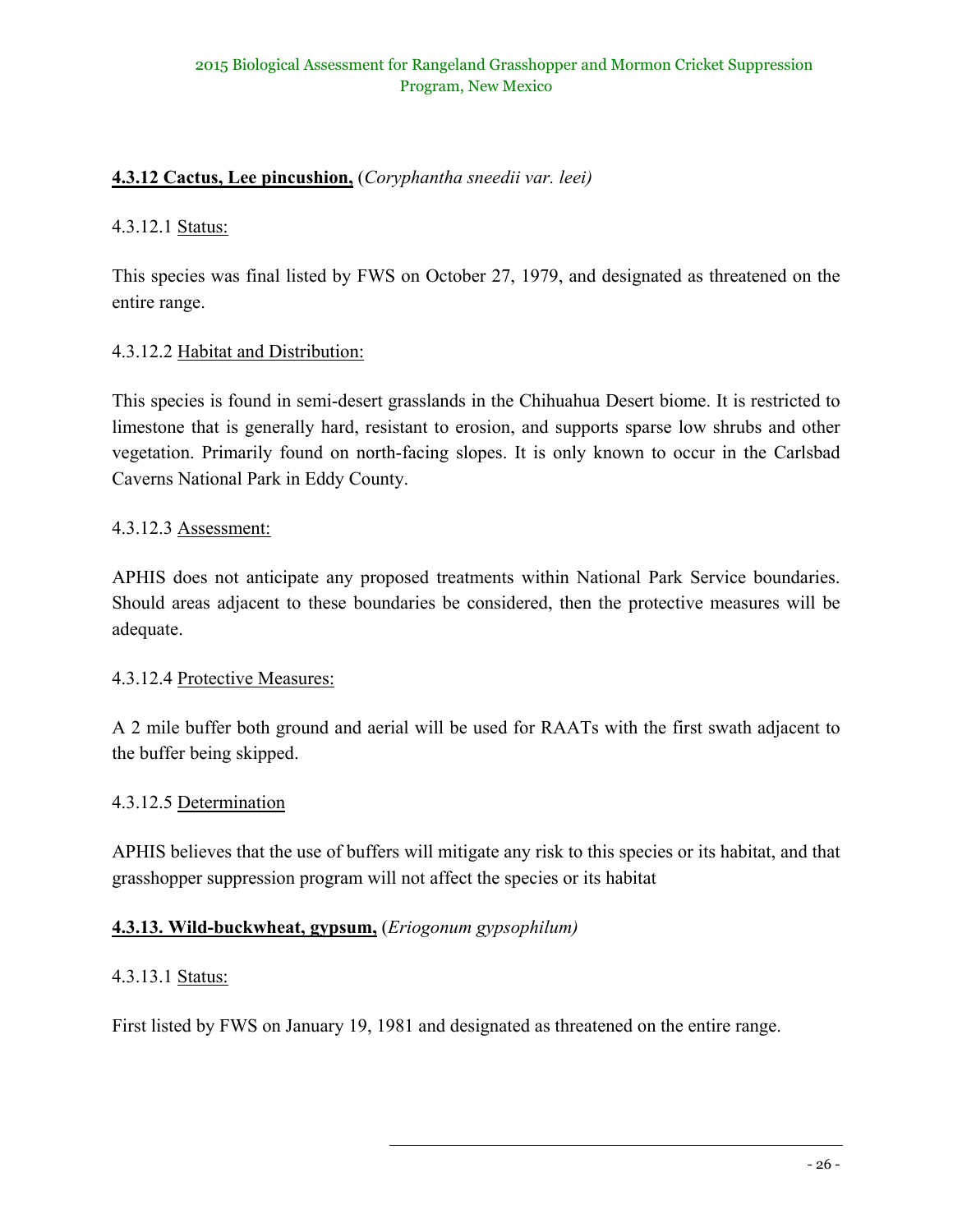# **4.3.12 Cactus, Lee pincushion,** (*Coryphantha sneedii var. leei)*

#### 4.3.12.1 Status:

This species was final listed by FWS on October 27, 1979, and designated as threatened on the entire range.

# 4.3.12.2 Habitat and Distribution:

This species is found in semi-desert grasslands in the Chihuahua Desert biome. It is restricted to limestone that is generally hard, resistant to erosion, and supports sparse low shrubs and other vegetation. Primarily found on north-facing slopes. It is only known to occur in the Carlsbad Caverns National Park in Eddy County.

#### 4.3.12.3 Assessment:

APHIS does not anticipate any proposed treatments within National Park Service boundaries. Should areas adjacent to these boundaries be considered, then the protective measures will be adequate.

#### 4.3.12.4 Protective Measures:

A 2 mile buffer both ground and aerial will be used for RAATs with the first swath adjacent to the buffer being skipped.

#### 4.3.12.5 Determination

APHIS believes that the use of buffers will mitigate any risk to this species or its habitat, and that grasshopper suppression program will not affect the species or its habitat

#### **4.3.13. Wild-buckwheat, gypsum,** (*Eriogonum gypsophilum)*

#### 4.3.13.1 Status:

First listed by FWS on January 19, 1981 and designated as threatened on the entire range.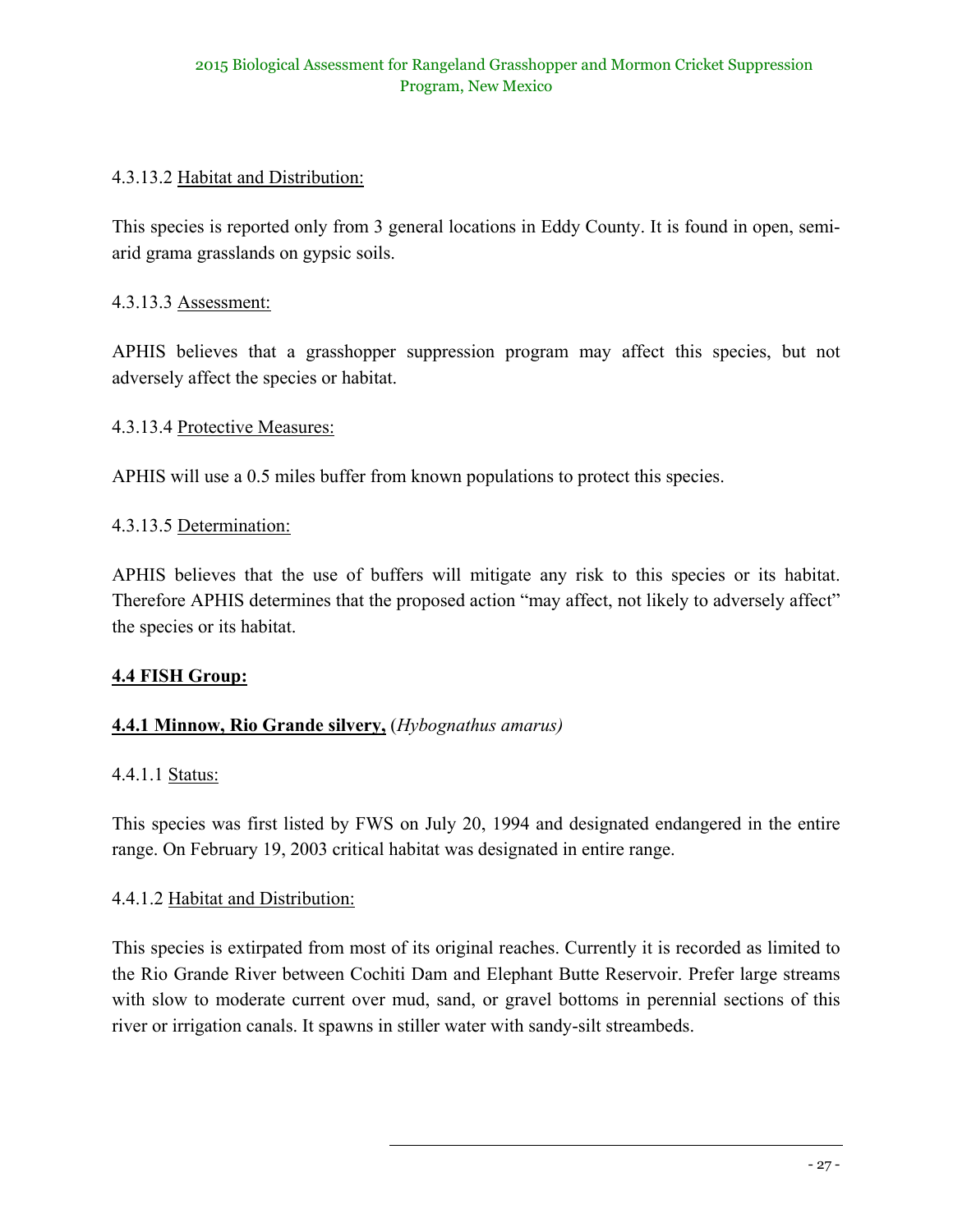# 4.3.13.2 Habitat and Distribution:

This species is reported only from 3 general locations in Eddy County. It is found in open, semiarid grama grasslands on gypsic soils.

# 4.3.13.3 Assessment:

APHIS believes that a grasshopper suppression program may affect this species, but not adversely affect the species or habitat.

### 4.3.13.4 Protective Measures:

APHIS will use a 0.5 miles buffer from known populations to protect this species.

#### 4.3.13.5 Determination:

APHIS believes that the use of buffers will mitigate any risk to this species or its habitat. Therefore APHIS determines that the proposed action "may affect, not likely to adversely affect" the species or its habitat.

#### **4.4 FISH Group:**

# **4.4.1 Minnow, Rio Grande silvery,** (*Hybognathus amarus)*

#### 4.4.1.1 Status:

This species was first listed by FWS on July 20, 1994 and designated endangered in the entire range. On February 19, 2003 critical habitat was designated in entire range.

#### 4.4.1.2 Habitat and Distribution:

This species is extirpated from most of its original reaches. Currently it is recorded as limited to the Rio Grande River between Cochiti Dam and Elephant Butte Reservoir. Prefer large streams with slow to moderate current over mud, sand, or gravel bottoms in perennial sections of this river or irrigation canals. It spawns in stiller water with sandy-silt streambeds.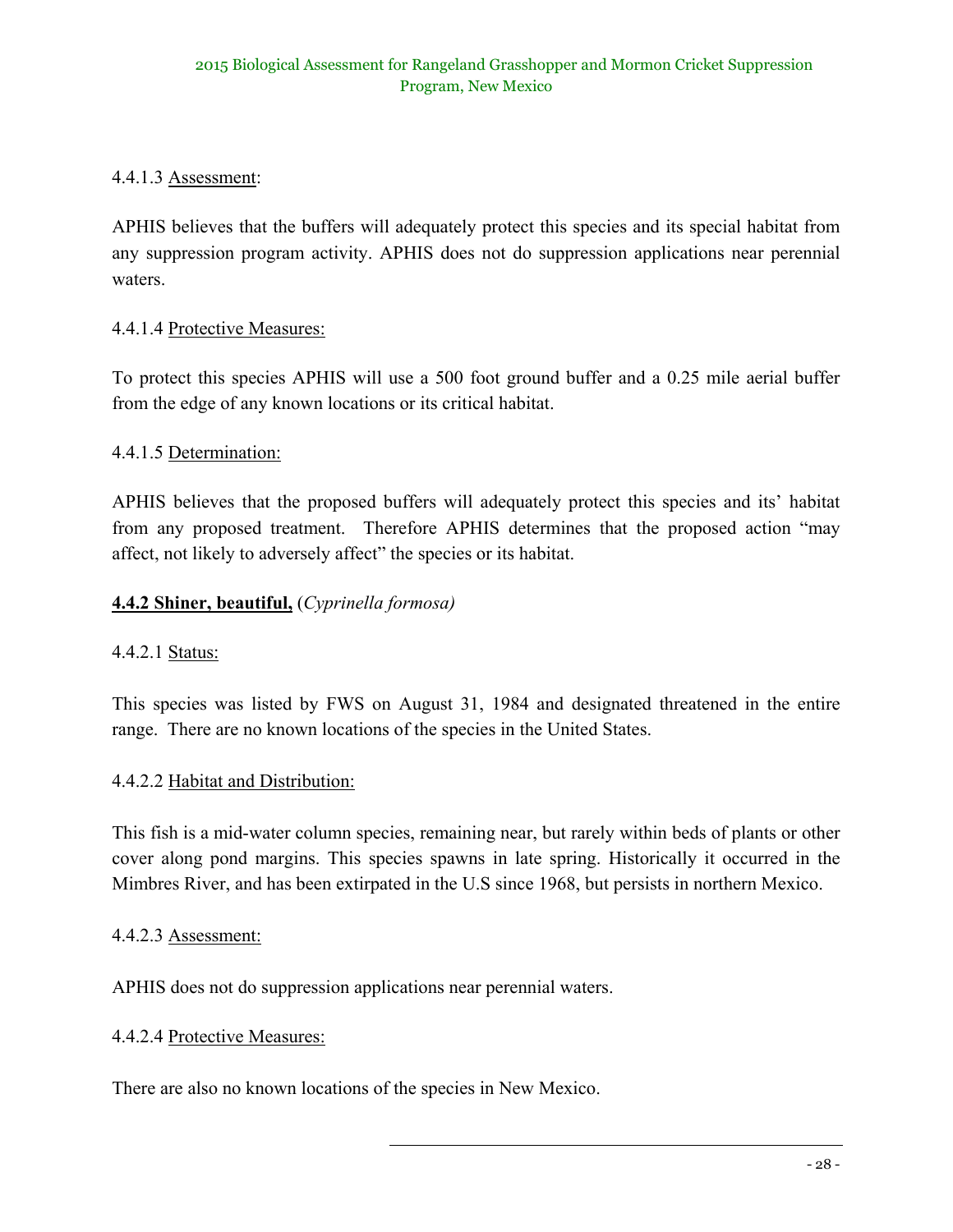# 4.4.1.3 Assessment:

APHIS believes that the buffers will adequately protect this species and its special habitat from any suppression program activity. APHIS does not do suppression applications near perennial waters.

### 4.4.1.4 Protective Measures:

To protect this species APHIS will use a 500 foot ground buffer and a 0.25 mile aerial buffer from the edge of any known locations or its critical habitat.

### 4.4.1.5 Determination:

APHIS believes that the proposed buffers will adequately protect this species and its' habitat from any proposed treatment. Therefore APHIS determines that the proposed action "may affect, not likely to adversely affect" the species or its habitat.

#### **4.4.2 Shiner, beautiful,** (*Cyprinella formosa)*

#### 4.4.2.1 Status:

This species was listed by FWS on August 31, 1984 and designated threatened in the entire range. There are no known locations of the species in the United States.

#### 4.4.2.2 Habitat and Distribution:

This fish is a mid-water column species, remaining near, but rarely within beds of plants or other cover along pond margins. This species spawns in late spring. Historically it occurred in the Mimbres River, and has been extirpated in the U.S since 1968, but persists in northern Mexico.

#### 4.4.2.3 Assessment:

APHIS does not do suppression applications near perennial waters.

#### 4.4.2.4 Protective Measures:

There are also no known locations of the species in New Mexico.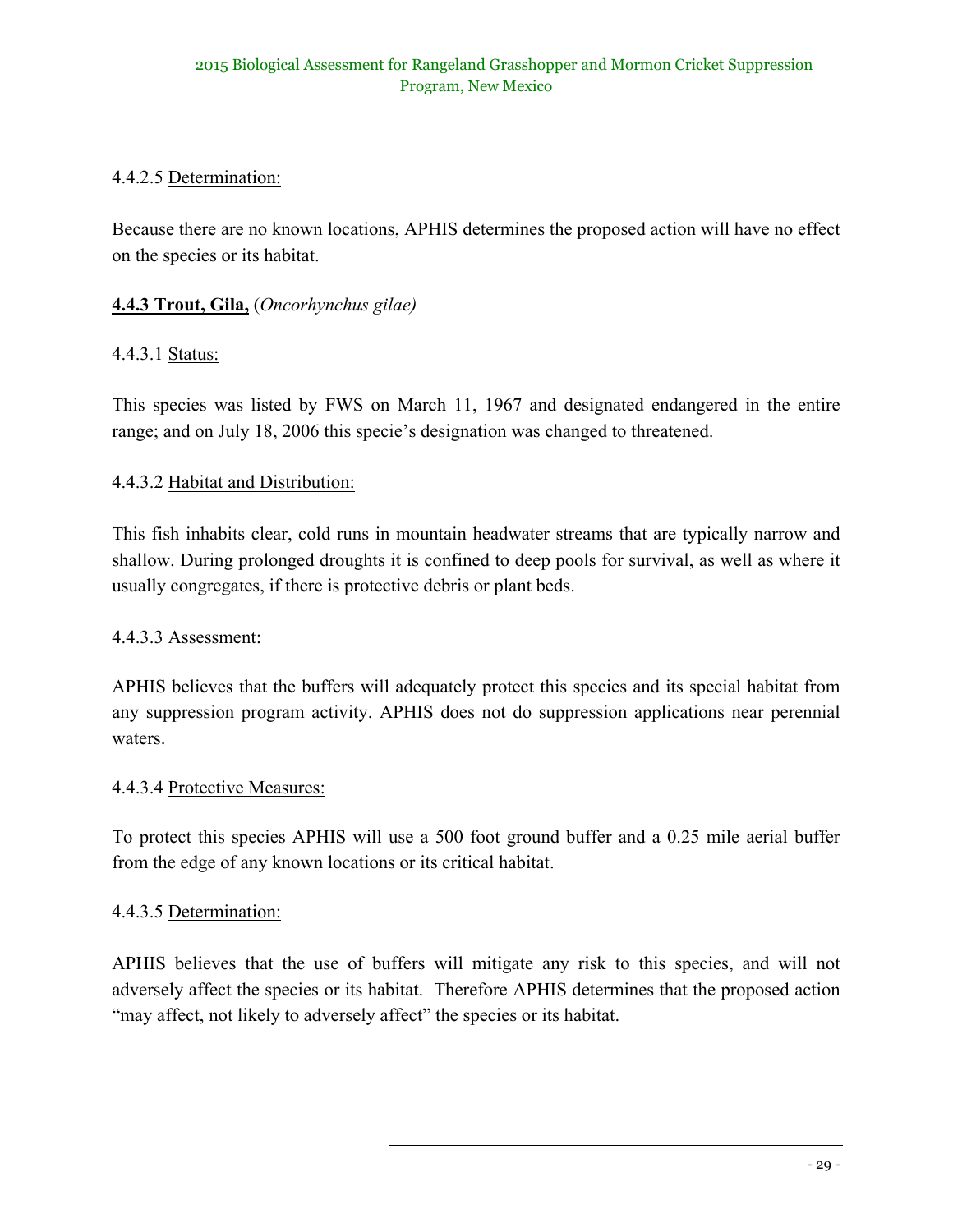### 4.4.2.5 Determination:

Because there are no known locations, APHIS determines the proposed action will have no effect on the species or its habitat.

# **4.4.3 Trout, Gila,** (*Oncorhynchus gilae)*

### 4.4.3.1 Status:

This species was listed by FWS on March 11, 1967 and designated endangered in the entire range; and on July 18, 2006 this specie's designation was changed to threatened.

### 4.4.3.2 Habitat and Distribution:

This fish inhabits clear, cold runs in mountain headwater streams that are typically narrow and shallow. During prolonged droughts it is confined to deep pools for survival, as well as where it usually congregates, if there is protective debris or plant beds.

#### 4.4.3.3 Assessment:

APHIS believes that the buffers will adequately protect this species and its special habitat from any suppression program activity. APHIS does not do suppression applications near perennial waters.

#### 4.4.3.4 Protective Measures:

To protect this species APHIS will use a 500 foot ground buffer and a 0.25 mile aerial buffer from the edge of any known locations or its critical habitat.

#### 4.4.3.5 Determination:

APHIS believes that the use of buffers will mitigate any risk to this species, and will not adversely affect the species or its habitat. Therefore APHIS determines that the proposed action "may affect, not likely to adversely affect" the species or its habitat.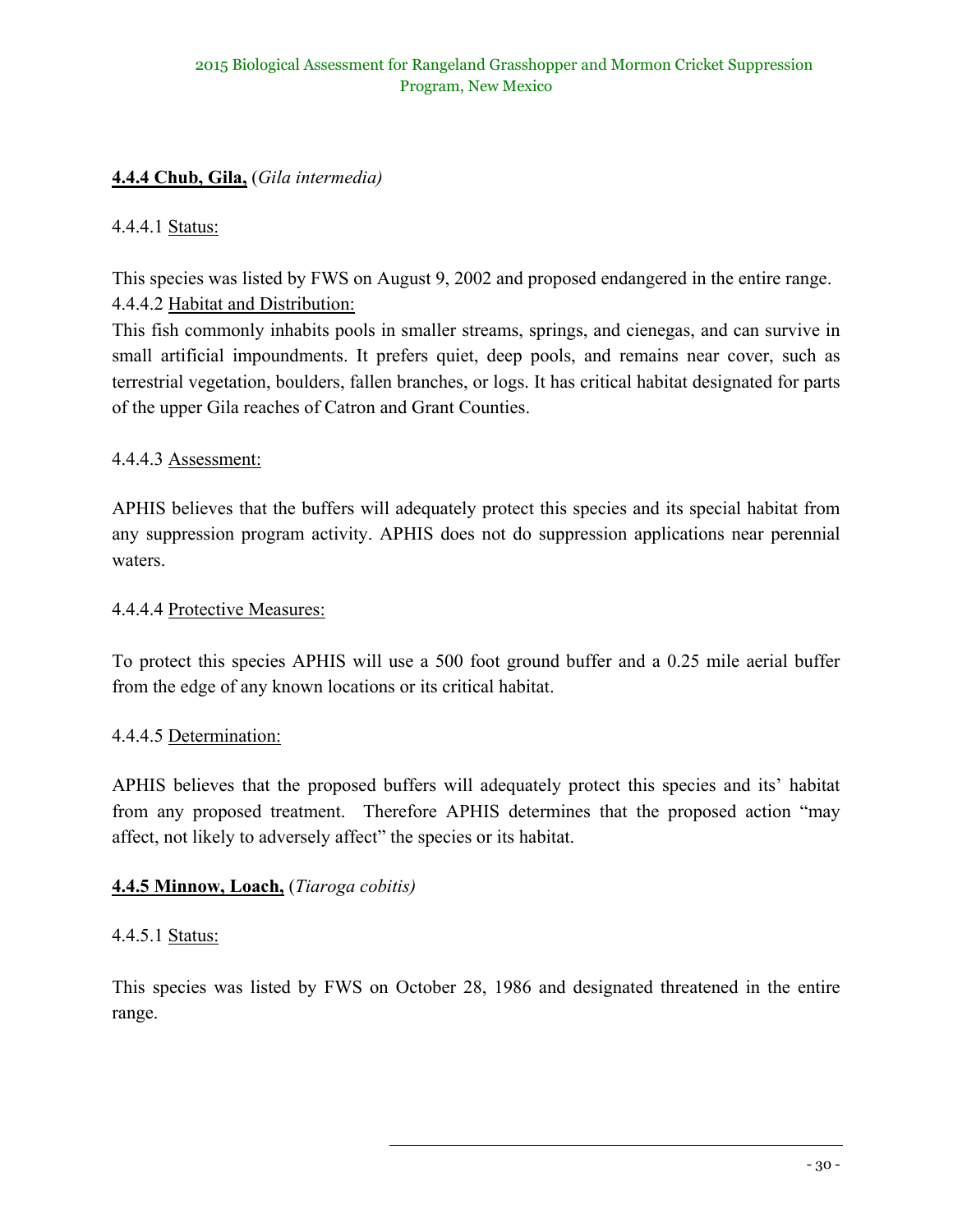# **4.4.4 Chub, Gila,** (*Gila intermedia)*

#### 4.4.4.1 Status:

This species was listed by FWS on August 9, 2002 and proposed endangered in the entire range. 4.4.4.2 Habitat and Distribution:

This fish commonly inhabits pools in smaller streams, springs, and cienegas, and can survive in small artificial impoundments. It prefers quiet, deep pools, and remains near cover, such as terrestrial vegetation, boulders, fallen branches, or logs. It has critical habitat designated for parts of the upper Gila reaches of Catron and Grant Counties.

#### 4.4.4.3 Assessment:

APHIS believes that the buffers will adequately protect this species and its special habitat from any suppression program activity. APHIS does not do suppression applications near perennial waters.

#### 4.4.4.4 Protective Measures:

To protect this species APHIS will use a 500 foot ground buffer and a 0.25 mile aerial buffer from the edge of any known locations or its critical habitat.

#### 4.4.4.5 Determination:

APHIS believes that the proposed buffers will adequately protect this species and its' habitat from any proposed treatment. Therefore APHIS determines that the proposed action "may affect, not likely to adversely affect" the species or its habitat.

#### **4.4.5 Minnow, Loach,** (*Tiaroga cobitis)*

#### 4.4.5.1 Status:

This species was listed by FWS on October 28, 1986 and designated threatened in the entire range.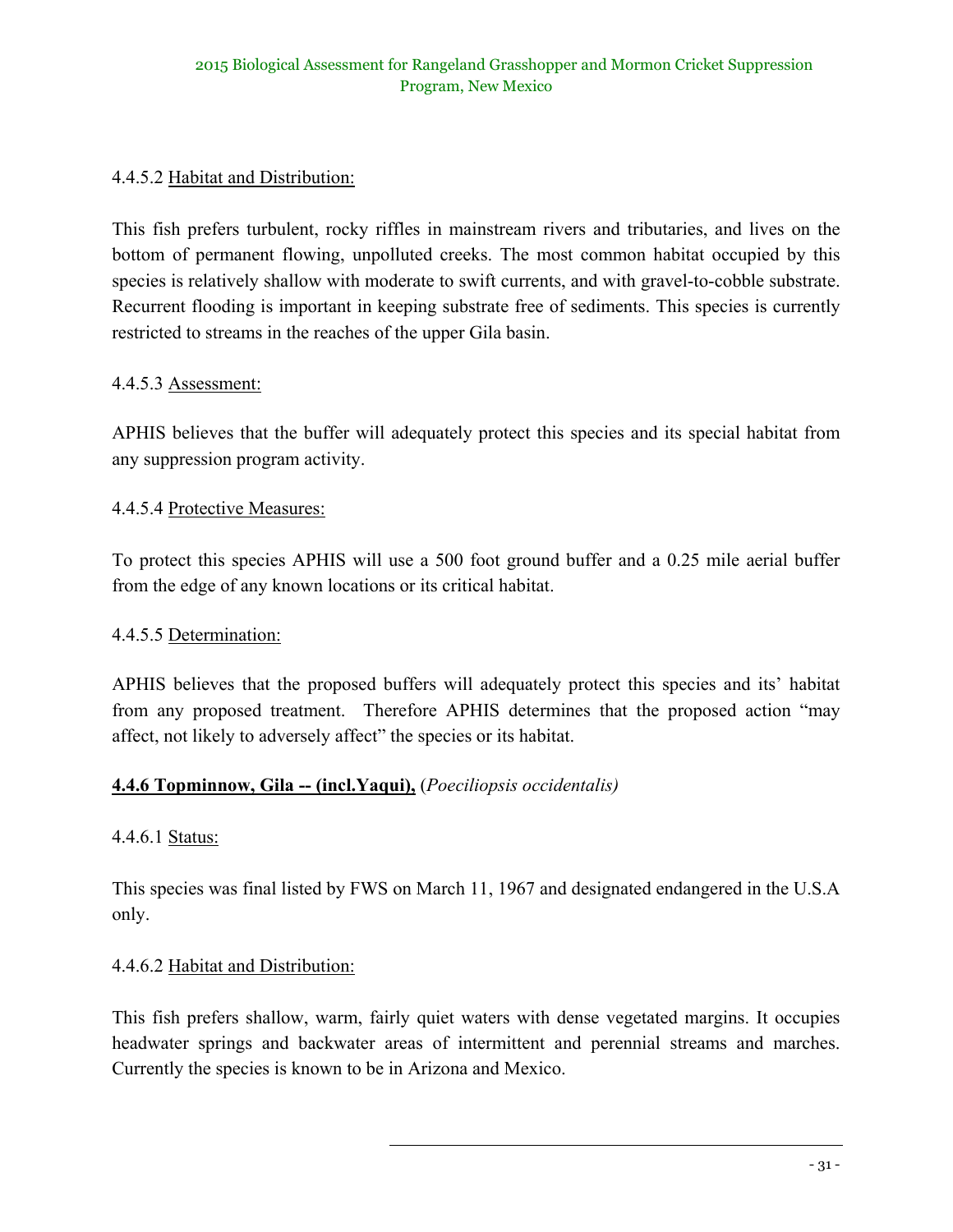# 4.4.5.2 Habitat and Distribution:

This fish prefers turbulent, rocky riffles in mainstream rivers and tributaries, and lives on the bottom of permanent flowing, unpolluted creeks. The most common habitat occupied by this species is relatively shallow with moderate to swift currents, and with gravel-to-cobble substrate. Recurrent flooding is important in keeping substrate free of sediments. This species is currently restricted to streams in the reaches of the upper Gila basin.

#### 4.4.5.3 Assessment:

APHIS believes that the buffer will adequately protect this species and its special habitat from any suppression program activity.

### 4.4.5.4 Protective Measures:

To protect this species APHIS will use a 500 foot ground buffer and a 0.25 mile aerial buffer from the edge of any known locations or its critical habitat.

#### 4.4.5.5 Determination:

APHIS believes that the proposed buffers will adequately protect this species and its' habitat from any proposed treatment. Therefore APHIS determines that the proposed action "may affect, not likely to adversely affect" the species or its habitat.

#### **4.4.6 Topminnow, Gila -- (incl.Yaqui),** (*Poeciliopsis occidentalis)*

#### 4.4.6.1 Status:

This species was final listed by FWS on March 11, 1967 and designated endangered in the U.S.A only.

#### 4.4.6.2 Habitat and Distribution:

This fish prefers shallow, warm, fairly quiet waters with dense vegetated margins. It occupies headwater springs and backwater areas of intermittent and perennial streams and marches. Currently the species is known to be in Arizona and Mexico.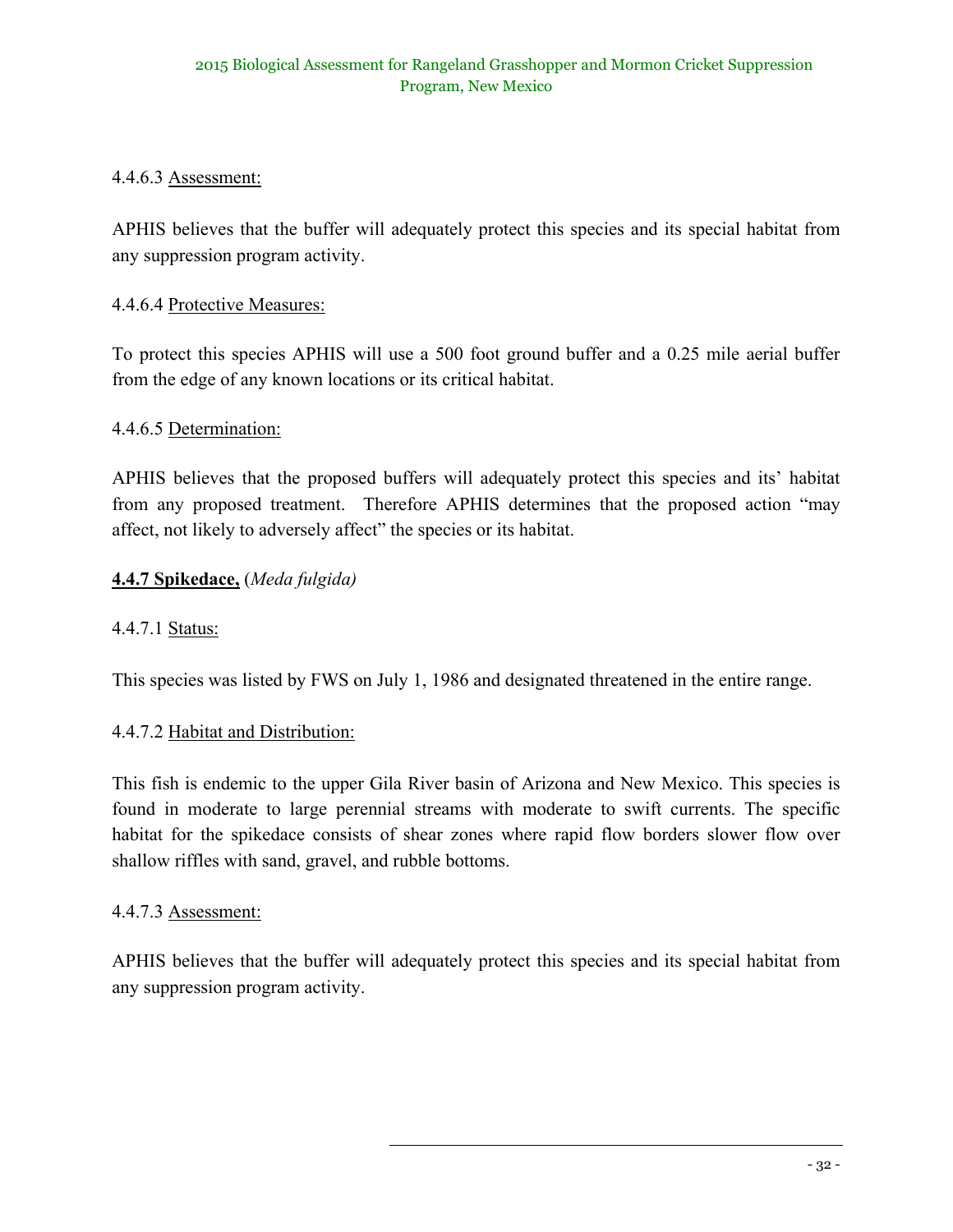# 4.4.6.3 Assessment:

APHIS believes that the buffer will adequately protect this species and its special habitat from any suppression program activity.

### 4.4.6.4 Protective Measures:

To protect this species APHIS will use a 500 foot ground buffer and a 0.25 mile aerial buffer from the edge of any known locations or its critical habitat.

#### 4.4.6.5 Determination:

APHIS believes that the proposed buffers will adequately protect this species and its' habitat from any proposed treatment. Therefore APHIS determines that the proposed action "may affect, not likely to adversely affect" the species or its habitat.

### **4.4.7 Spikedace,** (*Meda fulgida)*

#### 4.4.7.1 Status:

This species was listed by FWS on July 1, 1986 and designated threatened in the entire range.

#### 4.4.7.2 Habitat and Distribution:

This fish is endemic to the upper Gila River basin of Arizona and New Mexico. This species is found in moderate to large perennial streams with moderate to swift currents. The specific habitat for the spikedace consists of shear zones where rapid flow borders slower flow over shallow riffles with sand, gravel, and rubble bottoms.

#### 4.4.7.3 Assessment:

APHIS believes that the buffer will adequately protect this species and its special habitat from any suppression program activity.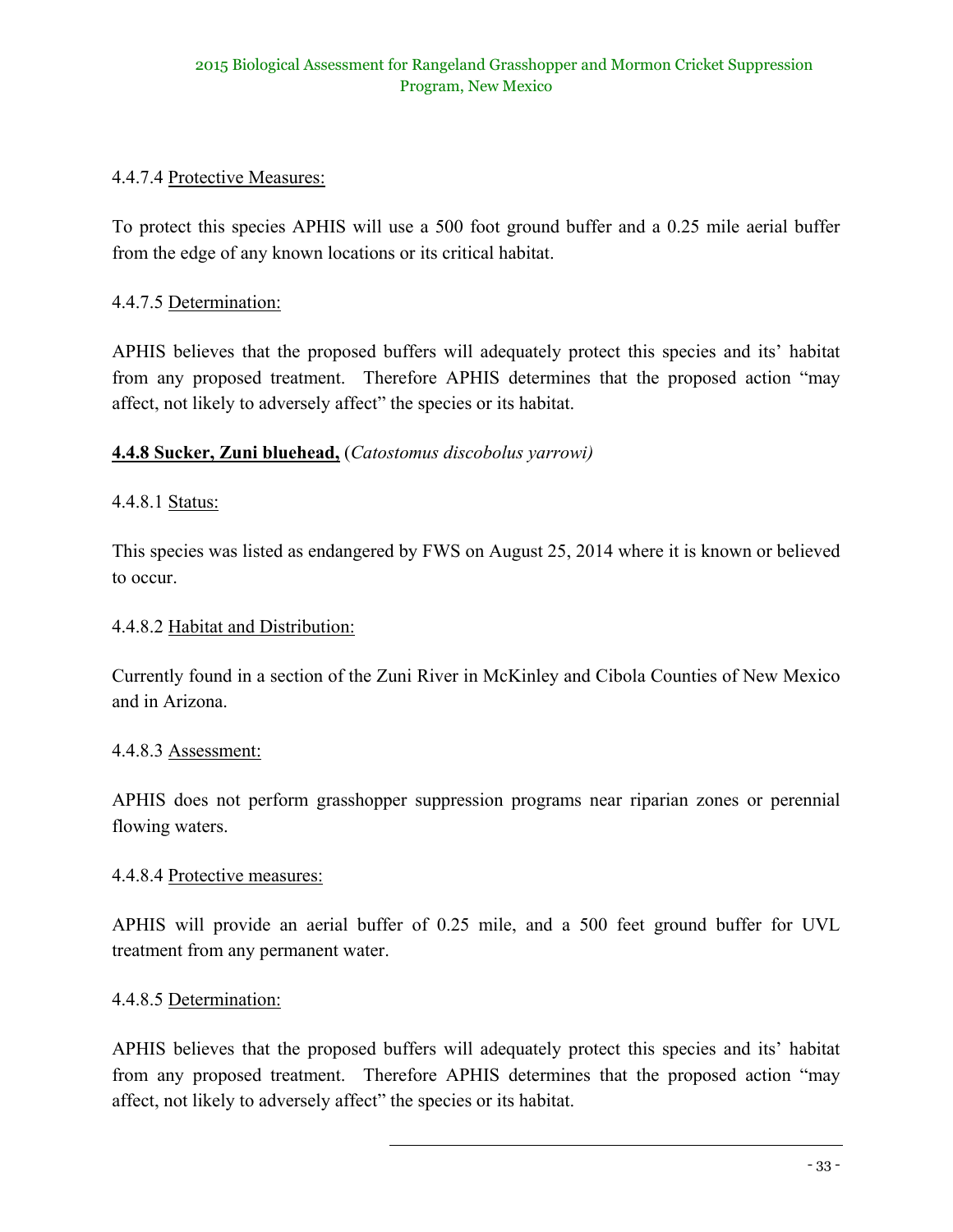# 4.4.7.4 Protective Measures:

To protect this species APHIS will use a 500 foot ground buffer and a 0.25 mile aerial buffer from the edge of any known locations or its critical habitat.

#### 4.4.7.5 Determination:

APHIS believes that the proposed buffers will adequately protect this species and its' habitat from any proposed treatment. Therefore APHIS determines that the proposed action "may affect, not likely to adversely affect" the species or its habitat.

### **4.4.8 Sucker, Zuni bluehead,** (*Catostomus discobolus yarrowi)*

#### 4.4.8.1 Status:

This species was listed as endangered by FWS on August 25, 2014 where it is known or believed to occur.

#### 4.4.8.2 Habitat and Distribution:

Currently found in a section of the Zuni River in McKinley and Cibola Counties of New Mexico and in Arizona.

#### 4.4.8.3 Assessment:

APHIS does not perform grasshopper suppression programs near riparian zones or perennial flowing waters.

#### 4.4.8.4 Protective measures:

APHIS will provide an aerial buffer of 0.25 mile, and a 500 feet ground buffer for UVL treatment from any permanent water.

#### 4.4.8.5 Determination:

APHIS believes that the proposed buffers will adequately protect this species and its' habitat from any proposed treatment. Therefore APHIS determines that the proposed action "may affect, not likely to adversely affect" the species or its habitat.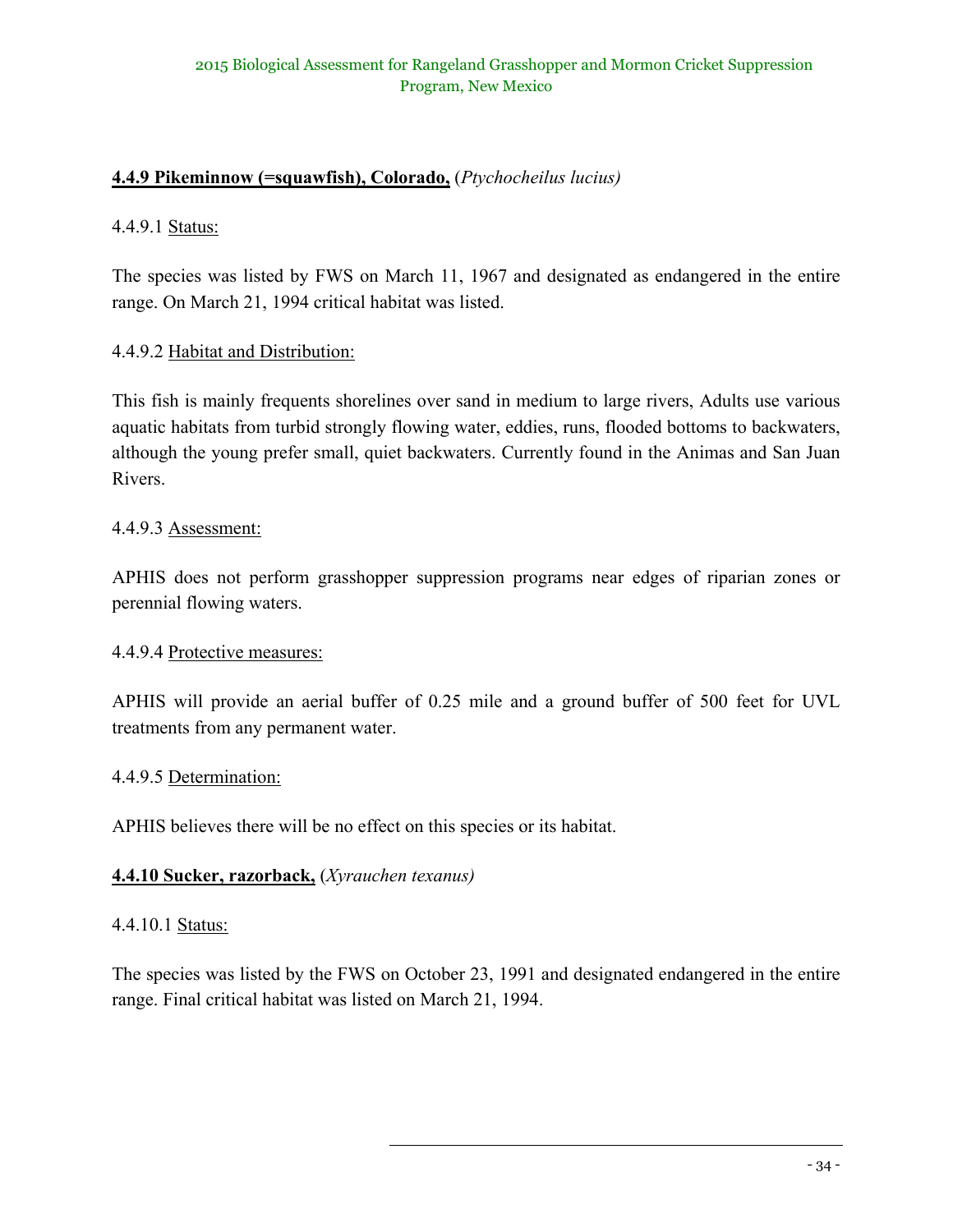# **4.4.9 Pikeminnow (=squawfish), Colorado,** (*Ptychocheilus lucius)*

### 4.4.9.1 Status:

The species was listed by FWS on March 11, 1967 and designated as endangered in the entire range. On March 21, 1994 critical habitat was listed.

# 4.4.9.2 Habitat and Distribution:

This fish is mainly frequents shorelines over sand in medium to large rivers, Adults use various aquatic habitats from turbid strongly flowing water, eddies, runs, flooded bottoms to backwaters, although the young prefer small, quiet backwaters. Currently found in the Animas and San Juan Rivers.

### 4.4.9.3 Assessment:

APHIS does not perform grasshopper suppression programs near edges of riparian zones or perennial flowing waters.

#### 4.4.9.4 Protective measures:

APHIS will provide an aerial buffer of 0.25 mile and a ground buffer of 500 feet for UVL treatments from any permanent water.

#### 4.4.9.5 Determination:

APHIS believes there will be no effect on this species or its habitat.

#### **4.4.10 Sucker, razorback,** (*Xyrauchen texanus)*

#### 4.4.10.1 Status:

The species was listed by the FWS on October 23, 1991 and designated endangered in the entire range. Final critical habitat was listed on March 21, 1994.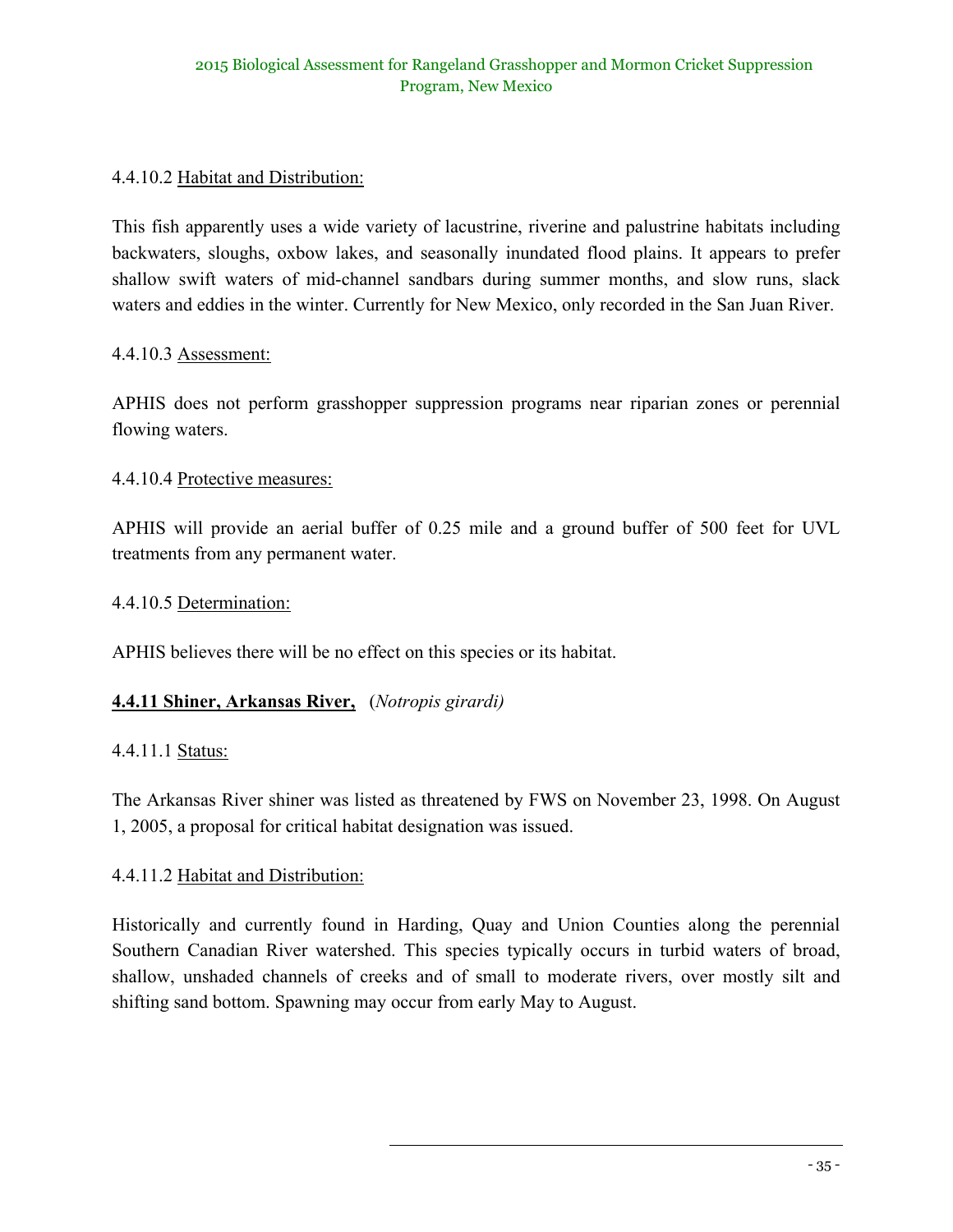# 4.4.10.2 Habitat and Distribution:

This fish apparently uses a wide variety of lacustrine, riverine and palustrine habitats including backwaters, sloughs, oxbow lakes, and seasonally inundated flood plains. It appears to prefer shallow swift waters of mid-channel sandbars during summer months, and slow runs, slack waters and eddies in the winter. Currently for New Mexico, only recorded in the San Juan River.

### 4.4.10.3 Assessment:

APHIS does not perform grasshopper suppression programs near riparian zones or perennial flowing waters.

### 4.4.10.4 Protective measures:

APHIS will provide an aerial buffer of 0.25 mile and a ground buffer of 500 feet for UVL treatments from any permanent water.

#### 4.4.10.5 Determination:

APHIS believes there will be no effect on this species or its habitat.

# **4.4.11 Shiner, Arkansas River,** (*Notropis girardi)*

#### 4.4.11.1 Status:

The Arkansas River shiner was listed as threatened by FWS on November 23, 1998. On August 1, 2005, a proposal for critical habitat designation was issued.

#### 4.4.11.2 Habitat and Distribution:

Historically and currently found in Harding, Quay and Union Counties along the perennial Southern Canadian River watershed. This species typically occurs in turbid waters of broad, shallow, unshaded channels of creeks and of small to moderate rivers, over mostly silt and shifting sand bottom. Spawning may occur from early May to August.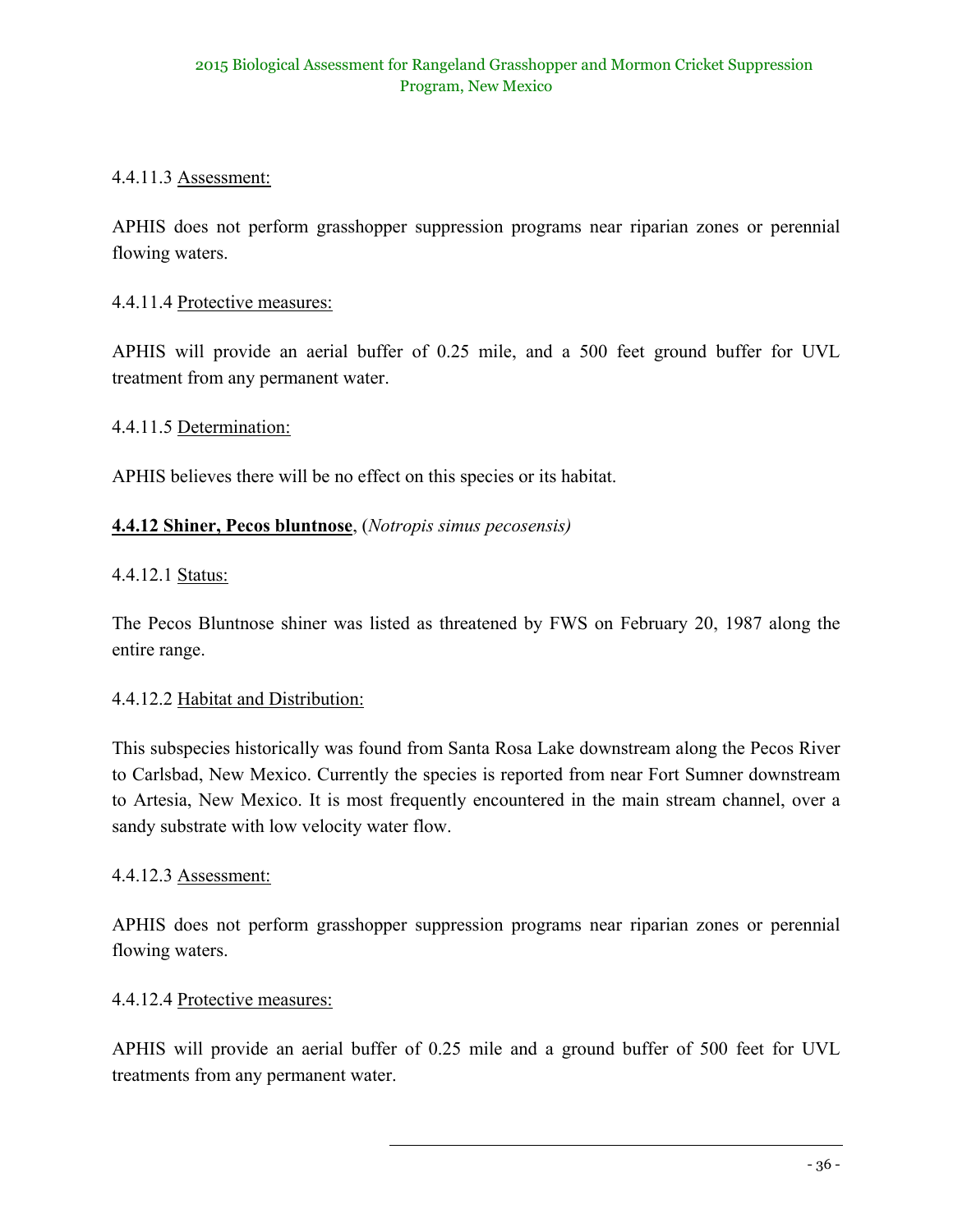### 4.4.11.3 Assessment:

APHIS does not perform grasshopper suppression programs near riparian zones or perennial flowing waters.

#### 4.4.11.4 Protective measures:

APHIS will provide an aerial buffer of 0.25 mile, and a 500 feet ground buffer for UVL treatment from any permanent water.

#### 4.4.11.5 Determination:

APHIS believes there will be no effect on this species or its habitat.

### **4.4.12 Shiner, Pecos bluntnose**, (*Notropis simus pecosensis)*

### 4.4.12.1 Status:

The Pecos Bluntnose shiner was listed as threatened by FWS on February 20, 1987 along the entire range.

#### 4.4.12.2 Habitat and Distribution:

This subspecies historically was found from Santa Rosa Lake downstream along the Pecos River to Carlsbad, New Mexico. Currently the species is reported from near Fort Sumner downstream to Artesia, New Mexico. It is most frequently encountered in the main stream channel, over a sandy substrate with low velocity water flow.

#### 4.4.12.3 Assessment:

APHIS does not perform grasshopper suppression programs near riparian zones or perennial flowing waters.

#### 4.4.12.4 Protective measures:

APHIS will provide an aerial buffer of 0.25 mile and a ground buffer of 500 feet for UVL treatments from any permanent water.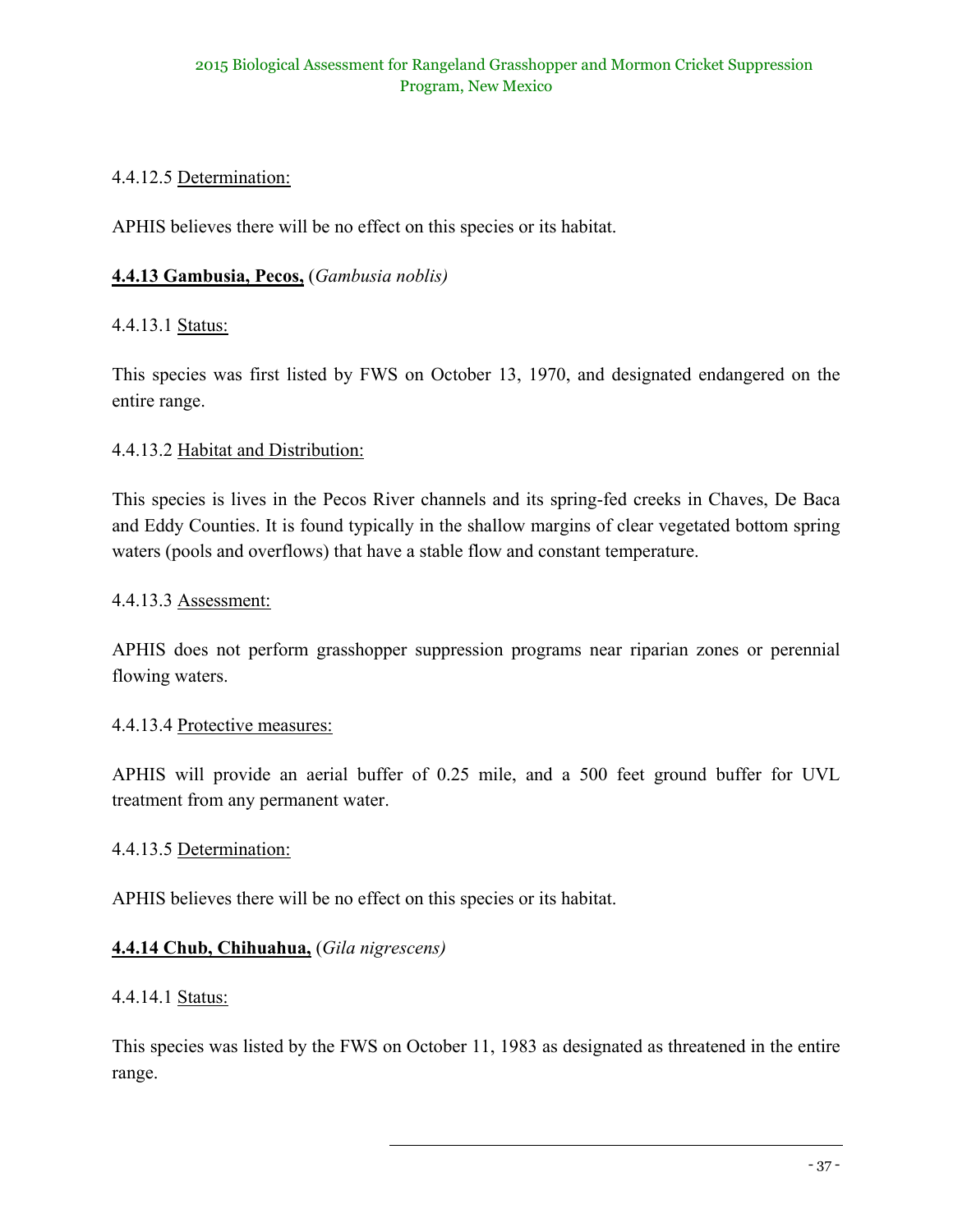# 4.4.12.5 Determination:

APHIS believes there will be no effect on this species or its habitat.

### **4.4.13 Gambusia, Pecos,** (*Gambusia noblis)*

### 4.4.13.1 Status:

This species was first listed by FWS on October 13, 1970, and designated endangered on the entire range.

### 4.4.13.2 Habitat and Distribution:

This species is lives in the Pecos River channels and its spring-fed creeks in Chaves, De Baca and Eddy Counties. It is found typically in the shallow margins of clear vegetated bottom spring waters (pools and overflows) that have a stable flow and constant temperature.

#### 4.4.13.3 Assessment:

APHIS does not perform grasshopper suppression programs near riparian zones or perennial flowing waters.

#### 4.4.13.4 Protective measures:

APHIS will provide an aerial buffer of 0.25 mile, and a 500 feet ground buffer for UVL treatment from any permanent water.

#### 4.4.13.5 Determination:

APHIS believes there will be no effect on this species or its habitat.

#### **4.4.14 Chub, Chihuahua,** (*Gila nigrescens)*

#### 4.4.14.1 Status:

This species was listed by the FWS on October 11, 1983 as designated as threatened in the entire range.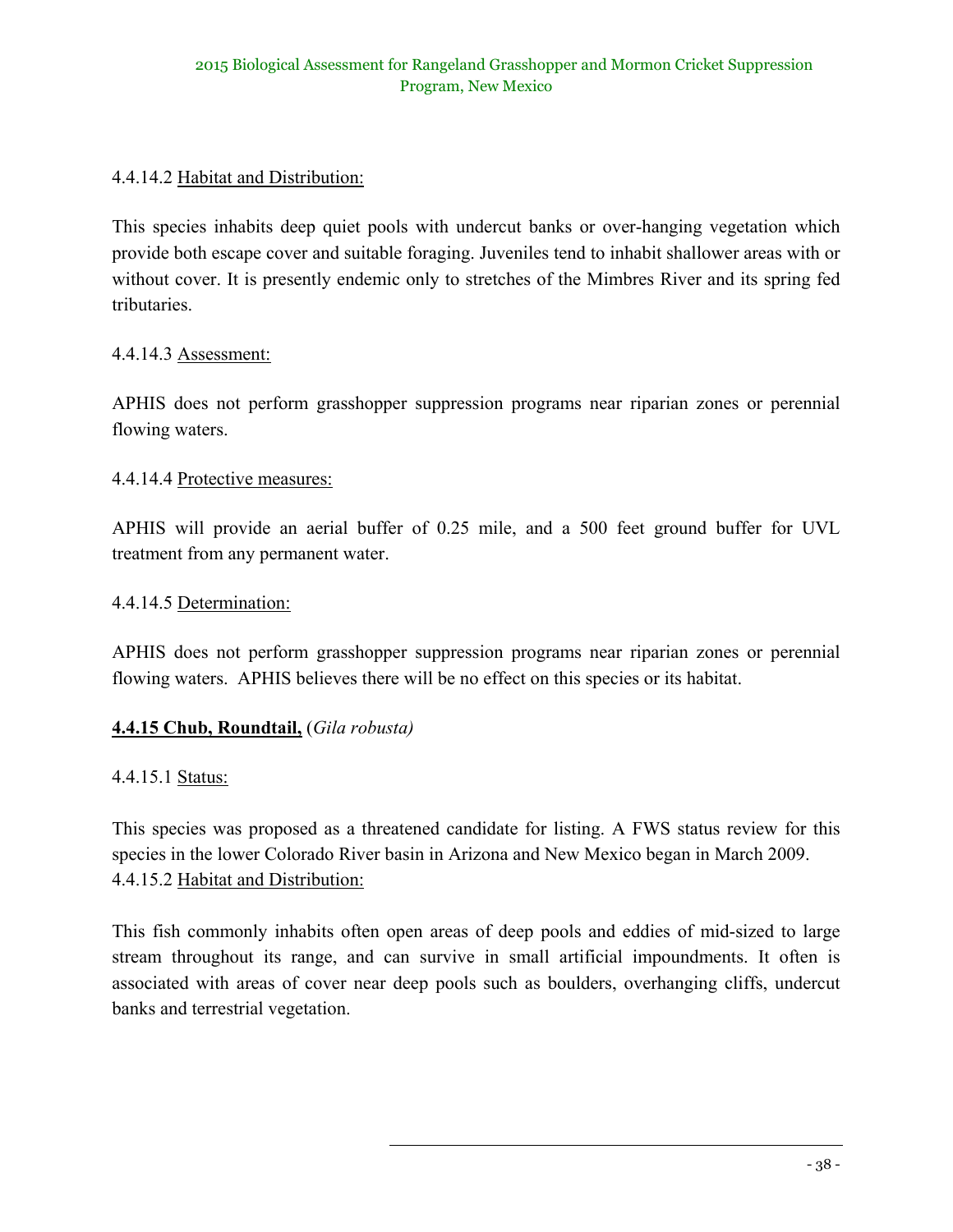# 4.4.14.2 Habitat and Distribution:

This species inhabits deep quiet pools with undercut banks or over-hanging vegetation which provide both escape cover and suitable foraging. Juveniles tend to inhabit shallower areas with or without cover. It is presently endemic only to stretches of the Mimbres River and its spring fed tributaries.

#### 4.4.14.3 Assessment:

APHIS does not perform grasshopper suppression programs near riparian zones or perennial flowing waters.

### 4.4.14.4 Protective measures:

APHIS will provide an aerial buffer of 0.25 mile, and a 500 feet ground buffer for UVL treatment from any permanent water.

#### 4.4.14.5 Determination:

APHIS does not perform grasshopper suppression programs near riparian zones or perennial flowing waters. APHIS believes there will be no effect on this species or its habitat.

# **4.4.15 Chub, Roundtail,** (*Gila robusta)*

#### 4.4.15.1 Status:

This species was proposed as a threatened candidate for listing. A FWS status review for this species in the lower Colorado River basin in Arizona and New Mexico began in March 2009. 4.4.15.2 Habitat and Distribution:

This fish commonly inhabits often open areas of deep pools and eddies of mid-sized to large stream throughout its range, and can survive in small artificial impoundments. It often is associated with areas of cover near deep pools such as boulders, overhanging cliffs, undercut banks and terrestrial vegetation.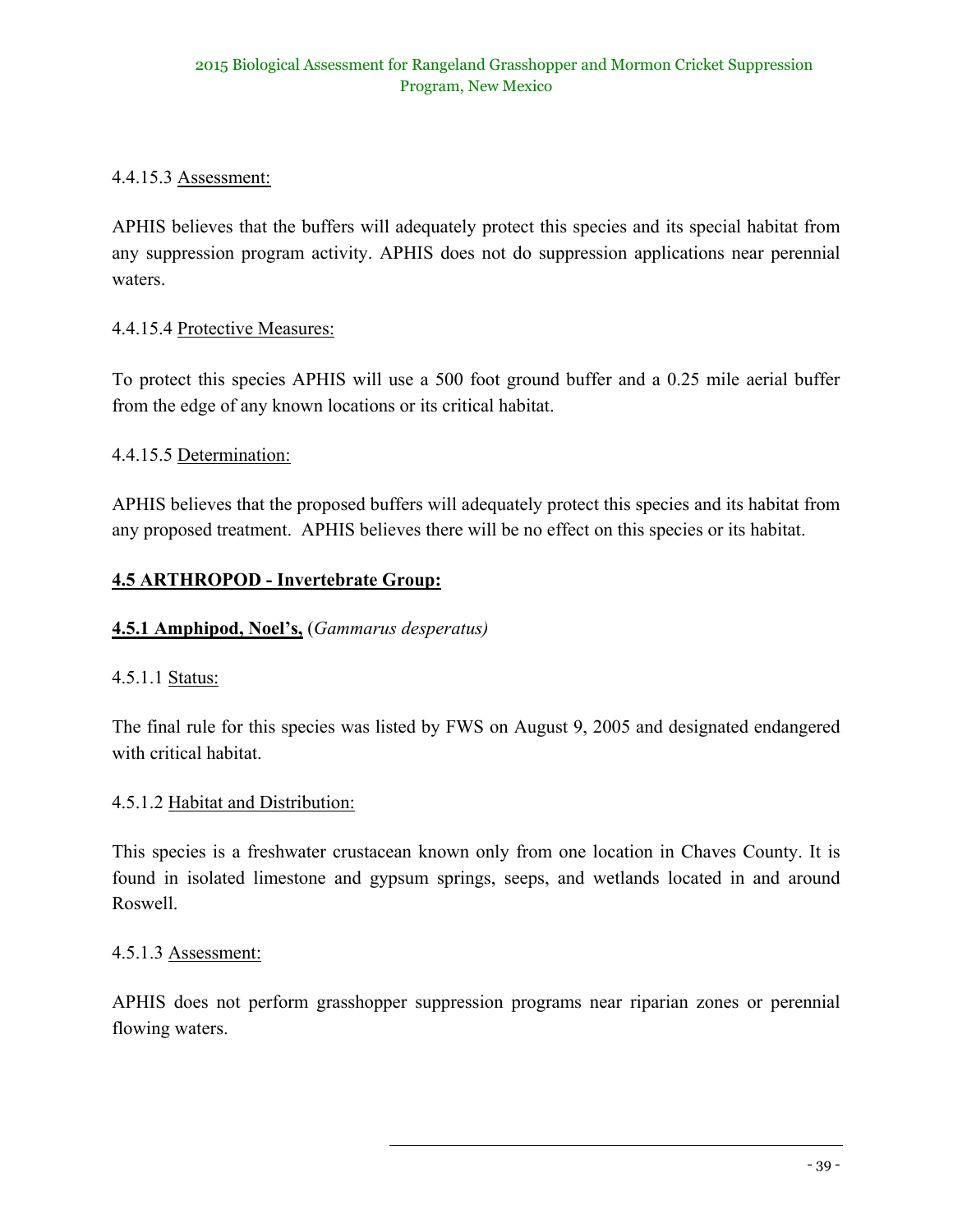# 4.4.15.3 Assessment:

APHIS believes that the buffers will adequately protect this species and its special habitat from any suppression program activity. APHIS does not do suppression applications near perennial waters.

### 4.4.15.4 Protective Measures:

To protect this species APHIS will use a 500 foot ground buffer and a 0.25 mile aerial buffer from the edge of any known locations or its critical habitat.

### 4.4.15.5 Determination:

APHIS believes that the proposed buffers will adequately protect this species and its habitat from any proposed treatment. APHIS believes there will be no effect on this species or its habitat.

### **4.5 ARTHROPOD - Invertebrate Group:**

#### **4.5.1 Amphipod, Noel's,** (*Gammarus desperatus)*

#### 4.5.1.1 Status:

The final rule for this species was listed by FWS on August 9, 2005 and designated endangered with critical habitat.

#### 4.5.1.2 Habitat and Distribution:

This species is a freshwater crustacean known only from one location in Chaves County. It is found in isolated limestone and gypsum springs, seeps, and wetlands located in and around Roswell.

#### 4.5.1.3 Assessment:

APHIS does not perform grasshopper suppression programs near riparian zones or perennial flowing waters.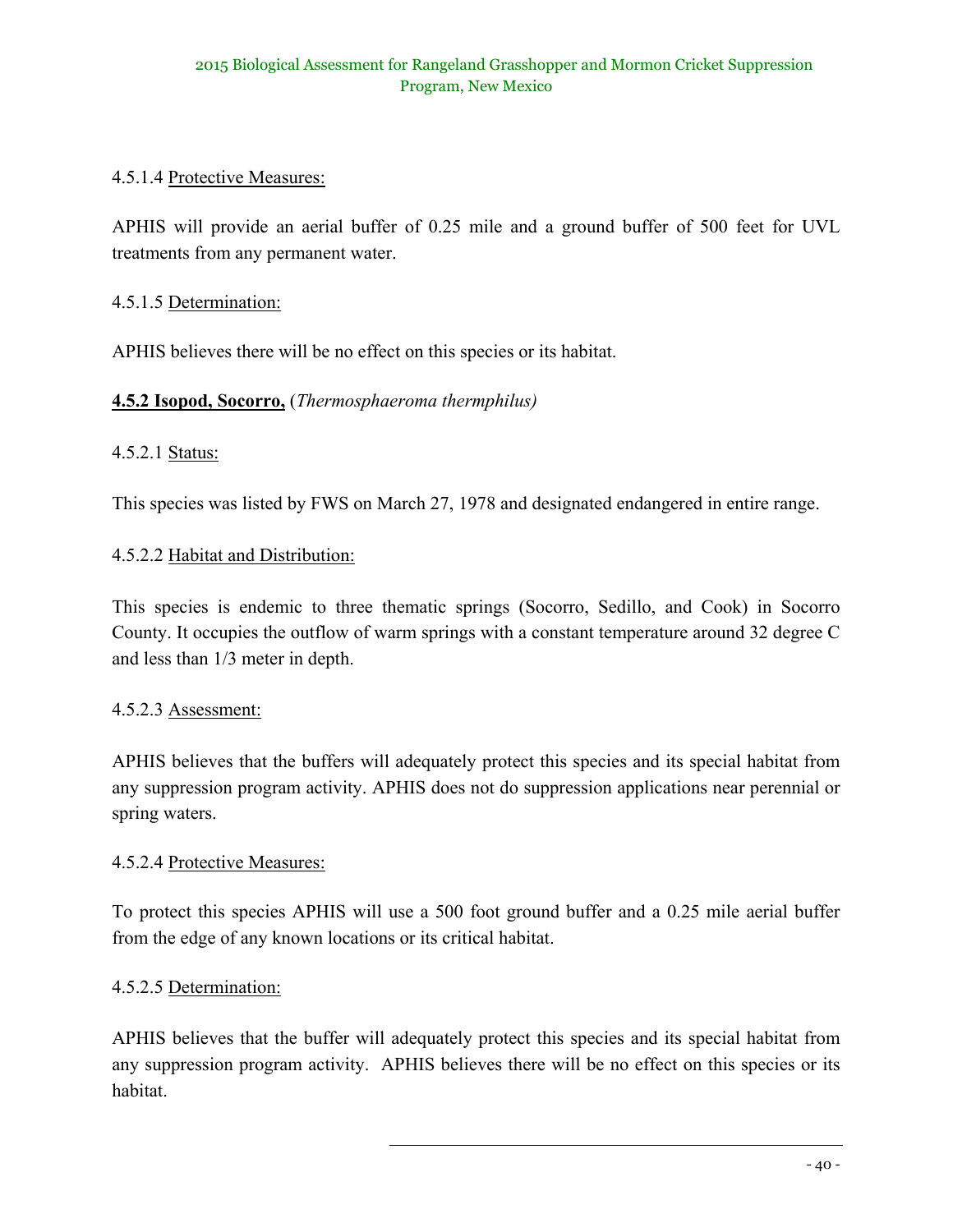# 4.5.1.4 Protective Measures:

APHIS will provide an aerial buffer of 0.25 mile and a ground buffer of 500 feet for UVL treatments from any permanent water.

#### 4.5.1.5 Determination:

APHIS believes there will be no effect on this species or its habitat.

### **4.5.2 Isopod, Socorro,** (*Thermosphaeroma thermphilus)*

#### 4.5.2.1 Status:

This species was listed by FWS on March 27, 1978 and designated endangered in entire range.

### 4.5.2.2 Habitat and Distribution:

This species is endemic to three thematic springs (Socorro, Sedillo, and Cook) in Socorro County. It occupies the outflow of warm springs with a constant temperature around 32 degree C and less than 1/3 meter in depth.

#### 4.5.2.3 Assessment:

APHIS believes that the buffers will adequately protect this species and its special habitat from any suppression program activity. APHIS does not do suppression applications near perennial or spring waters.

#### 4.5.2.4 Protective Measures:

To protect this species APHIS will use a 500 foot ground buffer and a 0.25 mile aerial buffer from the edge of any known locations or its critical habitat.

#### 4.5.2.5 Determination:

APHIS believes that the buffer will adequately protect this species and its special habitat from any suppression program activity. APHIS believes there will be no effect on this species or its habitat.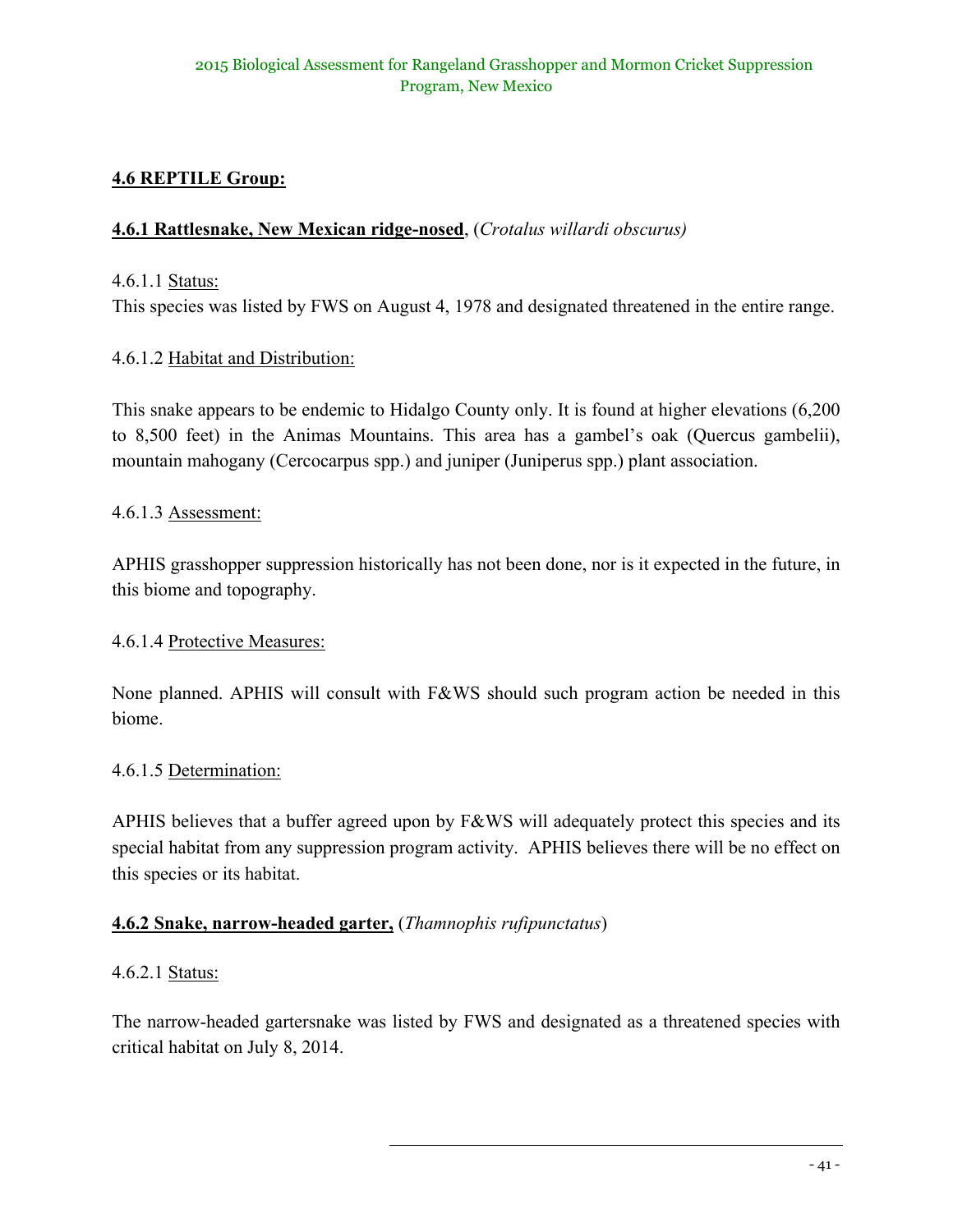# **4.6 REPTILE Group:**

# **4.6.1 Rattlesnake, New Mexican ridge-nosed**, (*Crotalus willardi obscurus)*

#### 4.6.1.1 Status:

This species was listed by FWS on August 4, 1978 and designated threatened in the entire range.

#### 4.6.1.2 Habitat and Distribution:

This snake appears to be endemic to Hidalgo County only. It is found at higher elevations (6,200 to 8,500 feet) in the Animas Mountains. This area has a gambel's oak (Quercus gambelii), mountain mahogany (Cercocarpus spp.) and juniper (Juniperus spp.) plant association.

#### 4.6.1.3 Assessment:

APHIS grasshopper suppression historically has not been done, nor is it expected in the future, in this biome and topography.

#### 4.6.1.4 Protective Measures:

None planned. APHIS will consult with F&WS should such program action be needed in this biome.

#### 4.6.1.5 Determination:

APHIS believes that a buffer agreed upon by F&WS will adequately protect this species and its special habitat from any suppression program activity. APHIS believes there will be no effect on this species or its habitat.

#### **4.6.2 Snake, narrow-headed garter,** (*Thamnophis rufipunctatus*)

#### 4.6.2.1 Status:

The narrow-headed gartersnake was listed by FWS and designated as a threatened species with critical habitat on July 8, 2014.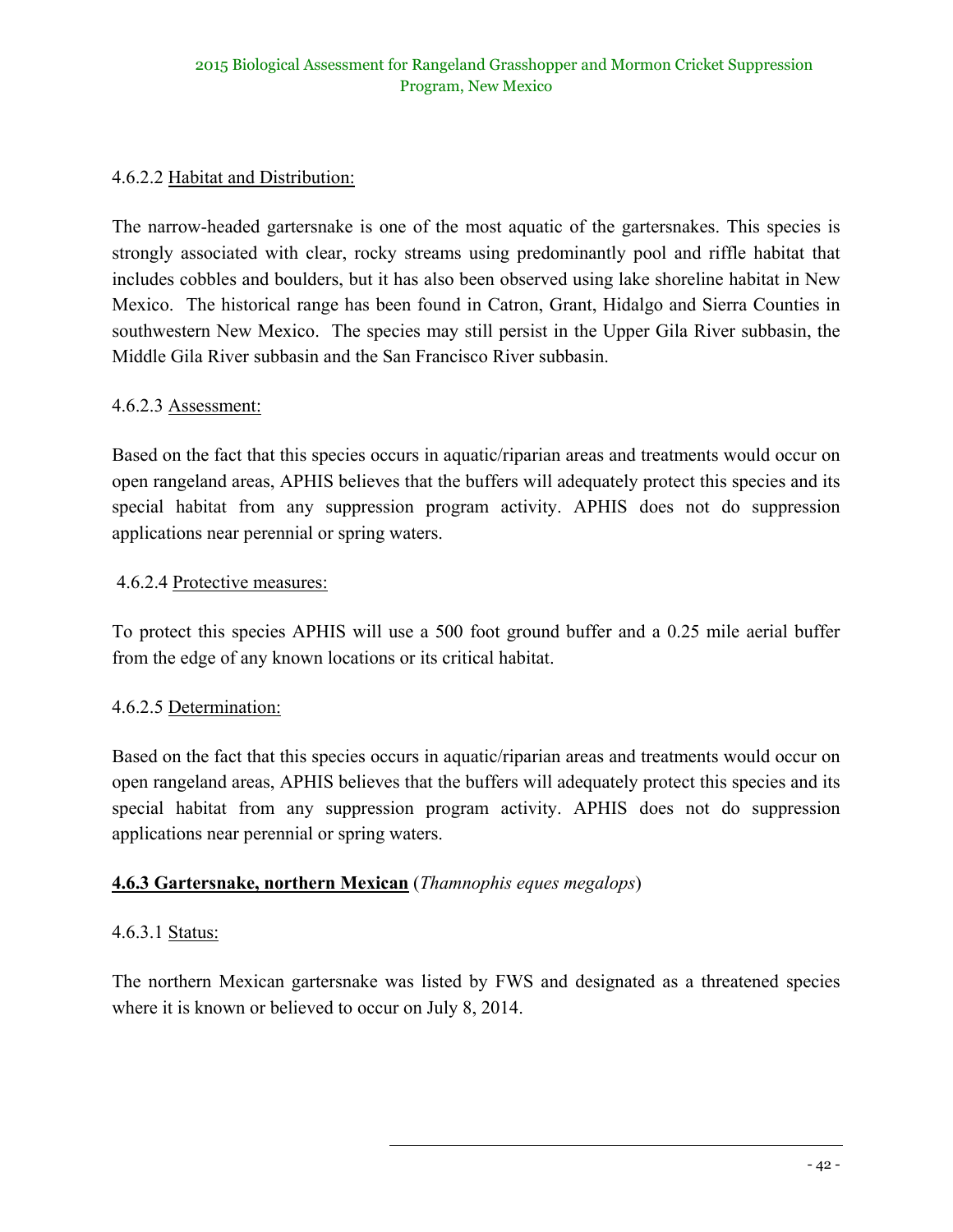# 4.6.2.2 Habitat and Distribution:

The narrow-headed gartersnake is one of the most aquatic of the gartersnakes. This species is strongly associated with clear, rocky streams using predominantly pool and riffle habitat that includes cobbles and boulders, but it has also been observed using lake shoreline habitat in New Mexico. The historical range has been found in Catron, Grant, Hidalgo and Sierra Counties in southwestern New Mexico. The species may still persist in the Upper Gila River subbasin, the Middle Gila River subbasin and the San Francisco River subbasin.

#### 4.6.2.3 Assessment:

Based on the fact that this species occurs in aquatic/riparian areas and treatments would occur on open rangeland areas, APHIS believes that the buffers will adequately protect this species and its special habitat from any suppression program activity. APHIS does not do suppression applications near perennial or spring waters.

### 4.6.2.4 Protective measures:

To protect this species APHIS will use a 500 foot ground buffer and a 0.25 mile aerial buffer from the edge of any known locations or its critical habitat.

#### 4.6.2.5 Determination:

Based on the fact that this species occurs in aquatic/riparian areas and treatments would occur on open rangeland areas, APHIS believes that the buffers will adequately protect this species and its special habitat from any suppression program activity. APHIS does not do suppression applications near perennial or spring waters.

# **4.6.3 Gartersnake, northern Mexican** (*Thamnophis eques megalops*)

#### 4.6.3.1 Status:

The northern Mexican gartersnake was listed by FWS and designated as a threatened species where it is known or believed to occur on July 8, 2014.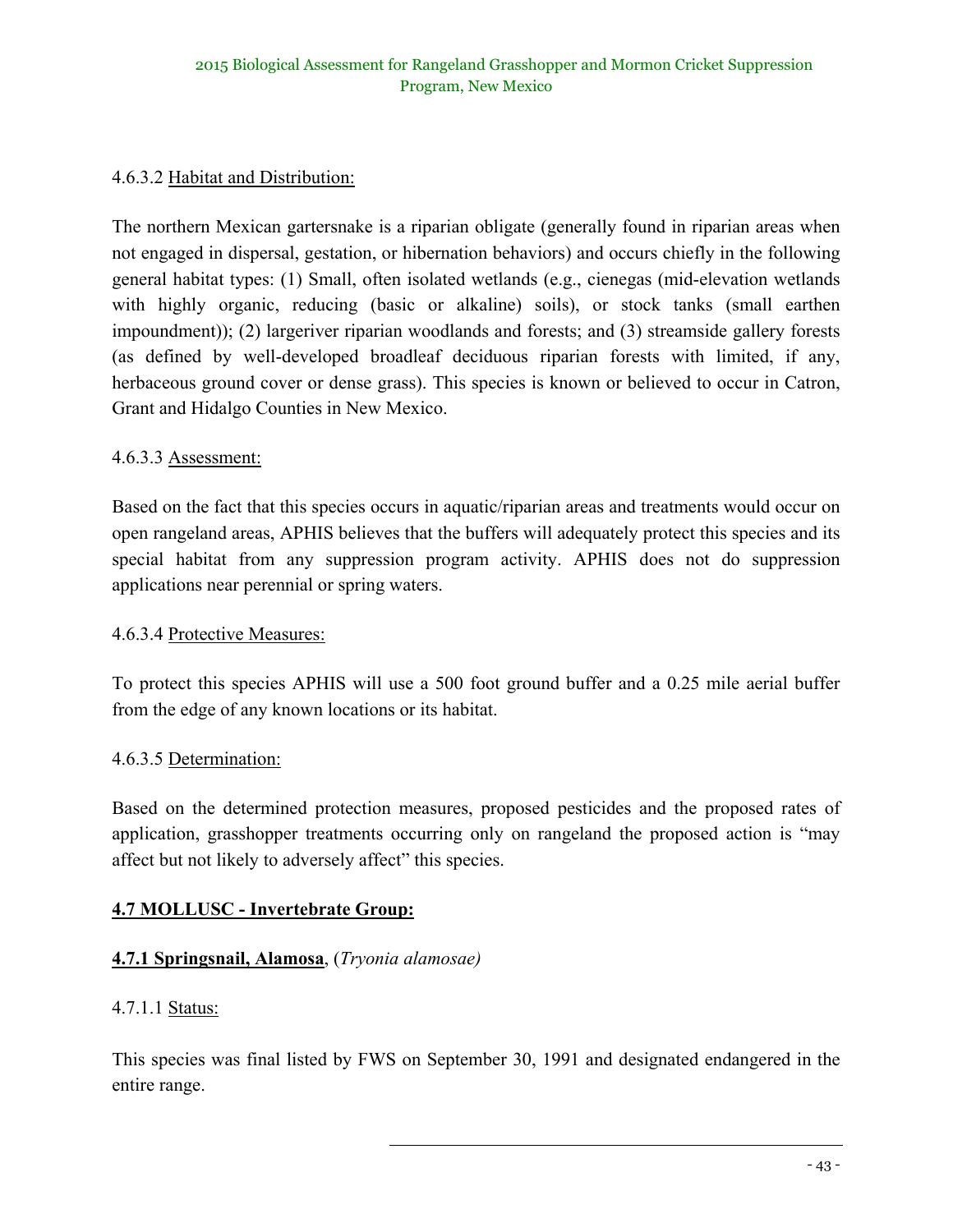# 4.6.3.2 Habitat and Distribution:

The northern Mexican gartersnake is a riparian obligate (generally found in riparian areas when not engaged in dispersal, gestation, or hibernation behaviors) and occurs chiefly in the following general habitat types: (1) Small, often isolated wetlands (e.g., cienegas (mid-elevation wetlands with highly organic, reducing (basic or alkaline) soils), or stock tanks (small earthen impoundment)); (2) largeriver riparian woodlands and forests; and (3) streamside gallery forests (as defined by well-developed broadleaf deciduous riparian forests with limited, if any, herbaceous ground cover or dense grass). This species is known or believed to occur in Catron, Grant and Hidalgo Counties in New Mexico.

#### 4.6.3.3 Assessment:

Based on the fact that this species occurs in aquatic/riparian areas and treatments would occur on open rangeland areas, APHIS believes that the buffers will adequately protect this species and its special habitat from any suppression program activity. APHIS does not do suppression applications near perennial or spring waters.

#### 4.6.3.4 Protective Measures:

To protect this species APHIS will use a 500 foot ground buffer and a 0.25 mile aerial buffer from the edge of any known locations or its habitat.

#### 4.6.3.5 Determination:

Based on the determined protection measures, proposed pesticides and the proposed rates of application, grasshopper treatments occurring only on rangeland the proposed action is "may affect but not likely to adversely affect" this species.

# **4.7 MOLLUSC - Invertebrate Group:**

# **4.7.1 Springsnail, Alamosa**, (*Tryonia alamosae)*

#### 4.7.1.1 Status:

This species was final listed by FWS on September 30, 1991 and designated endangered in the entire range.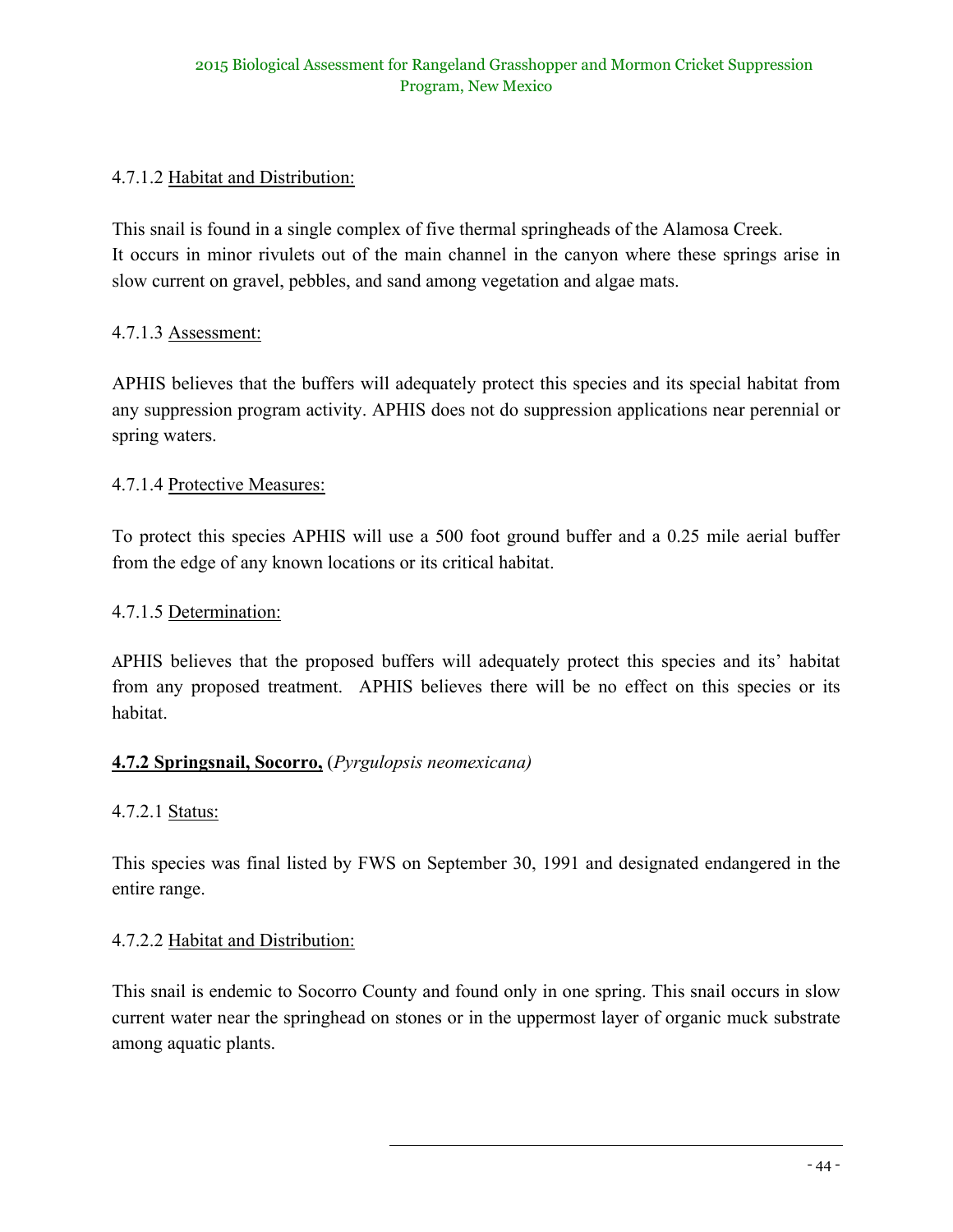# 4.7.1.2 Habitat and Distribution:

This snail is found in a single complex of five thermal springheads of the Alamosa Creek. It occurs in minor rivulets out of the main channel in the canyon where these springs arise in slow current on gravel, pebbles, and sand among vegetation and algae mats.

### 4.7.1.3 Assessment:

APHIS believes that the buffers will adequately protect this species and its special habitat from any suppression program activity. APHIS does not do suppression applications near perennial or spring waters.

### 4.7.1.4 Protective Measures:

To protect this species APHIS will use a 500 foot ground buffer and a 0.25 mile aerial buffer from the edge of any known locations or its critical habitat.

#### 4.7.1.5 Determination:

APHIS believes that the proposed buffers will adequately protect this species and its' habitat from any proposed treatment. APHIS believes there will be no effect on this species or its habitat.

# **4.7.2 Springsnail, Socorro,** (*Pyrgulopsis neomexicana)*

#### 4.7.2.1 Status:

This species was final listed by FWS on September 30, 1991 and designated endangered in the entire range.

#### 4.7.2.2 Habitat and Distribution:

This snail is endemic to Socorro County and found only in one spring. This snail occurs in slow current water near the springhead on stones or in the uppermost layer of organic muck substrate among aquatic plants.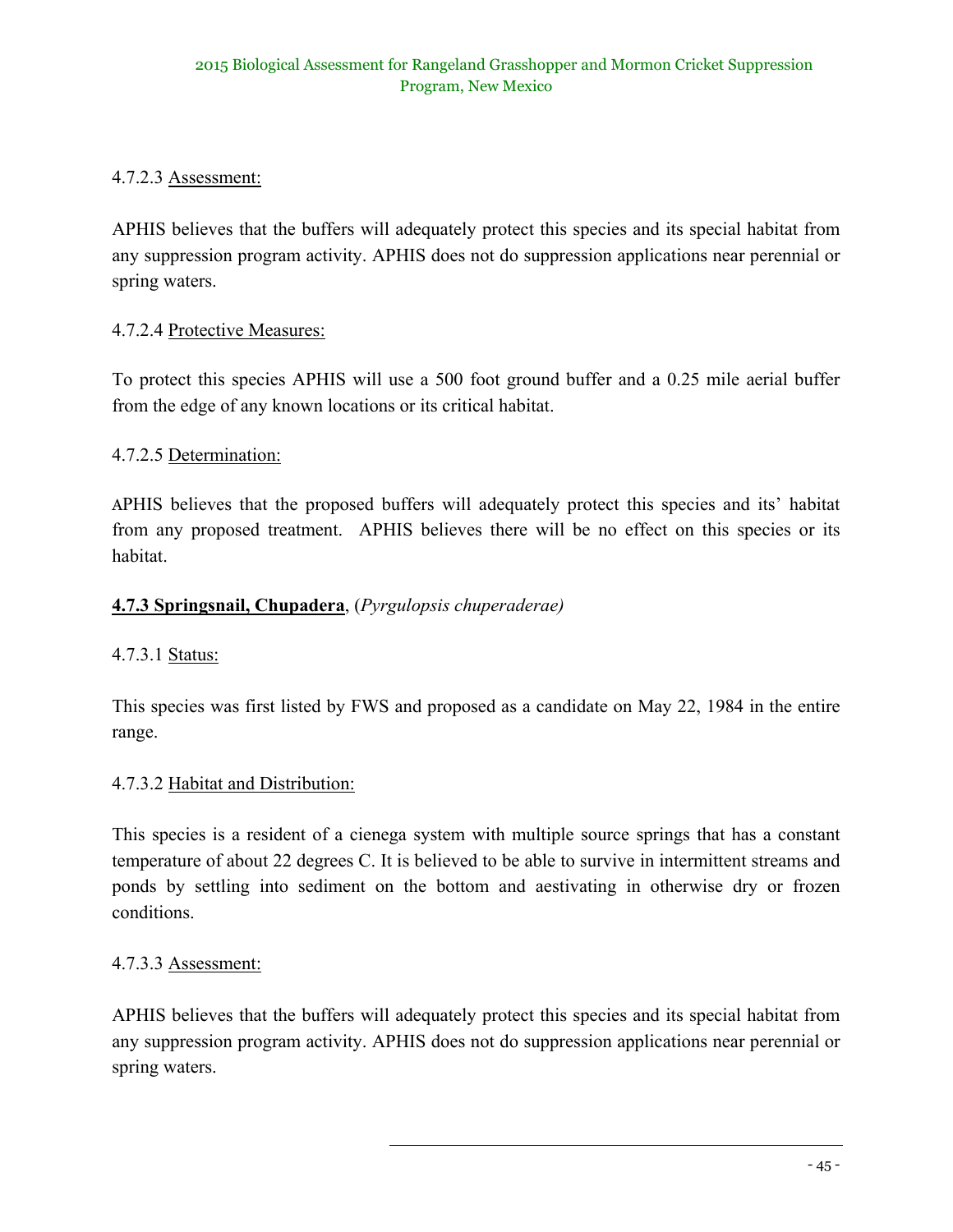# 4.7.2.3 Assessment:

APHIS believes that the buffers will adequately protect this species and its special habitat from any suppression program activity. APHIS does not do suppression applications near perennial or spring waters.

### 4.7.2.4 Protective Measures:

To protect this species APHIS will use a 500 foot ground buffer and a 0.25 mile aerial buffer from the edge of any known locations or its critical habitat.

### 4.7.2.5 Determination:

APHIS believes that the proposed buffers will adequately protect this species and its' habitat from any proposed treatment. APHIS believes there will be no effect on this species or its habitat.

### **4.7.3 Springsnail, Chupadera**, (*Pyrgulopsis chuperaderae)*

#### 4.7.3.1 Status:

This species was first listed by FWS and proposed as a candidate on May 22, 1984 in the entire range.

#### 4.7.3.2 Habitat and Distribution:

This species is a resident of a cienega system with multiple source springs that has a constant temperature of about 22 degrees C. It is believed to be able to survive in intermittent streams and ponds by settling into sediment on the bottom and aestivating in otherwise dry or frozen conditions.

#### 4.7.3.3 Assessment:

APHIS believes that the buffers will adequately protect this species and its special habitat from any suppression program activity. APHIS does not do suppression applications near perennial or spring waters.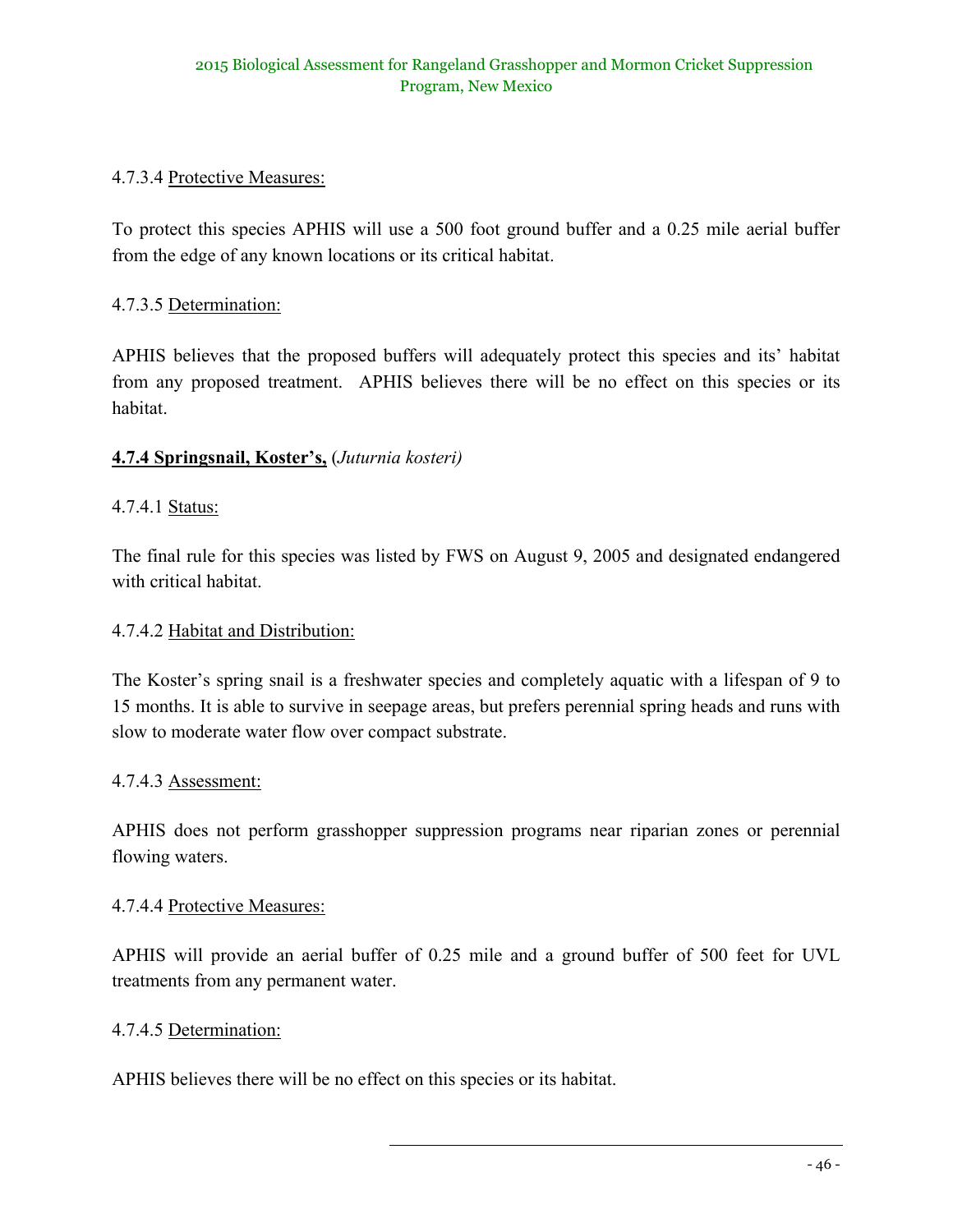# 4.7.3.4 Protective Measures:

To protect this species APHIS will use a 500 foot ground buffer and a 0.25 mile aerial buffer from the edge of any known locations or its critical habitat.

#### 4.7.3.5 Determination:

APHIS believes that the proposed buffers will adequately protect this species and its' habitat from any proposed treatment. APHIS believes there will be no effect on this species or its habitat.

### **4.7.4 Springsnail, Koster's,** (*Juturnia kosteri)*

#### 4.7.4.1 Status:

The final rule for this species was listed by FWS on August 9, 2005 and designated endangered with critical habitat.

#### 4.7.4.2 Habitat and Distribution:

The Koster's spring snail is a freshwater species and completely aquatic with a lifespan of 9 to 15 months. It is able to survive in seepage areas, but prefers perennial spring heads and runs with slow to moderate water flow over compact substrate.

#### 4.7.4.3 Assessment:

APHIS does not perform grasshopper suppression programs near riparian zones or perennial flowing waters.

#### 4.7.4.4 Protective Measures:

APHIS will provide an aerial buffer of 0.25 mile and a ground buffer of 500 feet for UVL treatments from any permanent water.

#### 4.7.4.5 Determination:

APHIS believes there will be no effect on this species or its habitat.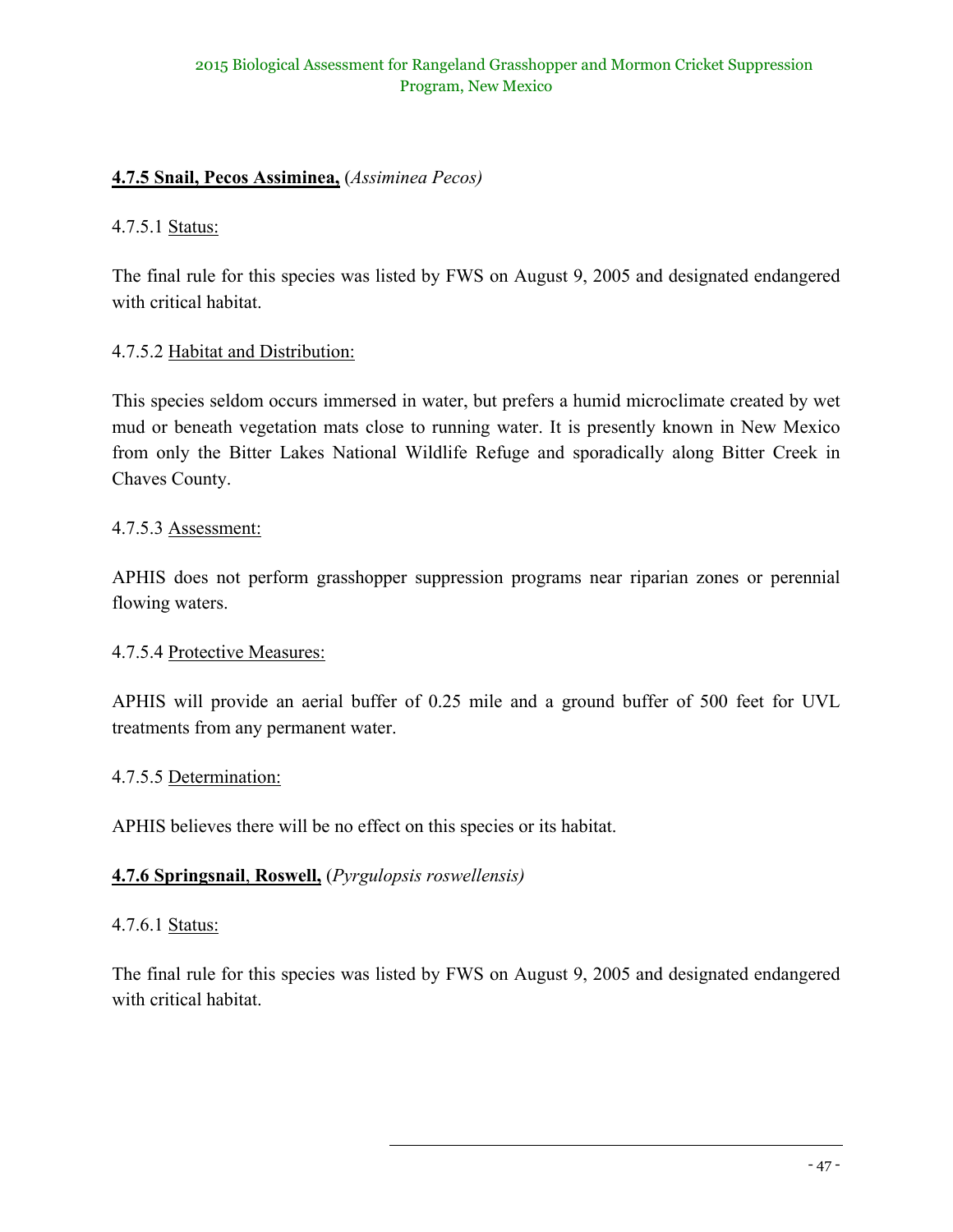# **4.7.5 Snail, Pecos Assiminea,** (*Assiminea Pecos)*

# 4.7.5.1 Status:

The final rule for this species was listed by FWS on August 9, 2005 and designated endangered with critical habitat.

# 4.7.5.2 Habitat and Distribution:

This species seldom occurs immersed in water, but prefers a humid microclimate created by wet mud or beneath vegetation mats close to running water. It is presently known in New Mexico from only the Bitter Lakes National Wildlife Refuge and sporadically along Bitter Creek in Chaves County.

#### 4.7.5.3 Assessment:

APHIS does not perform grasshopper suppression programs near riparian zones or perennial flowing waters.

#### 4.7.5.4 Protective Measures:

APHIS will provide an aerial buffer of 0.25 mile and a ground buffer of 500 feet for UVL treatments from any permanent water.

#### 4.7.5.5 Determination:

APHIS believes there will be no effect on this species or its habitat.

# **4.7.6 Springsnail**, **Roswell,** (*Pyrgulopsis roswellensis)*

#### 4.7.6.1 Status:

The final rule for this species was listed by FWS on August 9, 2005 and designated endangered with critical habitat.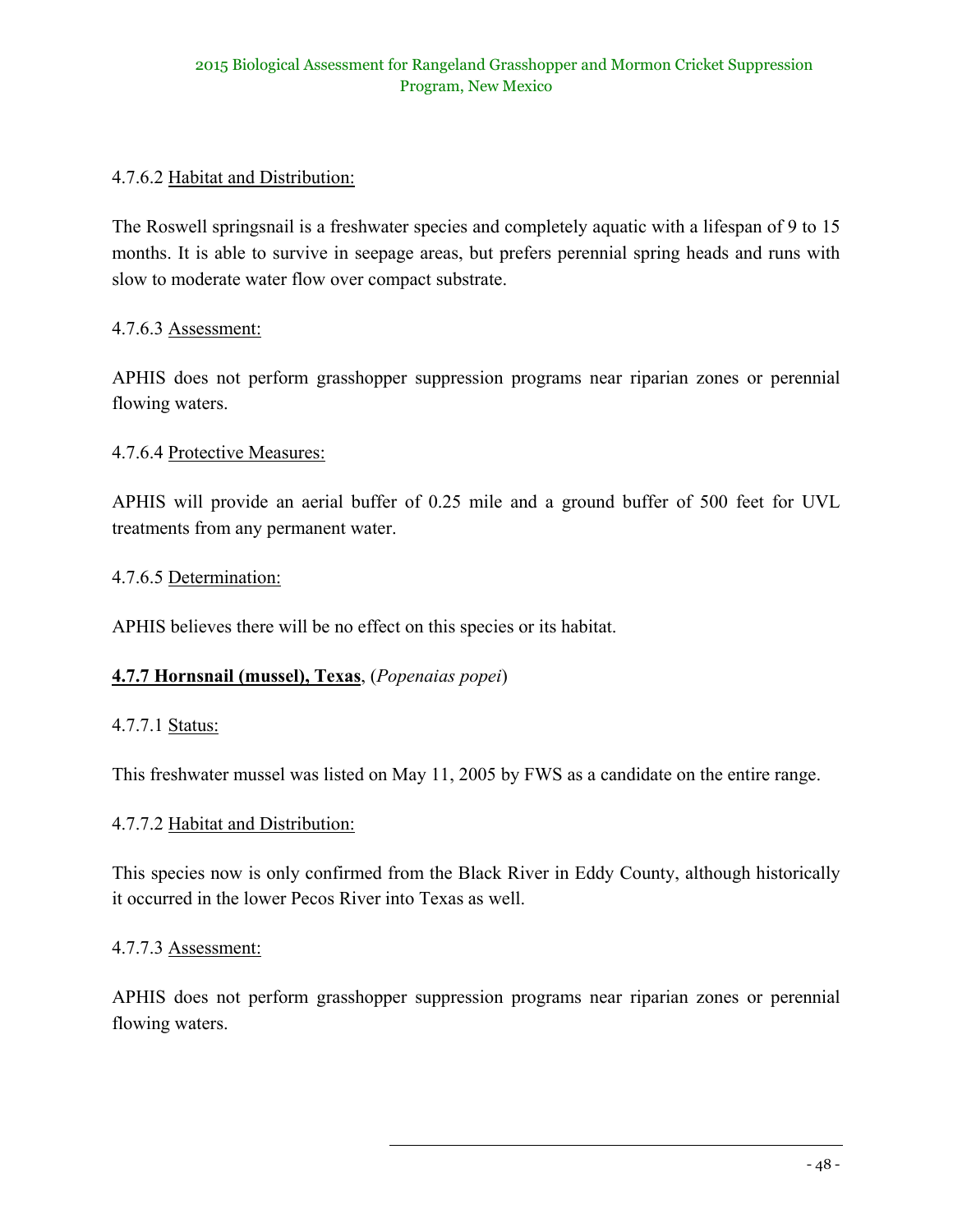# 4.7.6.2 Habitat and Distribution:

The Roswell springsnail is a freshwater species and completely aquatic with a lifespan of 9 to 15 months. It is able to survive in seepage areas, but prefers perennial spring heads and runs with slow to moderate water flow over compact substrate.

#### 4.7.6.3 Assessment:

APHIS does not perform grasshopper suppression programs near riparian zones or perennial flowing waters.

### 4.7.6.4 Protective Measures:

APHIS will provide an aerial buffer of 0.25 mile and a ground buffer of 500 feet for UVL treatments from any permanent water.

#### 4.7.6.5 Determination:

APHIS believes there will be no effect on this species or its habitat.

# **4.7.7 Hornsnail (mussel), Texas**, (*Popenaias popei*)

#### 4.7.7.1 Status:

This freshwater mussel was listed on May 11, 2005 by FWS as a candidate on the entire range.

#### 4.7.7.2 Habitat and Distribution:

This species now is only confirmed from the Black River in Eddy County, although historically it occurred in the lower Pecos River into Texas as well.

#### 4.7.7.3 Assessment:

APHIS does not perform grasshopper suppression programs near riparian zones or perennial flowing waters.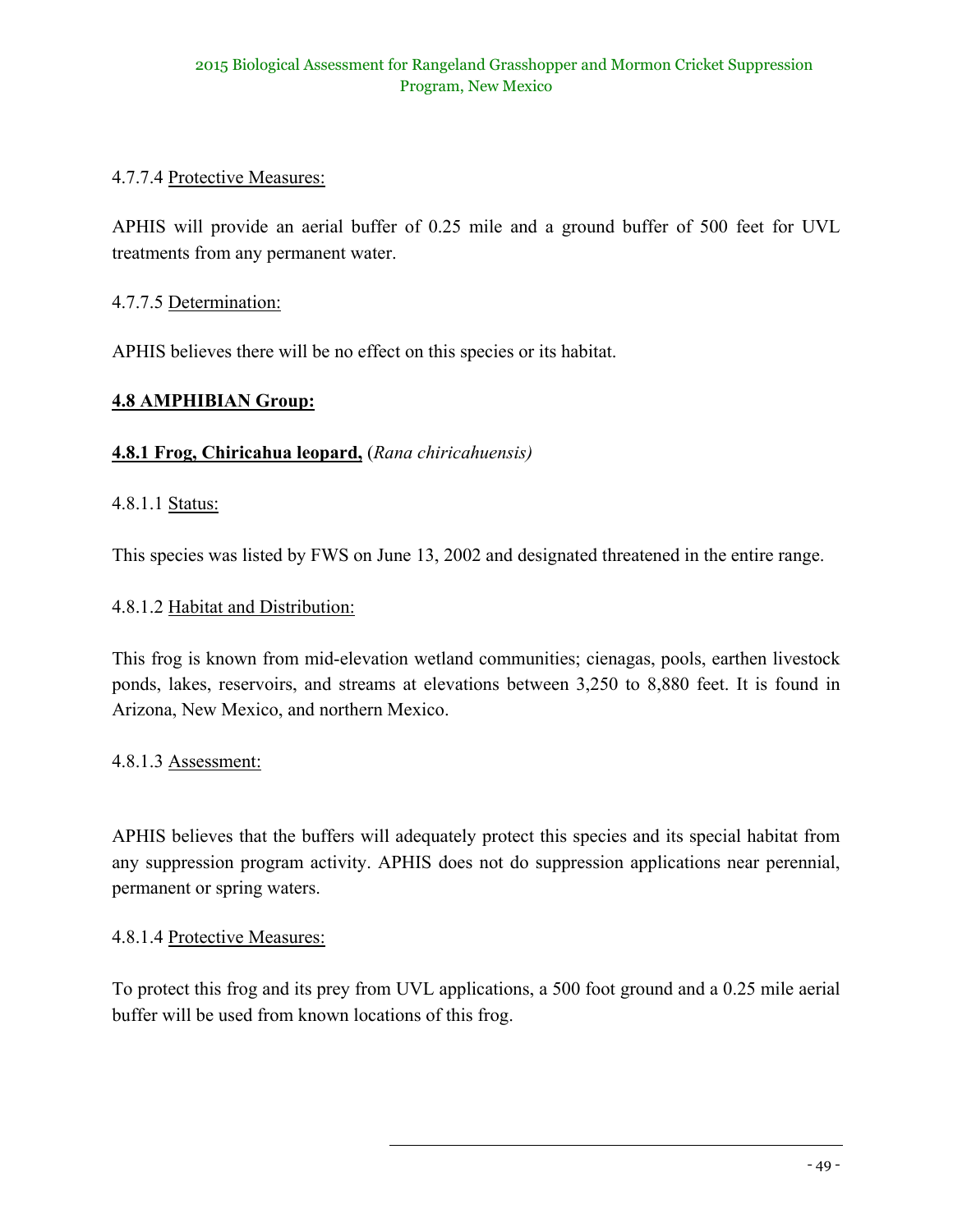# 4.7.7.4 Protective Measures:

APHIS will provide an aerial buffer of 0.25 mile and a ground buffer of 500 feet for UVL treatments from any permanent water.

#### 4.7.7.5 Determination:

APHIS believes there will be no effect on this species or its habitat.

### **4.8 AMPHIBIAN Group:**

#### **4.8.1 Frog, Chiricahua leopard,** (*Rana chiricahuensis)*

4.8.1.1 Status:

This species was listed by FWS on June 13, 2002 and designated threatened in the entire range.

#### 4.8.1.2 Habitat and Distribution:

This frog is known from mid-elevation wetland communities; cienagas, pools, earthen livestock ponds, lakes, reservoirs, and streams at elevations between 3,250 to 8,880 feet. It is found in Arizona, New Mexico, and northern Mexico.

#### 4.8.1.3 Assessment:

APHIS believes that the buffers will adequately protect this species and its special habitat from any suppression program activity. APHIS does not do suppression applications near perennial, permanent or spring waters.

#### 4.8.1.4 Protective Measures:

To protect this frog and its prey from UVL applications, a 500 foot ground and a 0.25 mile aerial buffer will be used from known locations of this frog.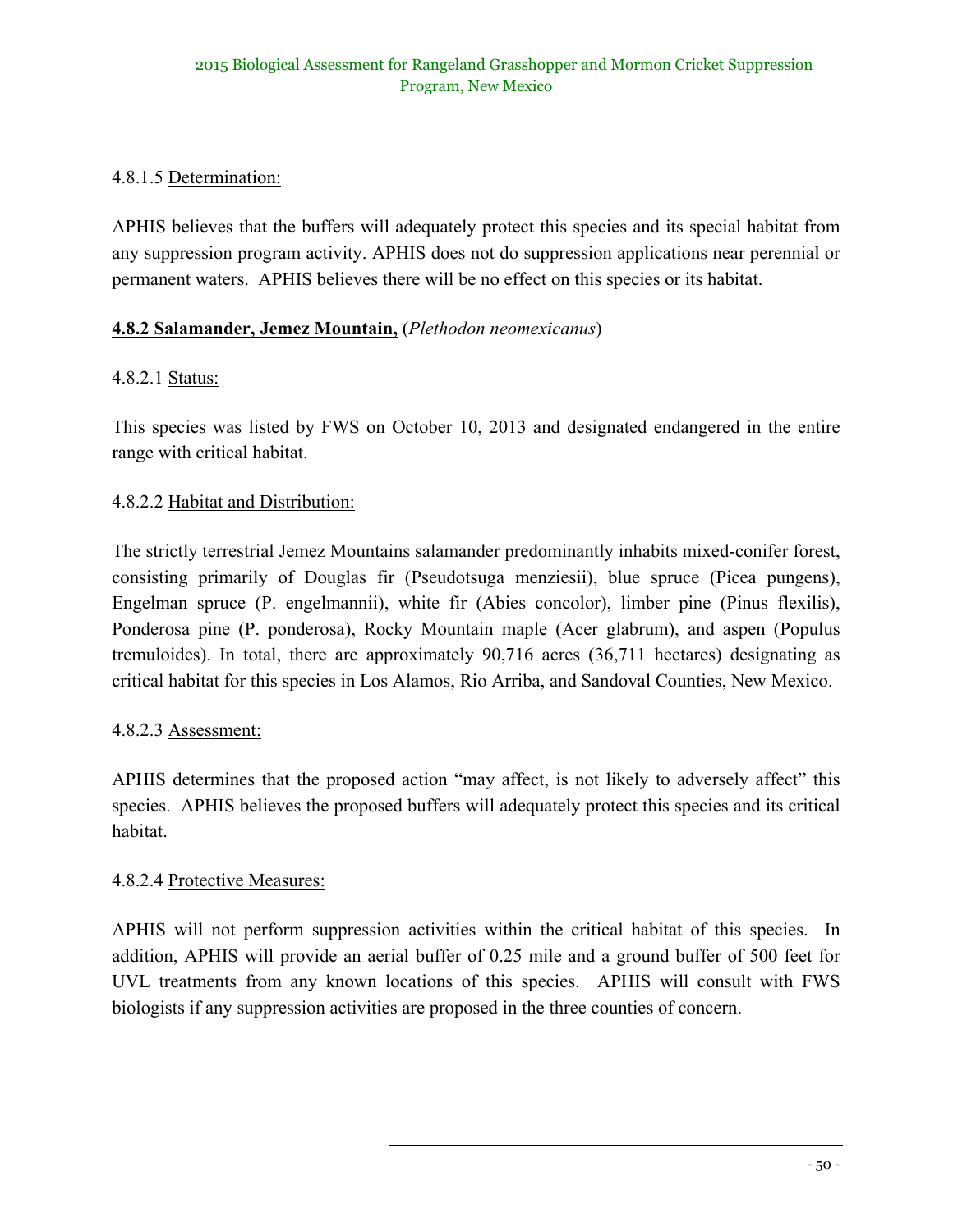# 4.8.1.5 Determination:

APHIS believes that the buffers will adequately protect this species and its special habitat from any suppression program activity. APHIS does not do suppression applications near perennial or permanent waters. APHIS believes there will be no effect on this species or its habitat.

# **4.8.2 Salamander, Jemez Mountain,** (*Plethodon neomexicanus*)

# 4.8.2.1 Status:

This species was listed by FWS on October 10, 2013 and designated endangered in the entire range with critical habitat.

# 4.8.2.2 Habitat and Distribution:

The strictly terrestrial Jemez Mountains salamander predominantly inhabits mixed-conifer forest, consisting primarily of Douglas fir (Pseudotsuga menziesii), blue spruce (Picea pungens), Engelman spruce (P. engelmannii), white fir (Abies concolor), limber pine (Pinus flexilis), Ponderosa pine (P. ponderosa), Rocky Mountain maple (Acer glabrum), and aspen (Populus tremuloides). In total, there are approximately 90,716 acres (36,711 hectares) designating as critical habitat for this species in Los Alamos, Rio Arriba, and Sandoval Counties, New Mexico.

# 4.8.2.3 Assessment:

APHIS determines that the proposed action "may affect, is not likely to adversely affect" this species. APHIS believes the proposed buffers will adequately protect this species and its critical habitat.

# 4.8.2.4 Protective Measures:

APHIS will not perform suppression activities within the critical habitat of this species. In addition, APHIS will provide an aerial buffer of 0.25 mile and a ground buffer of 500 feet for UVL treatments from any known locations of this species. APHIS will consult with FWS biologists if any suppression activities are proposed in the three counties of concern.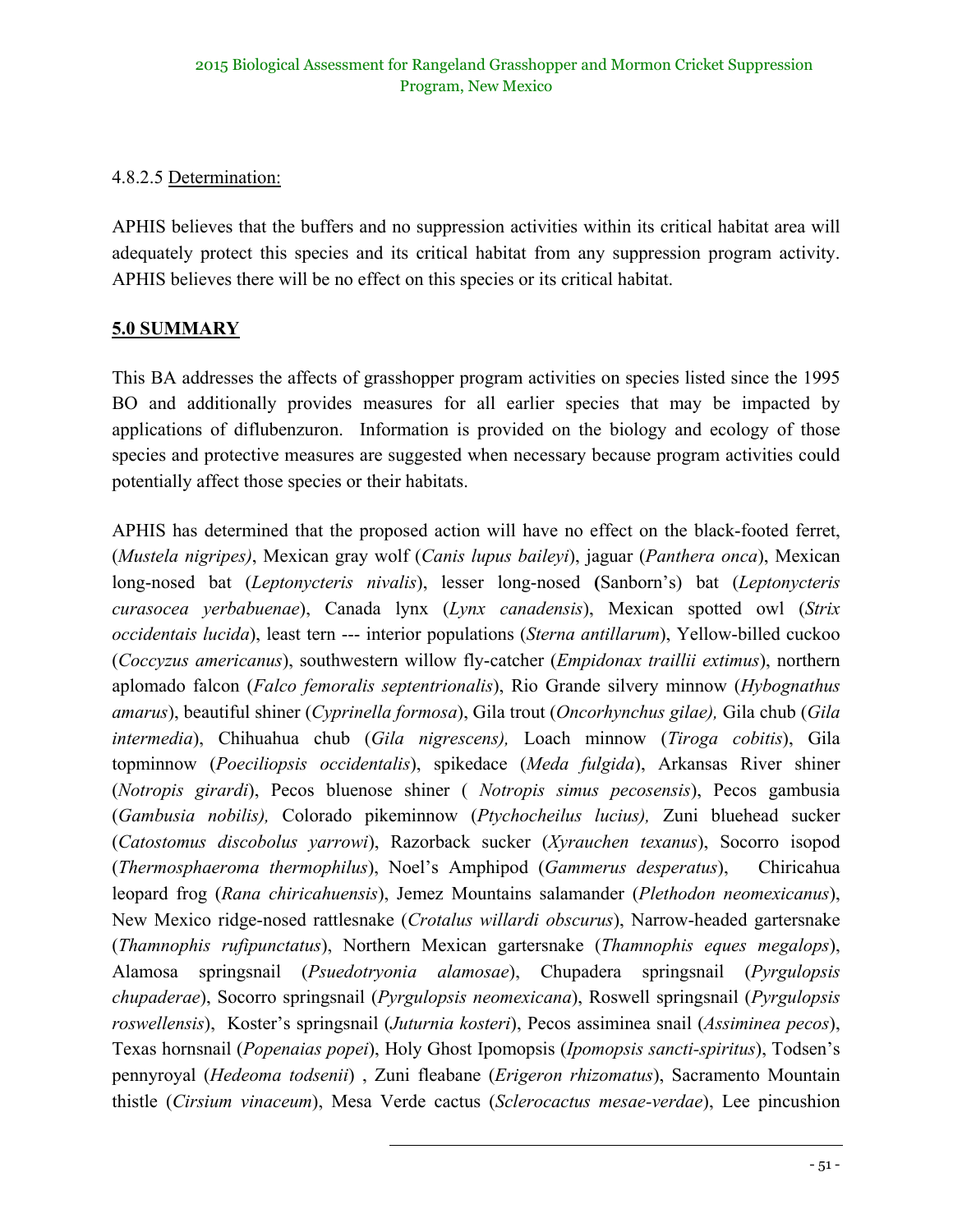### 4.8.2.5 Determination:

APHIS believes that the buffers and no suppression activities within its critical habitat area will adequately protect this species and its critical habitat from any suppression program activity. APHIS believes there will be no effect on this species or its critical habitat.

### **5.0 SUMMARY**

This BA addresses the affects of grasshopper program activities on species listed since the 1995 BO and additionally provides measures for all earlier species that may be impacted by applications of diflubenzuron. Information is provided on the biology and ecology of those species and protective measures are suggested when necessary because program activities could potentially affect those species or their habitats.

APHIS has determined that the proposed action will have no effect on the black-footed ferret, (*Mustela nigripes)*, Mexican gray wolf (*Canis lupus baileyi*), jaguar (*Panthera onca*), Mexican long-nosed bat (*Leptonycteris nivalis*), lesser long-nosed **(**Sanborn's) bat (*Leptonycteris curasocea yerbabuenae*), Canada lynx (*Lynx canadensis*), Mexican spotted owl (*Strix occidentais lucida*), least tern --- interior populations (*Sterna antillarum*), Yellow-billed cuckoo (*Coccyzus americanus*), southwestern willow fly-catcher (*Empidonax traillii extimus*), northern aplomado falcon (*Falco femoralis septentrionalis*), Rio Grande silvery minnow (*Hybognathus amarus*), beautiful shiner (*Cyprinella formosa*), Gila trout (*Oncorhynchus gilae),* Gila chub (*Gila intermedia*), Chihuahua chub (*Gila nigrescens),* Loach minnow (*Tiroga cobitis*), Gila topminnow (*Poeciliopsis occidentalis*), spikedace (*Meda fulgida*), Arkansas River shiner (*Notropis girardi*), Pecos bluenose shiner ( *Notropis simus pecosensis*), Pecos gambusia (*Gambusia nobilis),* Colorado pikeminnow (*Ptychocheilus lucius),* Zuni bluehead sucker (*Catostomus discobolus yarrowi*), Razorback sucker (*Xyrauchen texanus*), Socorro isopod (*Thermosphaeroma thermophilus*), Noel's Amphipod (*Gammerus desperatus*), Chiricahua leopard frog (*Rana chiricahuensis*), Jemez Mountains salamander (*Plethodon neomexicanus*), New Mexico ridge-nosed rattlesnake (*Crotalus willardi obscurus*), Narrow-headed gartersnake (*Thamnophis rufipunctatus*), Northern Mexican gartersnake (*Thamnophis eques megalops*), Alamosa springsnail (*Psuedotryonia alamosae*), Chupadera springsnail (*Pyrgulopsis chupaderae*), Socorro springsnail (*Pyrgulopsis neomexicana*), Roswell springsnail (*Pyrgulopsis roswellensis*), Koster's springsnail (*Juturnia kosteri*), Pecos assiminea snail (*Assiminea pecos*), Texas hornsnail (*Popenaias popei*), Holy Ghost Ipomopsis (*Ipomopsis sancti-spiritus*), Todsen's pennyroyal (*Hedeoma todsenii*) , Zuni fleabane (*Erigeron rhizomatus*), Sacramento Mountain thistle (*Cirsium vinaceum*), Mesa Verde cactus (*Sclerocactus mesae-verdae*), Lee pincushion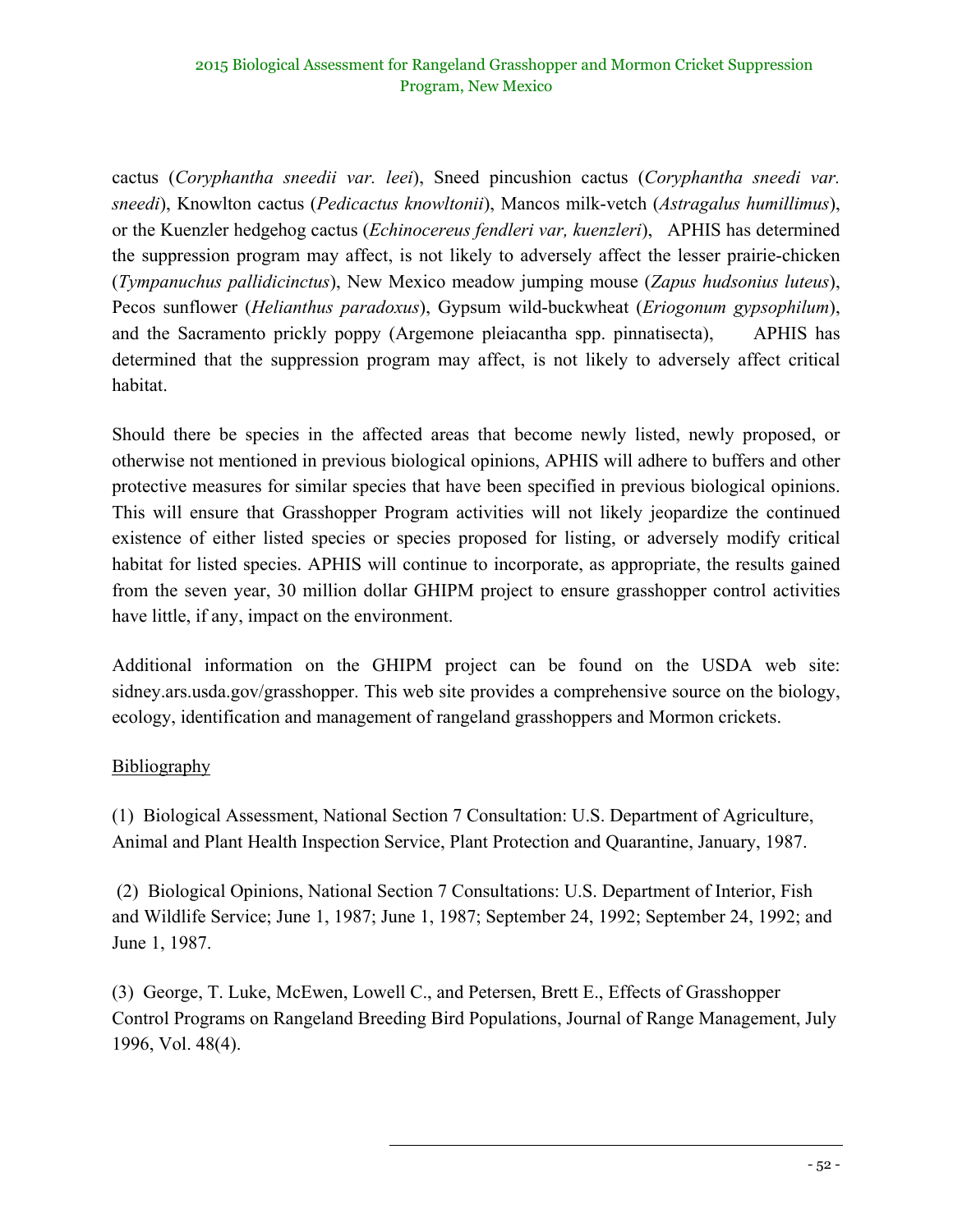cactus (*Coryphantha sneedii var. leei*), Sneed pincushion cactus (*Coryphantha sneedi var. sneedi*), Knowlton cactus (*Pedicactus knowltonii*), Mancos milk-vetch (*Astragalus humillimus*), or the Kuenzler hedgehog cactus (*Echinocereus fendleri var, kuenzleri*), APHIS has determined the suppression program may affect, is not likely to adversely affect the lesser prairie-chicken (*Tympanuchus pallidicinctus*), New Mexico meadow jumping mouse (*Zapus hudsonius luteus*), Pecos sunflower (*Helianthus paradoxus*), Gypsum wild-buckwheat (*Eriogonum gypsophilum*), and the Sacramento prickly poppy (Argemone pleiacantha spp. pinnatisecta), APHIS has determined that the suppression program may affect, is not likely to adversely affect critical habitat.

Should there be species in the affected areas that become newly listed, newly proposed, or otherwise not mentioned in previous biological opinions, APHIS will adhere to buffers and other protective measures for similar species that have been specified in previous biological opinions. This will ensure that Grasshopper Program activities will not likely jeopardize the continued existence of either listed species or species proposed for listing, or adversely modify critical habitat for listed species. APHIS will continue to incorporate, as appropriate, the results gained from the seven year, 30 million dollar GHIPM project to ensure grasshopper control activities have little, if any, impact on the environment.

Additional information on the GHIPM project can be found on the USDA web site: sidney.ars.usda.gov/grasshopper. This web site provides a comprehensive source on the biology, ecology, identification and management of rangeland grasshoppers and Mormon crickets.

# Bibliography

(1) Biological Assessment, National Section 7 Consultation: U.S. Department of Agriculture, Animal and Plant Health Inspection Service, Plant Protection and Quarantine, January, 1987.

(2) Biological Opinions, National Section 7 Consultations: U.S. Department of Interior, Fish and Wildlife Service; June 1, 1987; June 1, 1987; September 24, 1992; September 24, 1992; and June 1, 1987.

(3) George, T. Luke, McEwen, Lowell C., and Petersen, Brett E., Effects of Grasshopper Control Programs on Rangeland Breeding Bird Populations, Journal of Range Management, July 1996, Vol. 48(4).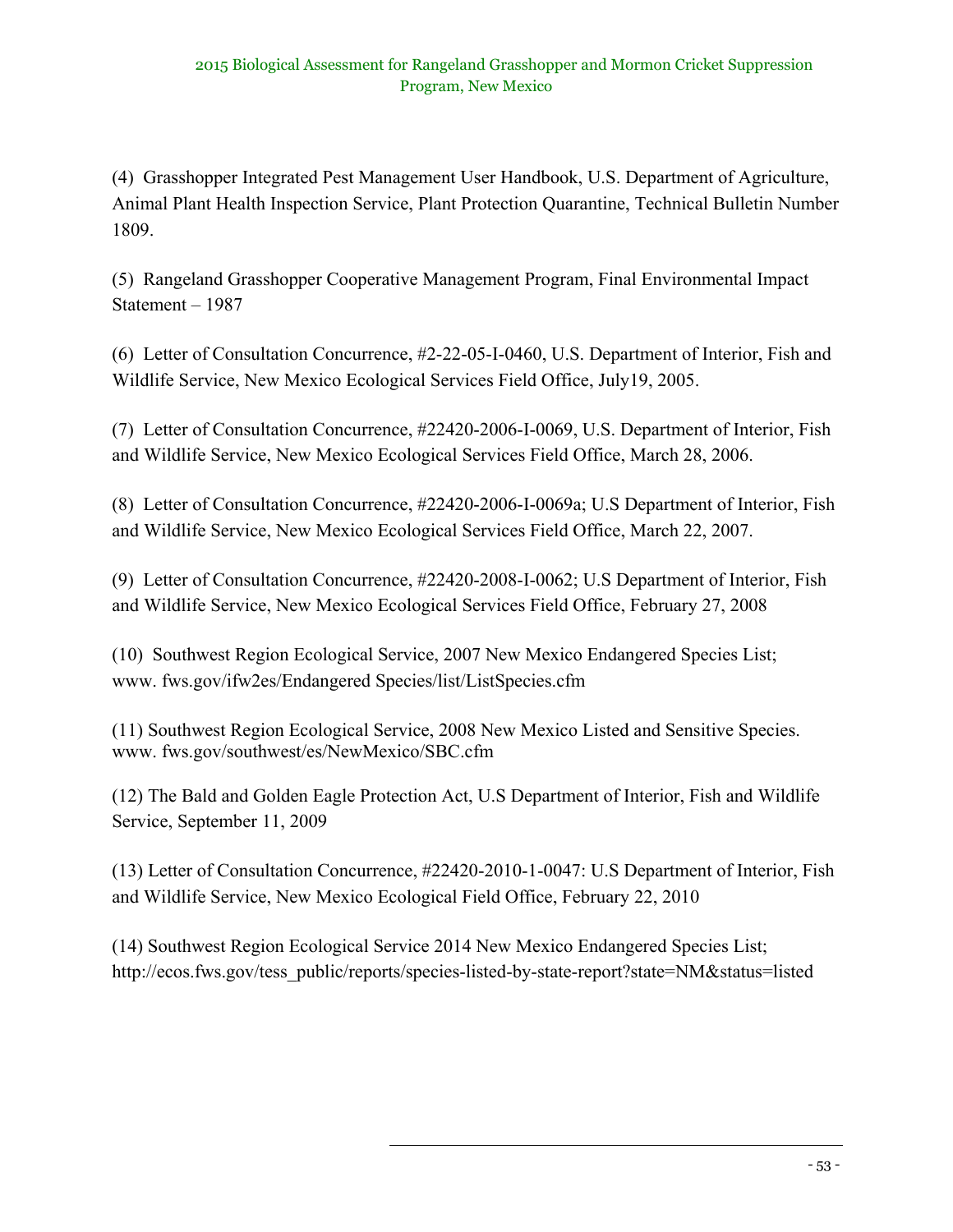(4) Grasshopper Integrated Pest Management User Handbook, U.S. Department of Agriculture, Animal Plant Health Inspection Service, Plant Protection Quarantine, Technical Bulletin Number 1809.

(5) Rangeland Grasshopper Cooperative Management Program, Final Environmental Impact Statement – 1987

(6) Letter of Consultation Concurrence, #2-22-05-I-0460, U.S. Department of Interior, Fish and Wildlife Service, New Mexico Ecological Services Field Office, July19, 2005.

(7) Letter of Consultation Concurrence, #22420-2006-I-0069, U.S. Department of Interior, Fish and Wildlife Service, New Mexico Ecological Services Field Office, March 28, 2006.

(8) Letter of Consultation Concurrence, #22420-2006-I-0069a; U.S Department of Interior, Fish and Wildlife Service, New Mexico Ecological Services Field Office, March 22, 2007.

(9) Letter of Consultation Concurrence, #22420-2008-I-0062; U.S Department of Interior, Fish and Wildlife Service, New Mexico Ecological Services Field Office, February 27, 2008

(10) Southwest Region Ecological Service, 2007 New Mexico Endangered Species List; www. fws.gov/ifw2es/Endangered Species/list/ListSpecies.cfm

(11) Southwest Region Ecological Service, 2008 New Mexico Listed and Sensitive Species. www. fws.gov/southwest/es/NewMexico/SBC.cfm

(12) The Bald and Golden Eagle Protection Act, U.S Department of Interior, Fish and Wildlife Service, September 11, 2009

(13) Letter of Consultation Concurrence, #22420-2010-1-0047: U.S Department of Interior, Fish and Wildlife Service, New Mexico Ecological Field Office, February 22, 2010

(14) Southwest Region Ecological Service 2014 New Mexico Endangered Species List; http://ecos.fws.gov/tess\_public/reports/species-listed-by-state-report?state=NM&status=listed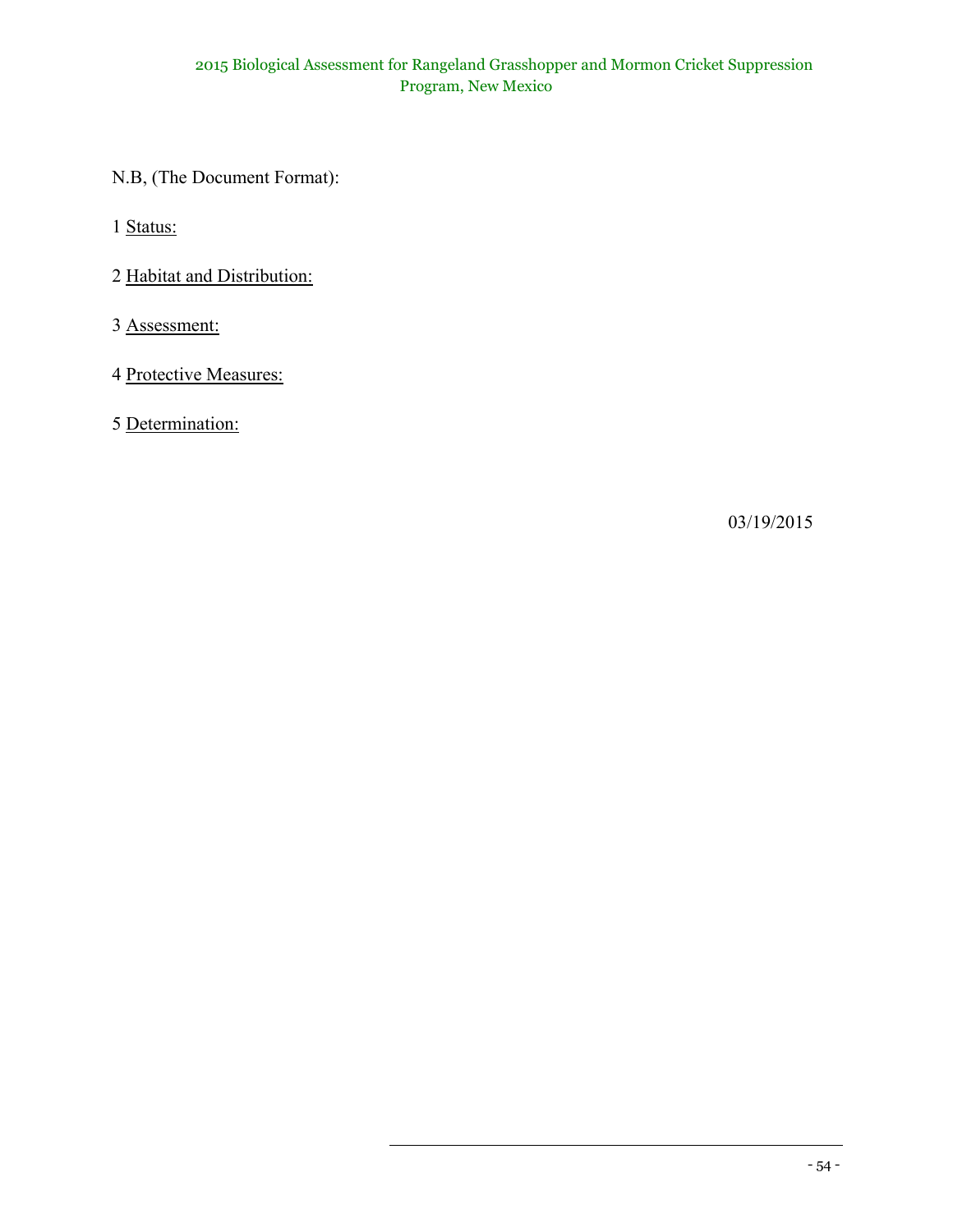- N.B, (The Document Format):
- 1 Status:
- 2 Habitat and Distribution:
- 3 Assessment:
- 4 Protective Measures:
- 5 Determination:

03/19/2015